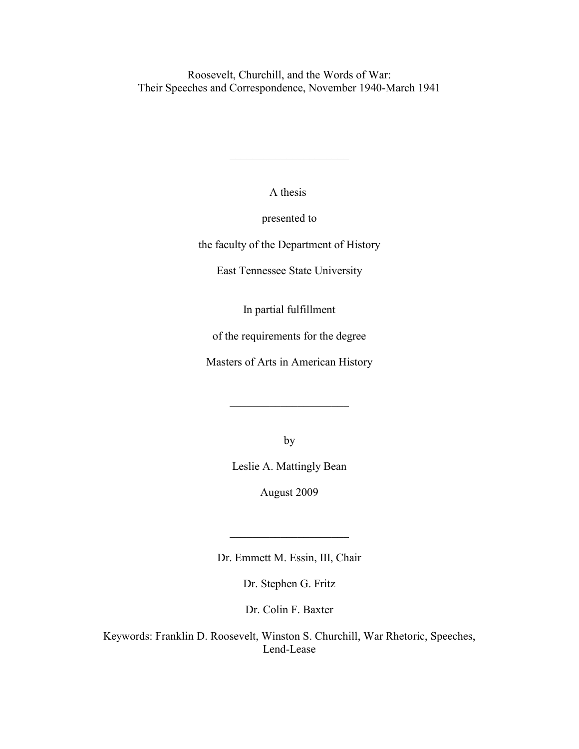Roosevelt, Churchill, and the Words of War: Their Speeches and Correspondence, November 1940-March 1941

A thesis

 $\mathcal{L}_\text{max}$  , where  $\mathcal{L}_\text{max}$  , we have the set of the set of the set of the set of the set of the set of the set of the set of the set of the set of the set of the set of the set of the set of the set of the set of

presented to

the faculty of the Department of History

East Tennessee State University

In partial fulfillment

of the requirements for the degree

Masters of Arts in American History

 $\overline{\phantom{a}}$  , which is a set of the set of the set of the set of the set of the set of the set of the set of the set of the set of the set of the set of the set of the set of the set of the set of the set of the set of th

by

Leslie A. Mattingly Bean

August 2009

Dr. Emmett M. Essin, III, Chair

 $\mathcal{L}_\text{max}$  , where  $\mathcal{L}_\text{max}$  , we have the set of  $\mathcal{L}_\text{max}$ 

Dr. Stephen G. Fritz

Dr. Colin F. Baxter

Keywords: Franklin D. Roosevelt, Winston S. Churchill, War Rhetoric, Speeches, Lend-Lease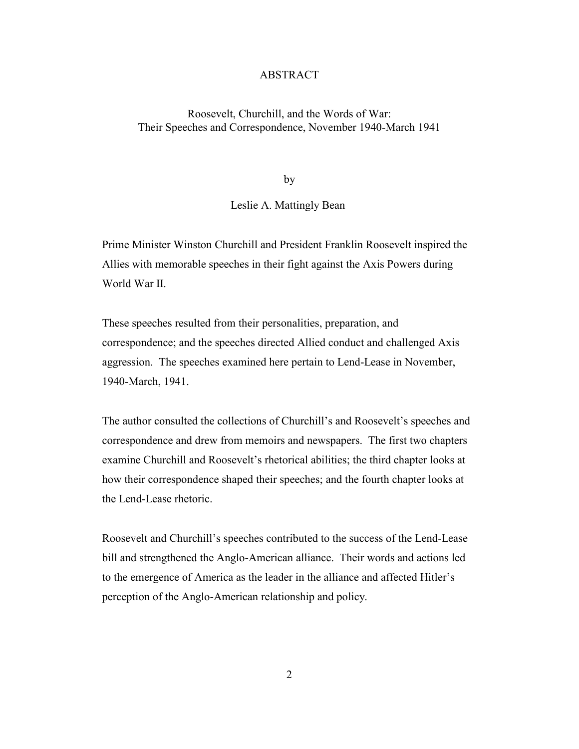## ABSTRACT

# Roosevelt, Churchill, and the Words of War: Their Speeches and Correspondence, November 1940-March 1941

by

# Leslie A. Mattingly Bean

Prime Minister Winston Churchill and President Franklin Roosevelt inspired the Allies with memorable speeches in their fight against the Axis Powers during World War II

These speeches resulted from their personalities, preparation, and correspondence; and the speeches directed Allied conduct and challenged Axis aggression. The speeches examined here pertain to Lend-Lease in November, 1940-March, 1941.

The author consulted the collections of Churchill's and Roosevelt's speeches and correspondence and drew from memoirs and newspapers. The first two chapters examine Churchill and Roosevelt's rhetorical abilities; the third chapter looks at how their correspondence shaped their speeches; and the fourth chapter looks at the Lend-Lease rhetoric.

Roosevelt and Churchill's speeches contributed to the success of the Lend-Lease bill and strengthened the Anglo-American alliance. Their words and actions led to the emergence of America as the leader in the alliance and affected Hitler's perception of the Anglo-American relationship and policy.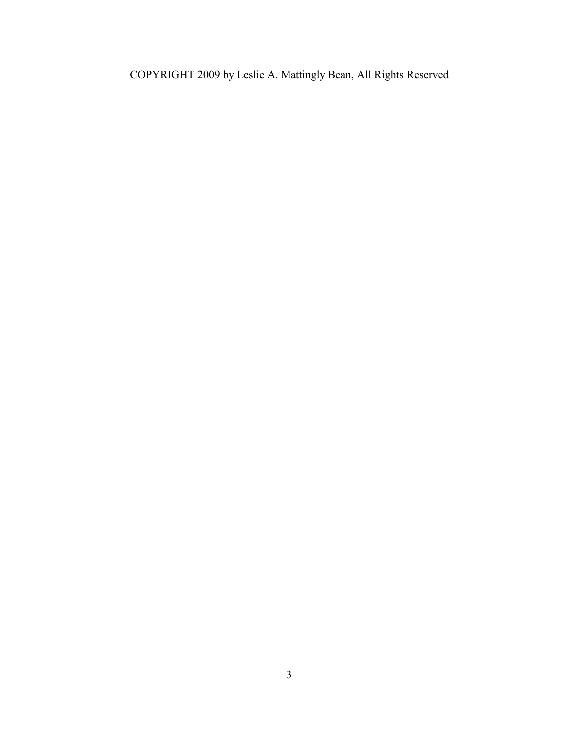COPYRIGHT 2009 by Leslie A. Mattingly Bean, All Rights Reserved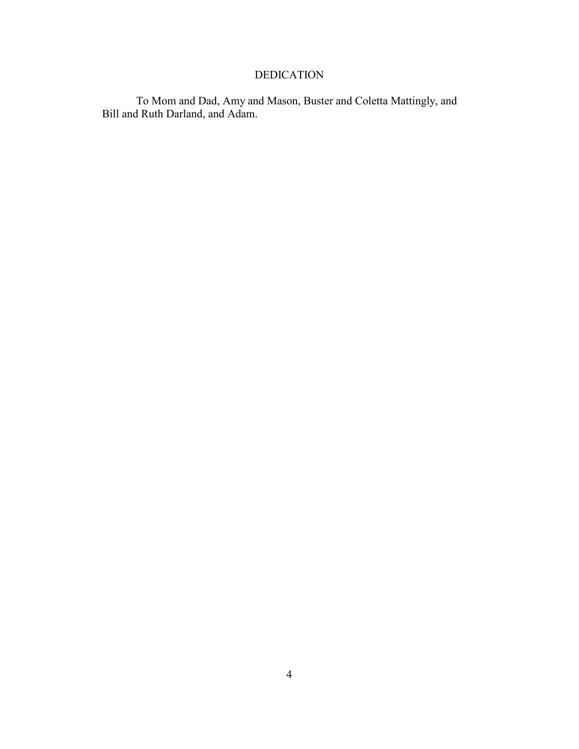# DEDICATION

To Mom and Dad, Amy and Mason, Buster and Coletta Mattingly, and Bill and Ruth Darland, and Adam.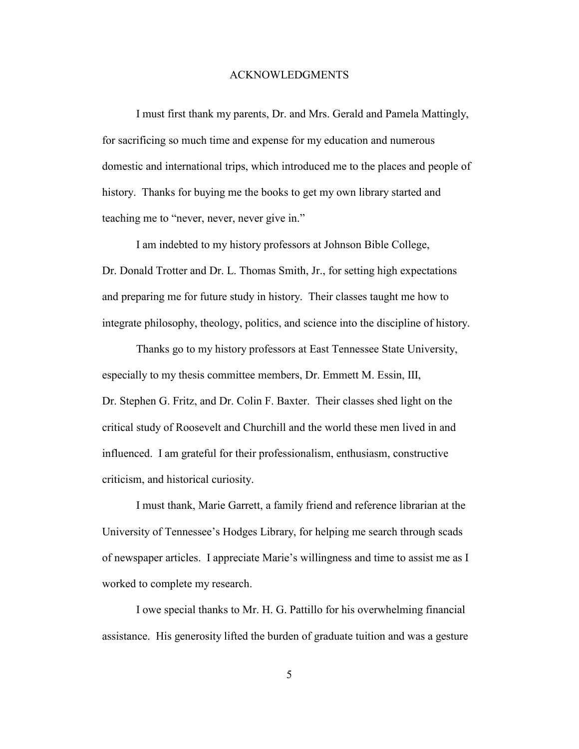#### ACKNOWLEDGMENTS

I must first thank my parents, Dr. and Mrs. Gerald and Pamela Mattingly, for sacrificing so much time and expense for my education and numerous domestic and international trips, which introduced me to the places and people of history. Thanks for buying me the books to get my own library started and teaching me to "never, never, never give in."

I am indebted to my history professors at Johnson Bible College, Dr. Donald Trotter and Dr. L. Thomas Smith, Jr., for setting high expectations and preparing me for future study in history. Their classes taught me how to integrate philosophy, theology, politics, and science into the discipline of history.

Thanks go to my history professors at East Tennessee State University, especially to my thesis committee members, Dr. Emmett M. Essin, III, Dr. Stephen G. Fritz, and Dr. Colin F. Baxter. Their classes shed light on the critical study of Roosevelt and Churchill and the world these men lived in and influenced. I am grateful for their professionalism, enthusiasm, constructive criticism, and historical curiosity.

I must thank, Marie Garrett, a family friend and reference librarian at the University of Tennessee's Hodges Library, for helping me search through scads of newspaper articles. I appreciate Marie's willingness and time to assist me as I worked to complete my research.

I owe special thanks to Mr. H. G. Pattillo for his overwhelming financial assistance. His generosity lifted the burden of graduate tuition and was a gesture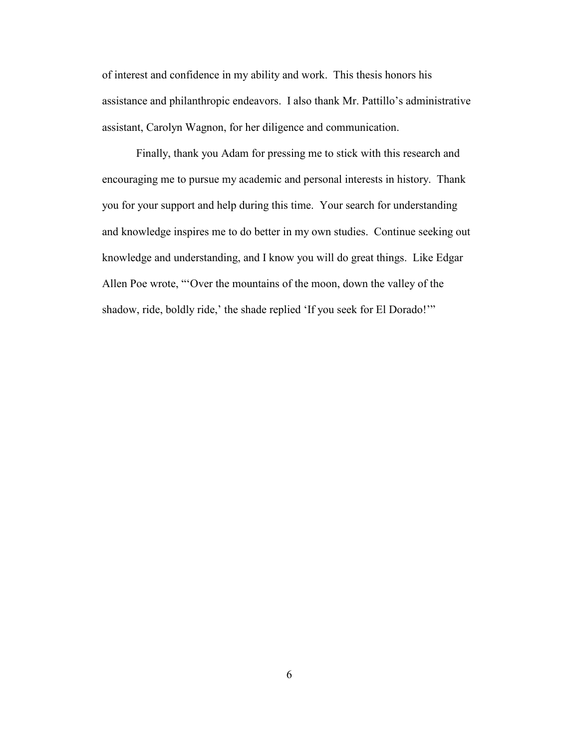of interest and confidence in my ability and work. This thesis honors his assistance and philanthropic endeavors. I also thank Mr. Pattillo's administrative assistant, Carolyn Wagnon, for her diligence and communication.

Finally, thank you Adam for pressing me to stick with this research and encouraging me to pursue my academic and personal interests in history. Thank you for your support and help during this time. Your search for understanding and knowledge inspires me to do better in my own studies. Continue seeking out knowledge and understanding, and I know you will do great things. Like Edgar Allen Poe wrote, "'Over the mountains of the moon, down the valley of the shadow, ride, boldly ride,' the shade replied 'If you seek for El Dorado!'"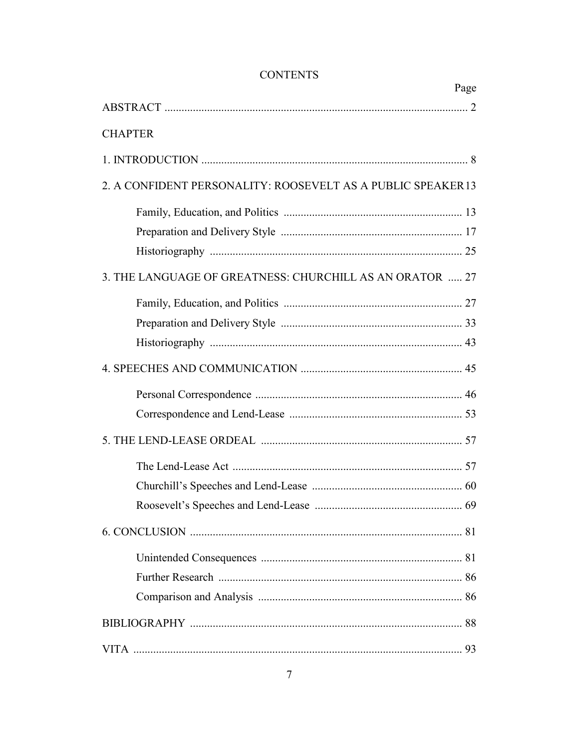| UUN LEN 15                                                   |      |
|--------------------------------------------------------------|------|
|                                                              | Page |
| <b>CHAPTER</b>                                               |      |
|                                                              |      |
|                                                              |      |
| 2. A CONFIDENT PERSONALITY: ROOSEVELT AS A PUBLIC SPEAKER 13 |      |
|                                                              |      |
|                                                              |      |
|                                                              |      |
| 3. THE LANGUAGE OF GREATNESS: CHURCHILL AS AN ORATOR  27     |      |
|                                                              |      |
|                                                              |      |
|                                                              |      |
|                                                              |      |
|                                                              |      |
|                                                              |      |
|                                                              |      |
|                                                              |      |
|                                                              |      |
|                                                              |      |
|                                                              |      |
|                                                              |      |
|                                                              |      |
|                                                              |      |
|                                                              |      |
|                                                              |      |

# **CONTENTS**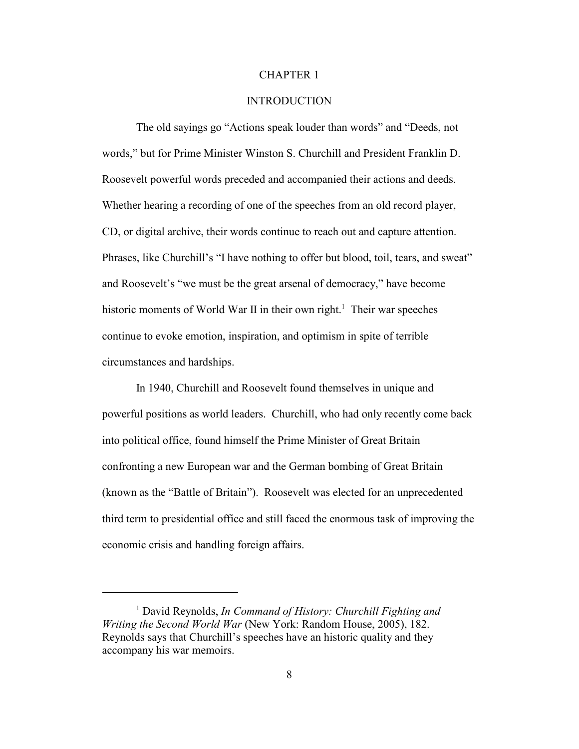#### CHAPTER 1

## **INTRODUCTION**

The old sayings go "Actions speak louder than words" and "Deeds, not words," but for Prime Minister Winston S. Churchill and President Franklin D. Roosevelt powerful words preceded and accompanied their actions and deeds. Whether hearing a recording of one of the speeches from an old record player, CD, or digital archive, their words continue to reach out and capture attention. Phrases, like Churchill's "I have nothing to offer but blood, toil, tears, and sweat" and Roosevelt's "we must be the great arsenal of democracy," have become historic moments of World War II in their own right.<sup>1</sup> Their war speeches continue to evoke emotion, inspiration, and optimism in spite of terrible circumstances and hardships.

In 1940, Churchill and Roosevelt found themselves in unique and powerful positions as world leaders. Churchill, who had only recently come back into political office, found himself the Prime Minister of Great Britain confronting a new European war and the German bombing of Great Britain (known as the "Battle of Britain"). Roosevelt was elected for an unprecedented third term to presidential office and still faced the enormous task of improving the economic crisis and handling foreign affairs.

<sup>&</sup>lt;sup>1</sup> David Reynolds, In Command of History: Churchill Fighting and *Writing the Second World War* (New York: Random House, 2005), 182. Reynolds says that Churchill's speeches have an historic quality and they accompany his war memoirs.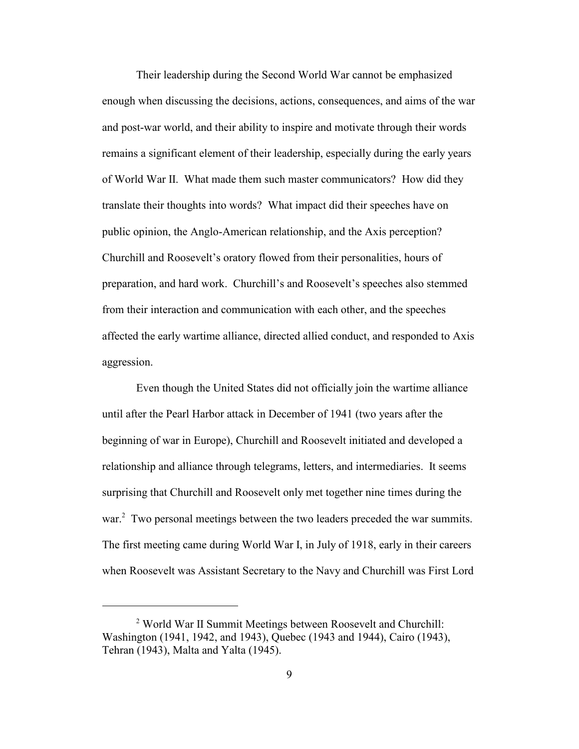Their leadership during the Second World War cannot be emphasized enough when discussing the decisions, actions, consequences, and aims of the war and post-war world, and their ability to inspire and motivate through their words remains a significant element of their leadership, especially during the early years of World War II. What made them such master communicators? How did they translate their thoughts into words? What impact did their speeches have on public opinion, the Anglo-American relationship, and the Axis perception? Churchill and Roosevelt's oratory flowed from their personalities, hours of preparation, and hard work. Churchill's and Roosevelt's speeches also stemmed from their interaction and communication with each other, and the speeches affected the early wartime alliance, directed allied conduct, and responded to Axis aggression.

Even though the United States did not officially join the wartime alliance until after the Pearl Harbor attack in December of 1941 (two years after the beginning of war in Europe), Churchill and Roosevelt initiated and developed a relationship and alliance through telegrams, letters, and intermediaries. It seems surprising that Churchill and Roosevelt only met together nine times during the war.<sup>2</sup> Two personal meetings between the two leaders preceded the war summits. The first meeting came during World War I, in July of 1918, early in their careers when Roosevelt was Assistant Secretary to the Navy and Churchill was First Lord

<sup>2</sup> World War II Summit Meetings between Roosevelt and Churchill: Washington (1941, 1942, and 1943), Quebec (1943 and 1944), Cairo (1943), Tehran (1943), Malta and Yalta (1945).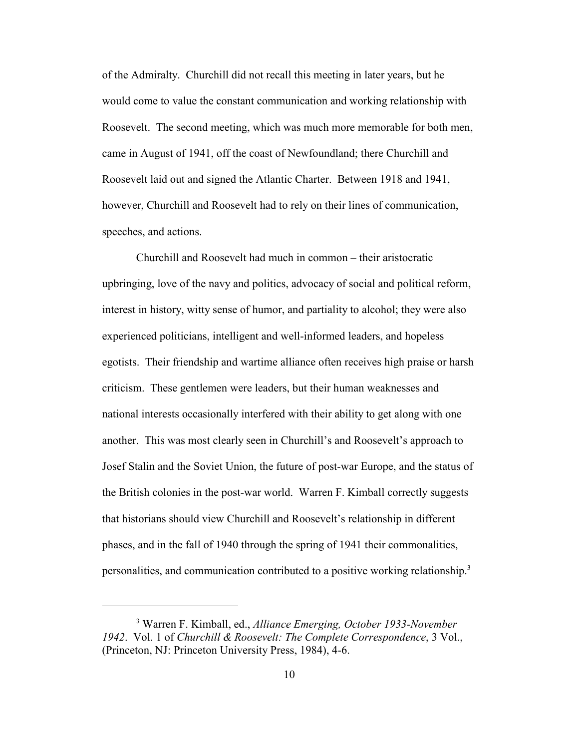of the Admiralty. Churchill did not recall this meeting in later years, but he would come to value the constant communication and working relationship with Roosevelt. The second meeting, which was much more memorable for both men, came in August of 1941, off the coast of Newfoundland; there Churchill and Roosevelt laid out and signed the Atlantic Charter. Between 1918 and 1941, however, Churchill and Roosevelt had to rely on their lines of communication, speeches, and actions.

Churchill and Roosevelt had much in common – their aristocratic upbringing, love of the navy and politics, advocacy of social and political reform, interest in history, witty sense of humor, and partiality to alcohol; they were also experienced politicians, intelligent and well-informed leaders, and hopeless egotists. Their friendship and wartime alliance often receives high praise or harsh criticism. These gentlemen were leaders, but their human weaknesses and national interests occasionally interfered with their ability to get along with one another. This was most clearly seen in Churchill's and Roosevelt's approach to Josef Stalin and the Soviet Union, the future of post-war Europe, and the status of the British colonies in the post-war world. Warren F. Kimball correctly suggests that historians should view Churchill and Roosevelt's relationship in different phases, and in the fall of 1940 through the spring of 1941 their commonalities, personalities, and communication contributed to a positive working relationship.<sup>3</sup>

<sup>&</sup>lt;sup>3</sup> Warren F. Kimball, ed., *Alliance Emerging, October 1933-November 1942*. Vol. 1 of *Churchill & Roosevelt: The Complete Correspondence*, 3 Vol., (Princeton, NJ: Princeton University Press, 1984), 4-6.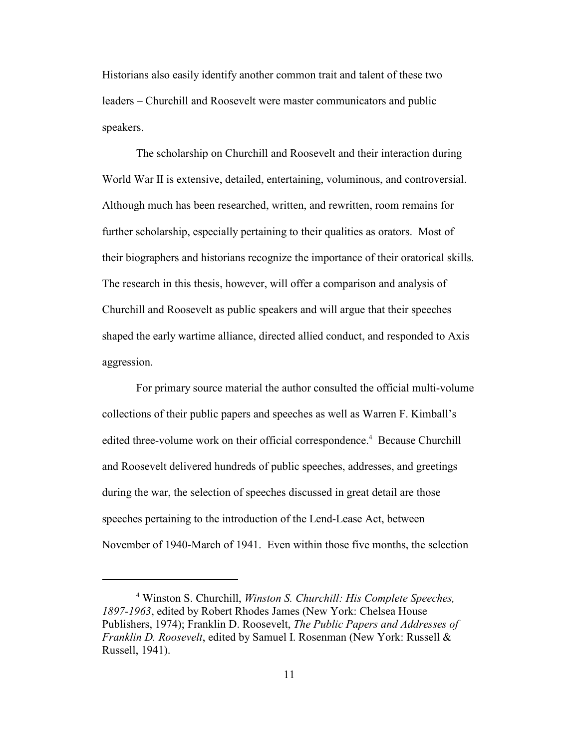Historians also easily identify another common trait and talent of these two leaders – Churchill and Roosevelt were master communicators and public speakers.

The scholarship on Churchill and Roosevelt and their interaction during World War II is extensive, detailed, entertaining, voluminous, and controversial. Although much has been researched, written, and rewritten, room remains for further scholarship, especially pertaining to their qualities as orators. Most of their biographers and historians recognize the importance of their oratorical skills. The research in this thesis, however, will offer a comparison and analysis of Churchill and Roosevelt as public speakers and will argue that their speeches shaped the early wartime alliance, directed allied conduct, and responded to Axis aggression.

For primary source material the author consulted the official multi-volume collections of their public papers and speeches as well as Warren F. Kimball's edited three-volume work on their official correspondence.<sup>4</sup> Because Churchill and Roosevelt delivered hundreds of public speeches, addresses, and greetings during the war, the selection of speeches discussed in great detail are those speeches pertaining to the introduction of the Lend-Lease Act, between November of 1940-March of 1941. Even within those five months, the selection

<sup>4</sup> Winston S. Churchill, *Winston S. Churchill: His Complete Speeches, 1897-1963*, edited by Robert Rhodes James (New York: Chelsea House Publishers, 1974); Franklin D. Roosevelt, *The Public Papers and Addresses of Franklin D. Roosevelt*, edited by Samuel I. Rosenman (New York: Russell & Russell, 1941).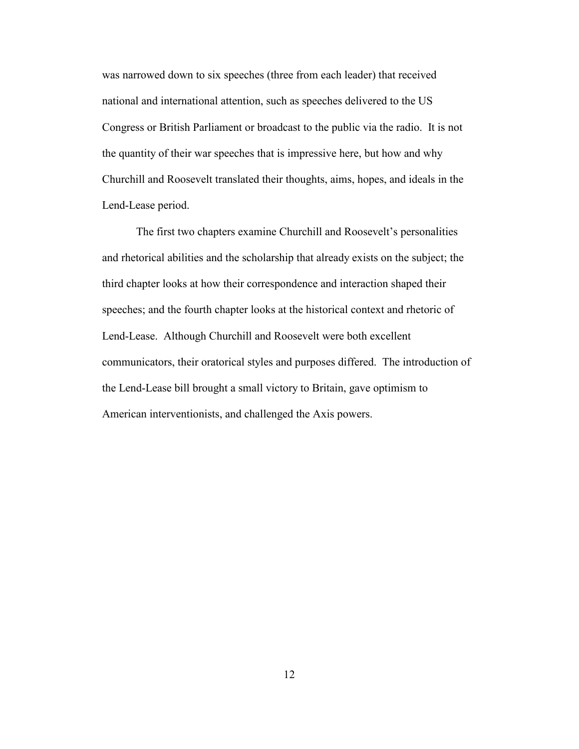was narrowed down to six speeches (three from each leader) that received national and international attention, such as speeches delivered to the US Congress or British Parliament or broadcast to the public via the radio. It is not the quantity of their war speeches that is impressive here, but how and why Churchill and Roosevelt translated their thoughts, aims, hopes, and ideals in the Lend-Lease period.

The first two chapters examine Churchill and Roosevelt's personalities and rhetorical abilities and the scholarship that already exists on the subject; the third chapter looks at how their correspondence and interaction shaped their speeches; and the fourth chapter looks at the historical context and rhetoric of Lend-Lease. Although Churchill and Roosevelt were both excellent communicators, their oratorical styles and purposes differed. The introduction of the Lend-Lease bill brought a small victory to Britain, gave optimism to American interventionists, and challenged the Axis powers.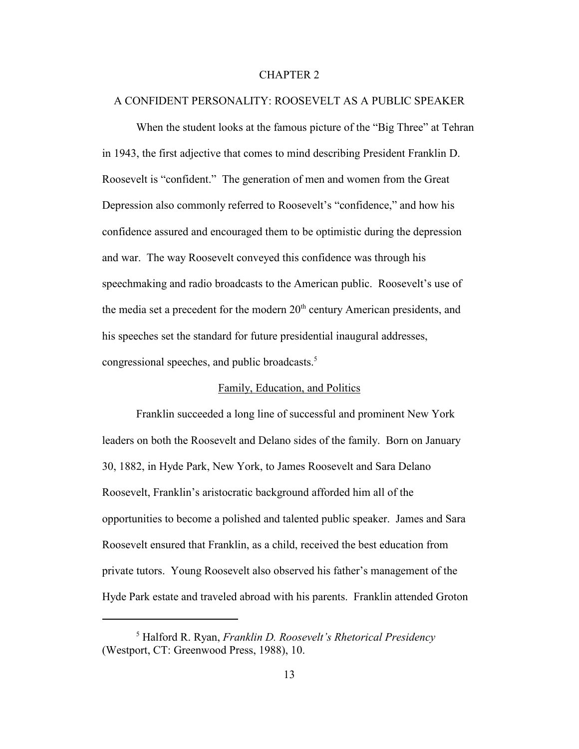#### CHAPTER 2

## A CONFIDENT PERSONALITY: ROOSEVELT AS A PUBLIC SPEAKER

When the student looks at the famous picture of the "Big Three" at Tehran in 1943, the first adjective that comes to mind describing President Franklin D. Roosevelt is "confident." The generation of men and women from the Great Depression also commonly referred to Roosevelt's "confidence," and how his confidence assured and encouraged them to be optimistic during the depression and war. The way Roosevelt conveyed this confidence was through his speechmaking and radio broadcasts to the American public. Roosevelt's use of the media set a precedent for the modern  $20<sup>th</sup>$  century American presidents, and his speeches set the standard for future presidential inaugural addresses, congressional speeches, and public broadcasts.<sup>5</sup>

# Family, Education, and Politics

Franklin succeeded a long line of successful and prominent New York leaders on both the Roosevelt and Delano sides of the family. Born on January 30, 1882, in Hyde Park, New York, to James Roosevelt and Sara Delano Roosevelt, Franklin's aristocratic background afforded him all of the opportunities to become a polished and talented public speaker. James and Sara Roosevelt ensured that Franklin, as a child, received the best education from private tutors. Young Roosevelt also observed his father's management of the Hyde Park estate and traveled abroad with his parents. Franklin attended Groton

<sup>5</sup> Halford R. Ryan, *Franklin D. Roosevelt's Rhetorical Presidency* (Westport, CT: Greenwood Press, 1988), 10.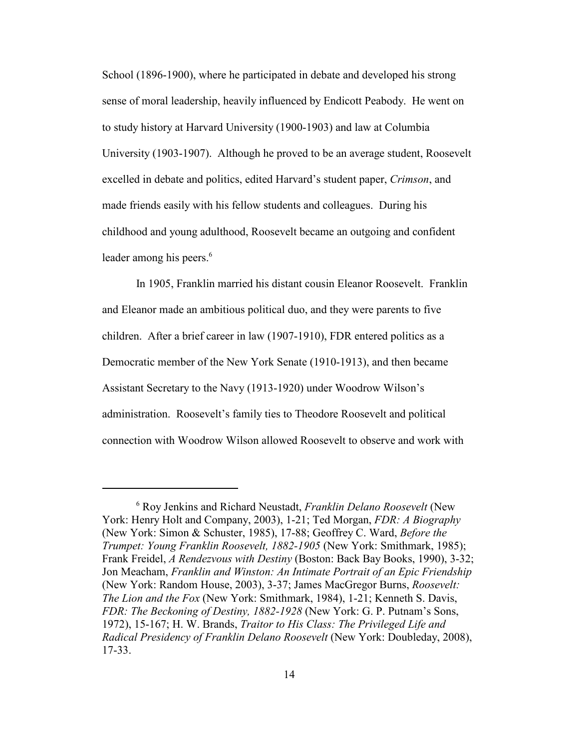School (1896-1900), where he participated in debate and developed his strong sense of moral leadership, heavily influenced by Endicott Peabody. He went on to study history at Harvard University (1900-1903) and law at Columbia University (1903-1907). Although he proved to be an average student, Roosevelt excelled in debate and politics, edited Harvard's student paper, *Crimson*, and made friends easily with his fellow students and colleagues. During his childhood and young adulthood, Roosevelt became an outgoing and confident leader among his peers.<sup>6</sup>

In 1905, Franklin married his distant cousin Eleanor Roosevelt. Franklin and Eleanor made an ambitious political duo, and they were parents to five children. After a brief career in law (1907-1910), FDR entered politics as a Democratic member of the New York Senate (1910-1913), and then became Assistant Secretary to the Navy (1913-1920) under Woodrow Wilson's administration. Roosevelt's family ties to Theodore Roosevelt and political connection with Woodrow Wilson allowed Roosevelt to observe and work with

<sup>6</sup> Roy Jenkins and Richard Neustadt, *Franklin Delano Roosevelt* (New York: Henry Holt and Company, 2003), 1-21; Ted Morgan, *FDR: A Biography* (New York: Simon & Schuster, 1985), 17-88; Geoffrey C. Ward, *Before the Trumpet: Young Franklin Roosevelt, 1882-1905* (New York: Smithmark, 1985); Frank Freidel, *A Rendezvous with Destiny* (Boston: Back Bay Books, 1990), 3-32; Jon Meacham, *Franklin and Winston: An Intimate Portrait of an Epic Friendship* (New York: Random House, 2003), 3-37; James MacGregor Burns, *Roosevelt: The Lion and the Fox* (New York: Smithmark, 1984), 1-21; Kenneth S. Davis, *FDR: The Beckoning of Destiny, 1882-1928* (New York: G. P. Putnam's Sons, 1972), 15-167; H. W. Brands, *Traitor to His Class: The Privileged Life and Radical Presidency of Franklin Delano Roosevelt* (New York: Doubleday, 2008), 17-33.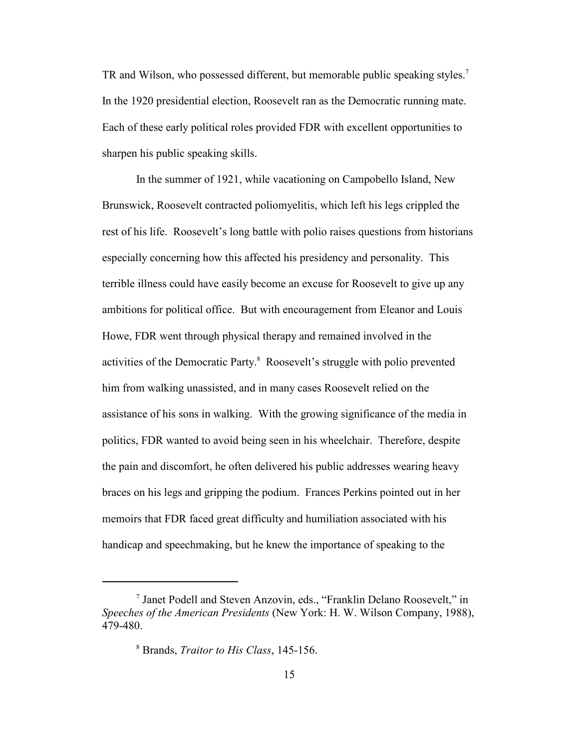TR and Wilson, who possessed different, but memorable public speaking styles.<sup>7</sup> In the 1920 presidential election, Roosevelt ran as the Democratic running mate. Each of these early political roles provided FDR with excellent opportunities to sharpen his public speaking skills.

In the summer of 1921, while vacationing on Campobello Island, New Brunswick, Roosevelt contracted poliomyelitis, which left his legs crippled the rest of his life. Roosevelt's long battle with polio raises questions from historians especially concerning how this affected his presidency and personality. This terrible illness could have easily become an excuse for Roosevelt to give up any ambitions for political office. But with encouragement from Eleanor and Louis Howe, FDR went through physical therapy and remained involved in the activities of the Democratic Party.<sup>8</sup> Roosevelt's struggle with polio prevented him from walking unassisted, and in many cases Roosevelt relied on the assistance of his sons in walking. With the growing significance of the media in politics, FDR wanted to avoid being seen in his wheelchair. Therefore, despite the pain and discomfort, he often delivered his public addresses wearing heavy braces on his legs and gripping the podium. Frances Perkins pointed out in her memoirs that FDR faced great difficulty and humiliation associated with his handicap and speechmaking, but he knew the importance of speaking to the

<sup>7</sup> Janet Podell and Steven Anzovin, eds., "Franklin Delano Roosevelt," in *Speeches of the American Presidents* (New York: H. W. Wilson Company, 1988), 479-480.

<sup>8</sup> Brands, *Traitor to His Class*, 145-156.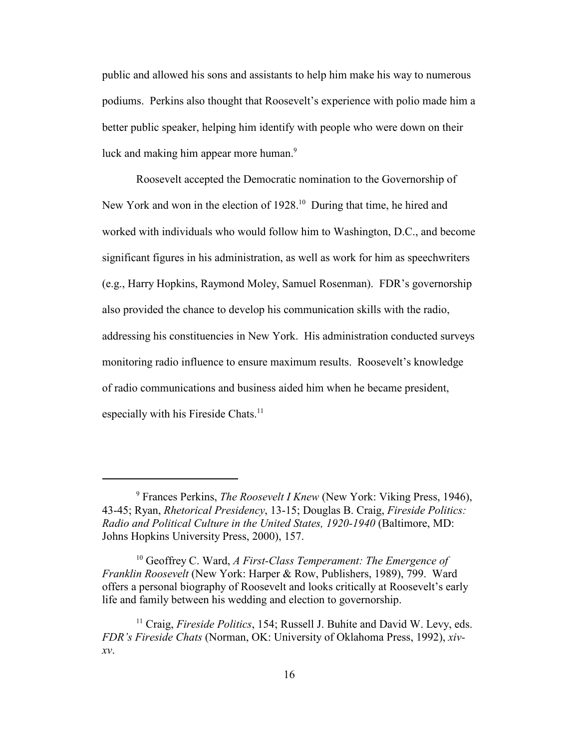public and allowed his sons and assistants to help him make his way to numerous podiums. Perkins also thought that Roosevelt's experience with polio made him a better public speaker, helping him identify with people who were down on their luck and making him appear more human.<sup>9</sup>

Roosevelt accepted the Democratic nomination to the Governorship of New York and won in the election of 1928.<sup>10</sup> During that time, he hired and worked with individuals who would follow him to Washington, D.C., and become significant figures in his administration, as well as work for him as speechwriters (e.g., Harry Hopkins, Raymond Moley, Samuel Rosenman). FDR's governorship also provided the chance to develop his communication skills with the radio, addressing his constituencies in New York. His administration conducted surveys monitoring radio influence to ensure maximum results. Roosevelt's knowledge of radio communications and business aided him when he became president, especially with his Fireside Chats.<sup>11</sup>

<sup>9</sup> Frances Perkins, *The Roosevelt I Knew* (New York: Viking Press, 1946), 43-45; Ryan, *Rhetorical Presidency*, 13-15; Douglas B. Craig, *Fireside Politics: Radio and Political Culture in the United States, 1920-1940* (Baltimore, MD: Johns Hopkins University Press, 2000), 157.

<sup>10</sup> Geoffrey C. Ward, *A First-Class Temperament: The Emergence of Franklin Roosevelt* (New York: Harper & Row, Publishers, 1989), 799. Ward offers a personal biography of Roosevelt and looks critically at Roosevelt's early life and family between his wedding and election to governorship.

<sup>&</sup>lt;sup>11</sup> Craig, *Fireside Politics*, 154; Russell J. Buhite and David W. Levy, eds. *FDR's Fireside Chats* (Norman, OK: University of Oklahoma Press, 1992), *xivxv*.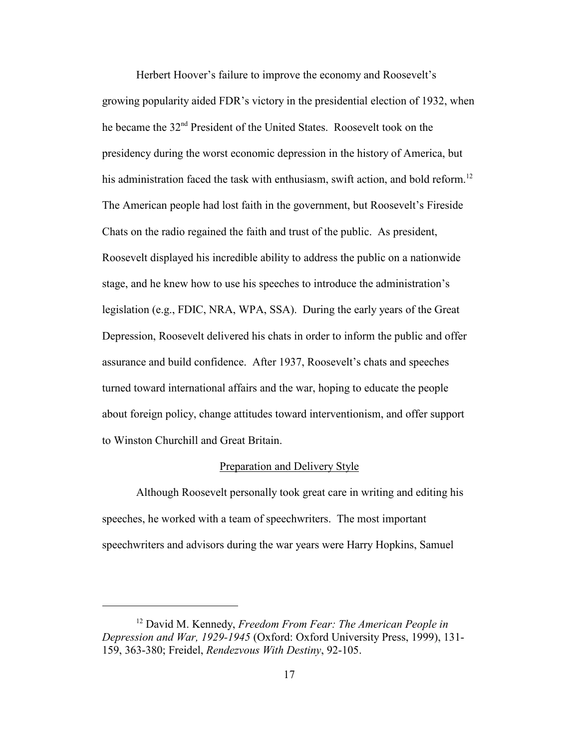Herbert Hoover's failure to improve the economy and Roosevelt's growing popularity aided FDR's victory in the presidential election of 1932, when he became the 32nd President of the United States. Roosevelt took on the presidency during the worst economic depression in the history of America, but his administration faced the task with enthusiasm, swift action, and bold reform.<sup>12</sup> The American people had lost faith in the government, but Roosevelt's Fireside Chats on the radio regained the faith and trust of the public. As president, Roosevelt displayed his incredible ability to address the public on a nationwide stage, and he knew how to use his speeches to introduce the administration's legislation (e.g., FDIC, NRA, WPA, SSA). During the early years of the Great Depression, Roosevelt delivered his chats in order to inform the public and offer assurance and build confidence. After 1937, Roosevelt's chats and speeches turned toward international affairs and the war, hoping to educate the people about foreign policy, change attitudes toward interventionism, and offer support to Winston Churchill and Great Britain.

#### Preparation and Delivery Style

Although Roosevelt personally took great care in writing and editing his speeches, he worked with a team of speechwriters. The most important speechwriters and advisors during the war years were Harry Hopkins, Samuel

<sup>12</sup> David M. Kennedy, *Freedom From Fear: The American People in Depression and War, 1929-1945* (Oxford: Oxford University Press, 1999), 131- 159, 363-380; Freidel, *Rendezvous With Destiny*, 92-105.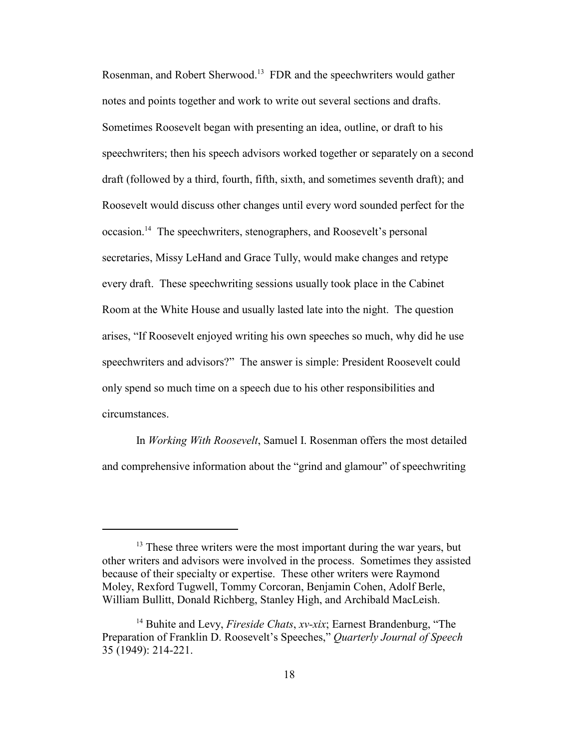Rosenman, and Robert Sherwood.<sup>13</sup> FDR and the speechwriters would gather notes and points together and work to write out several sections and drafts. Sometimes Roosevelt began with presenting an idea, outline, or draft to his speechwriters; then his speech advisors worked together or separately on a second draft (followed by a third, fourth, fifth, sixth, and sometimes seventh draft); and Roosevelt would discuss other changes until every word sounded perfect for the occasion.<sup>14</sup> The speechwriters, stenographers, and Roosevelt's personal secretaries, Missy LeHand and Grace Tully, would make changes and retype every draft. These speechwriting sessions usually took place in the Cabinet Room at the White House and usually lasted late into the night. The question arises, "If Roosevelt enjoyed writing his own speeches so much, why did he use speechwriters and advisors?" The answer is simple: President Roosevelt could only spend so much time on a speech due to his other responsibilities and circumstances.

In *Working With Roosevelt*, Samuel I. Rosenman offers the most detailed and comprehensive information about the "grind and glamour" of speechwriting

<sup>&</sup>lt;sup>13</sup> These three writers were the most important during the war years, but other writers and advisors were involved in the process. Sometimes they assisted because of their specialty or expertise. These other writers were Raymond Moley, Rexford Tugwell, Tommy Corcoran, Benjamin Cohen, Adolf Berle, William Bullitt, Donald Richberg, Stanley High, and Archibald MacLeish.

<sup>14</sup> Buhite and Levy, *Fireside Chats*, *xv-xix*; Earnest Brandenburg, "The Preparation of Franklin D. Roosevelt's Speeches," *Quarterly Journal of Speech* 35 (1949): 214-221.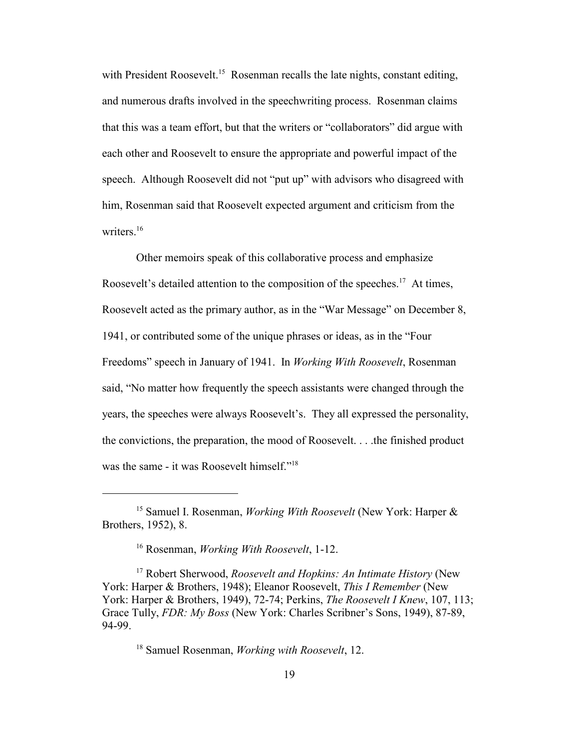with President Roosevelt.<sup>15</sup> Rosenman recalls the late nights, constant editing, and numerous drafts involved in the speechwriting process. Rosenman claims that this was a team effort, but that the writers or "collaborators" did argue with each other and Roosevelt to ensure the appropriate and powerful impact of the speech. Although Roosevelt did not "put up" with advisors who disagreed with him, Rosenman said that Roosevelt expected argument and criticism from the writers.<sup>16</sup>

Other memoirs speak of this collaborative process and emphasize Roosevelt's detailed attention to the composition of the speeches.<sup>17</sup> At times, Roosevelt acted as the primary author, as in the "War Message" on December 8, 1941, or contributed some of the unique phrases or ideas, as in the "Four Freedoms" speech in January of 1941. In *Working With Roosevelt*, Rosenman said, "No matter how frequently the speech assistants were changed through the years, the speeches were always Roosevelt's. They all expressed the personality, the convictions, the preparation, the mood of Roosevelt. . . .the finished product was the same - it was Roosevelt himself."<sup>18</sup>

<sup>15</sup> Samuel I. Rosenman, *Working With Roosevelt* (New York: Harper & Brothers, 1952), 8.

<sup>16</sup> Rosenman, *Working With Roosevelt*, 1-12.

<sup>17</sup> Robert Sherwood, *Roosevelt and Hopkins: An Intimate History* (New York: Harper & Brothers, 1948); Eleanor Roosevelt, *This I Remember* (New York: Harper & Brothers, 1949), 72-74; Perkins, *The Roosevelt I Knew*, 107, 113; Grace Tully, *FDR: My Boss* (New York: Charles Scribner's Sons, 1949), 87-89, 94-99.

<sup>18</sup> Samuel Rosenman, *Working with Roosevelt*, 12.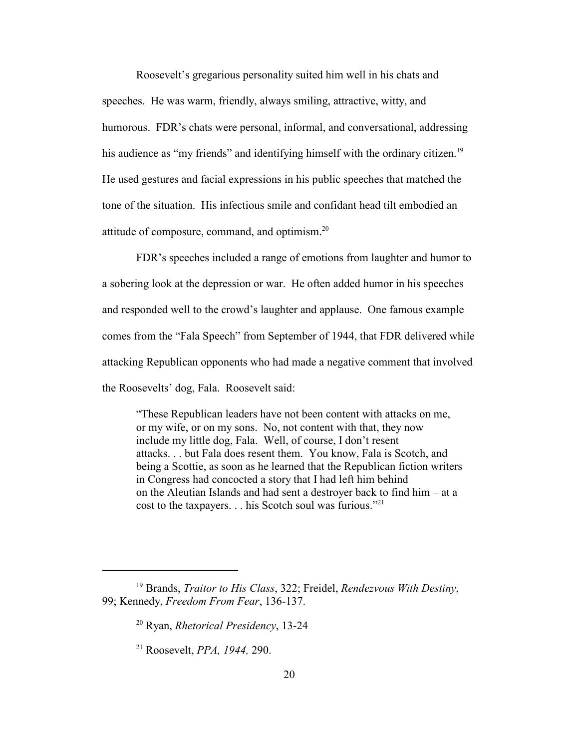Roosevelt's gregarious personality suited him well in his chats and speeches. He was warm, friendly, always smiling, attractive, witty, and humorous. FDR's chats were personal, informal, and conversational, addressing his audience as "my friends" and identifying himself with the ordinary citizen.<sup>19</sup> He used gestures and facial expressions in his public speeches that matched the tone of the situation. His infectious smile and confidant head tilt embodied an attitude of composure, command, and optimism.<sup>20</sup>

FDR's speeches included a range of emotions from laughter and humor to a sobering look at the depression or war. He often added humor in his speeches and responded well to the crowd's laughter and applause. One famous example comes from the "Fala Speech" from September of 1944, that FDR delivered while attacking Republican opponents who had made a negative comment that involved the Roosevelts' dog, Fala. Roosevelt said:

"These Republican leaders have not been content with attacks on me, or my wife, or on my sons. No, not content with that, they now include my little dog, Fala. Well, of course, I don't resent attacks. . . but Fala does resent them. You know, Fala is Scotch, and being a Scottie, as soon as he learned that the Republican fiction writers in Congress had concocted a story that I had left him behind on the Aleutian Islands and had sent a destroyer back to find him – at a cost to the taxpayers. . . his Scotch soul was furious."21

<sup>19</sup> Brands, *Traitor to His Class*, 322; Freidel, *Rendezvous With Destiny*, 99; Kennedy, *Freedom From Fear*, 136-137.

<sup>20</sup> Ryan, *Rhetorical Presidency*, 13-24

<sup>21</sup> Roosevelt, *PPA, 1944,* 290.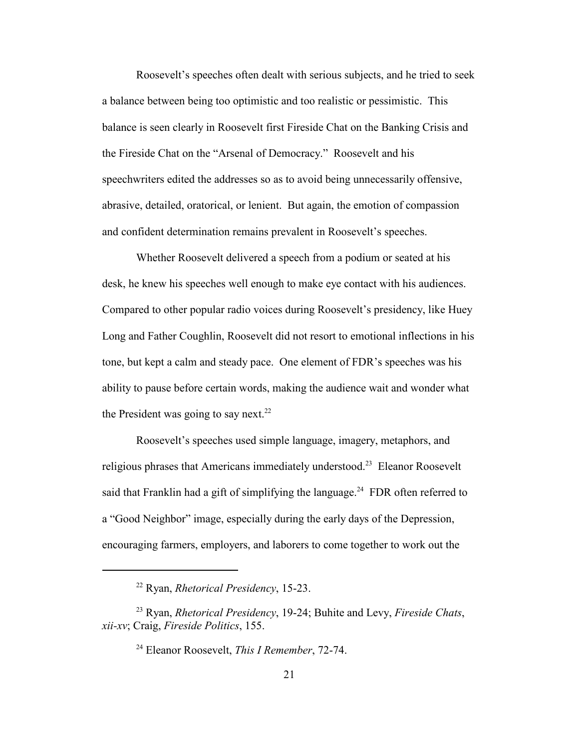Roosevelt's speeches often dealt with serious subjects, and he tried to seek a balance between being too optimistic and too realistic or pessimistic. This balance is seen clearly in Roosevelt first Fireside Chat on the Banking Crisis and the Fireside Chat on the "Arsenal of Democracy." Roosevelt and his speechwriters edited the addresses so as to avoid being unnecessarily offensive, abrasive, detailed, oratorical, or lenient. But again, the emotion of compassion and confident determination remains prevalent in Roosevelt's speeches.

Whether Roosevelt delivered a speech from a podium or seated at his desk, he knew his speeches well enough to make eye contact with his audiences. Compared to other popular radio voices during Roosevelt's presidency, like Huey Long and Father Coughlin, Roosevelt did not resort to emotional inflections in his tone, but kept a calm and steady pace. One element of FDR's speeches was his ability to pause before certain words, making the audience wait and wonder what the President was going to say next.<sup>22</sup>

Roosevelt's speeches used simple language, imagery, metaphors, and religious phrases that Americans immediately understood.<sup>23</sup> Eleanor Roosevelt said that Franklin had a gift of simplifying the language.<sup>24</sup> FDR often referred to a "Good Neighbor" image, especially during the early days of the Depression, encouraging farmers, employers, and laborers to come together to work out the

<sup>22</sup> Ryan, *Rhetorical Presidency*, 15-23.

<sup>23</sup> Ryan, *Rhetorical Presidency*, 19-24; Buhite and Levy, *Fireside Chats*, *xii-xv*; Craig, *Fireside Politics*, 155.

<sup>24</sup> Eleanor Roosevelt, *This I Remember*, 72-74.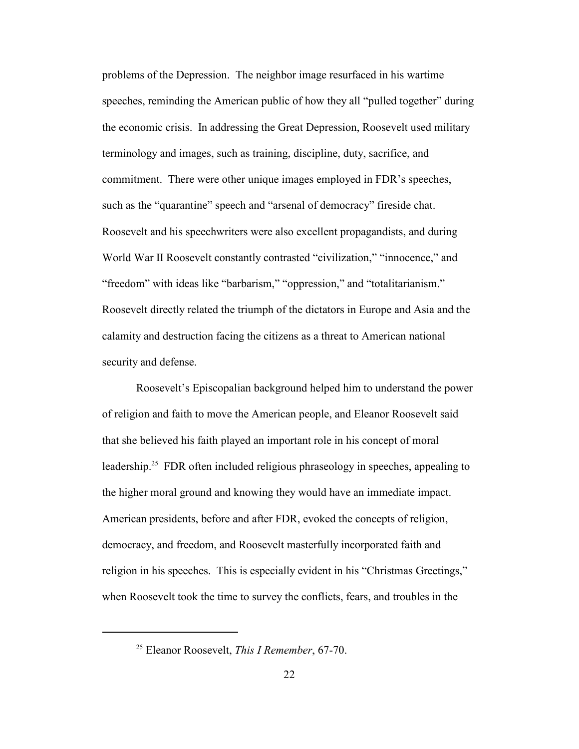problems of the Depression. The neighbor image resurfaced in his wartime speeches, reminding the American public of how they all "pulled together" during the economic crisis. In addressing the Great Depression, Roosevelt used military terminology and images, such as training, discipline, duty, sacrifice, and commitment. There were other unique images employed in FDR's speeches, such as the "quarantine" speech and "arsenal of democracy" fireside chat. Roosevelt and his speechwriters were also excellent propagandists, and during World War II Roosevelt constantly contrasted "civilization," "innocence," and "freedom" with ideas like "barbarism," "oppression," and "totalitarianism." Roosevelt directly related the triumph of the dictators in Europe and Asia and the calamity and destruction facing the citizens as a threat to American national security and defense.

Roosevelt's Episcopalian background helped him to understand the power of religion and faith to move the American people, and Eleanor Roosevelt said that she believed his faith played an important role in his concept of moral leadership.<sup>25</sup> FDR often included religious phraseology in speeches, appealing to the higher moral ground and knowing they would have an immediate impact. American presidents, before and after FDR, evoked the concepts of religion, democracy, and freedom, and Roosevelt masterfully incorporated faith and religion in his speeches. This is especially evident in his "Christmas Greetings," when Roosevelt took the time to survey the conflicts, fears, and troubles in the

<sup>25</sup> Eleanor Roosevelt, *This I Remember*, 67-70.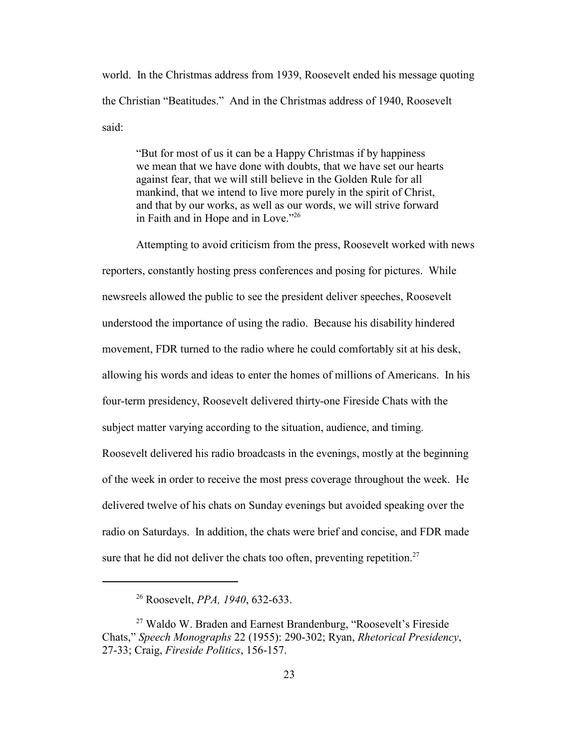world. In the Christmas address from 1939, Roosevelt ended his message quoting the Christian "Beatitudes." And in the Christmas address of 1940, Roosevelt said:

"But for most of us it can be a Happy Christmas if by happiness we mean that we have done with doubts, that we have set our hearts against fear, that we will still believe in the Golden Rule for all mankind, that we intend to live more purely in the spirit of Christ, and that by our works, as well as our words, we will strive forward in Faith and in Hope and in Love."<sup>26</sup>

Attempting to avoid criticism from the press, Roosevelt worked with news reporters, constantly hosting press conferences and posing for pictures. While newsreels allowed the public to see the president deliver speeches, Roosevelt understood the importance of using the radio. Because his disability hindered movement, FDR turned to the radio where he could comfortably sit at his desk, allowing his words and ideas to enter the homes of millions of Americans. In his four-term presidency, Roosevelt delivered thirty-one Fireside Chats with the subject matter varying according to the situation, audience, and timing. Roosevelt delivered his radio broadcasts in the evenings, mostly at the beginning of the week in order to receive the most press coverage throughout the week. He delivered twelve of his chats on Sunday evenings but avoided speaking over the radio on Saturdays. In addition, the chats were brief and concise, and FDR made sure that he did not deliver the chats too often, preventing repetition.<sup>27</sup>

<sup>26</sup> Roosevelt, *PPA, 1940*, 632-633.

<sup>27</sup> Waldo W. Braden and Earnest Brandenburg, "Roosevelt's Fireside Chats," *Speech Monographs* 22 (1955): 290-302; Ryan, *Rhetorical Presidency*, 27-33; Craig, *Fireside Politics*, 156-157.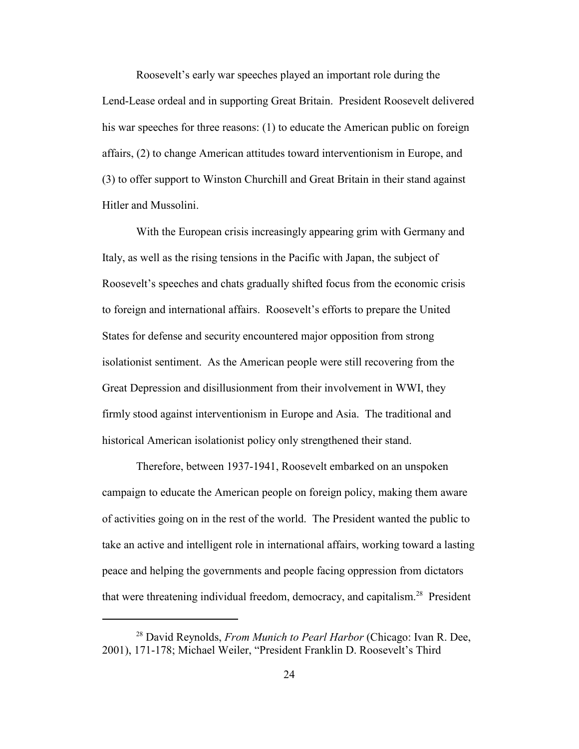Roosevelt's early war speeches played an important role during the Lend-Lease ordeal and in supporting Great Britain. President Roosevelt delivered his war speeches for three reasons: (1) to educate the American public on foreign affairs, (2) to change American attitudes toward interventionism in Europe, and (3) to offer support to Winston Churchill and Great Britain in their stand against Hitler and Mussolini.

With the European crisis increasingly appearing grim with Germany and Italy, as well as the rising tensions in the Pacific with Japan, the subject of Roosevelt's speeches and chats gradually shifted focus from the economic crisis to foreign and international affairs. Roosevelt's efforts to prepare the United States for defense and security encountered major opposition from strong isolationist sentiment. As the American people were still recovering from the Great Depression and disillusionment from their involvement in WWI, they firmly stood against interventionism in Europe and Asia. The traditional and historical American isolationist policy only strengthened their stand.

Therefore, between 1937-1941, Roosevelt embarked on an unspoken campaign to educate the American people on foreign policy, making them aware of activities going on in the rest of the world. The President wanted the public to take an active and intelligent role in international affairs, working toward a lasting peace and helping the governments and people facing oppression from dictators that were threatening individual freedom, democracy, and capitalism.<sup>28</sup> President

<sup>28</sup> David Reynolds, *From Munich to Pearl Harbor* (Chicago: Ivan R. Dee, 2001), 171-178; Michael Weiler, "President Franklin D. Roosevelt's Third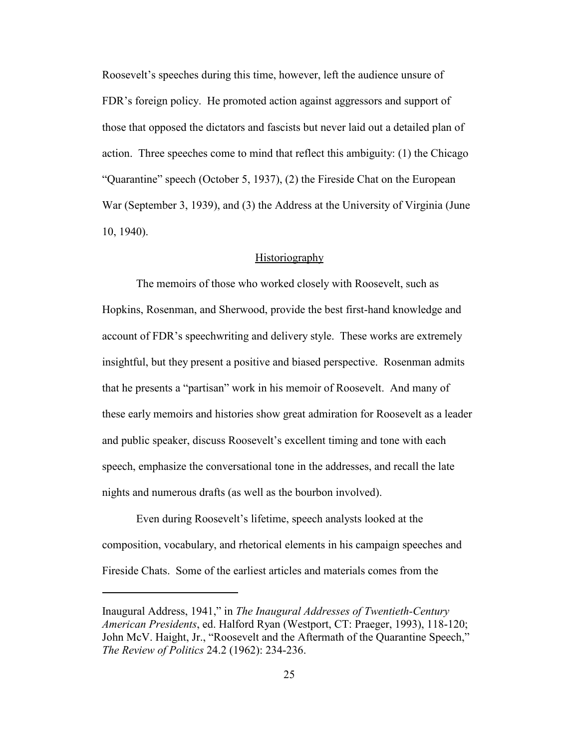Roosevelt's speeches during this time, however, left the audience unsure of FDR's foreign policy. He promoted action against aggressors and support of those that opposed the dictators and fascists but never laid out a detailed plan of action. Three speeches come to mind that reflect this ambiguity: (1) the Chicago "Quarantine" speech (October 5, 1937), (2) the Fireside Chat on the European War (September 3, 1939), and (3) the Address at the University of Virginia (June 10, 1940).

#### **Historiography**

The memoirs of those who worked closely with Roosevelt, such as Hopkins, Rosenman, and Sherwood, provide the best first-hand knowledge and account of FDR's speechwriting and delivery style. These works are extremely insightful, but they present a positive and biased perspective. Rosenman admits that he presents a "partisan" work in his memoir of Roosevelt. And many of these early memoirs and histories show great admiration for Roosevelt as a leader and public speaker, discuss Roosevelt's excellent timing and tone with each speech, emphasize the conversational tone in the addresses, and recall the late nights and numerous drafts (as well as the bourbon involved).

Even during Roosevelt's lifetime, speech analysts looked at the composition, vocabulary, and rhetorical elements in his campaign speeches and Fireside Chats. Some of the earliest articles and materials comes from the

Inaugural Address, 1941," in *The Inaugural Addresses of Twentieth-Century American Presidents*, ed. Halford Ryan (Westport, CT: Praeger, 1993), 118-120; John McV. Haight, Jr., "Roosevelt and the Aftermath of the Quarantine Speech," *The Review of Politics* 24.2 (1962): 234-236.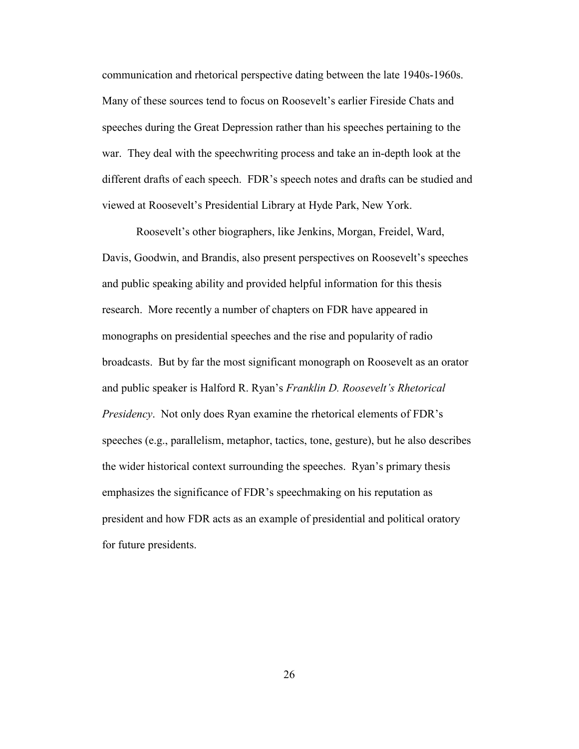communication and rhetorical perspective dating between the late 1940s-1960s. Many of these sources tend to focus on Roosevelt's earlier Fireside Chats and speeches during the Great Depression rather than his speeches pertaining to the war. They deal with the speechwriting process and take an in-depth look at the different drafts of each speech. FDR's speech notes and drafts can be studied and viewed at Roosevelt's Presidential Library at Hyde Park, New York.

Roosevelt's other biographers, like Jenkins, Morgan, Freidel, Ward, Davis, Goodwin, and Brandis, also present perspectives on Roosevelt's speeches and public speaking ability and provided helpful information for this thesis research. More recently a number of chapters on FDR have appeared in monographs on presidential speeches and the rise and popularity of radio broadcasts. But by far the most significant monograph on Roosevelt as an orator and public speaker is Halford R. Ryan's *Franklin D. Roosevelt's Rhetorical Presidency*. Not only does Ryan examine the rhetorical elements of FDR's speeches (e.g., parallelism, metaphor, tactics, tone, gesture), but he also describes the wider historical context surrounding the speeches. Ryan's primary thesis emphasizes the significance of FDR's speechmaking on his reputation as president and how FDR acts as an example of presidential and political oratory for future presidents.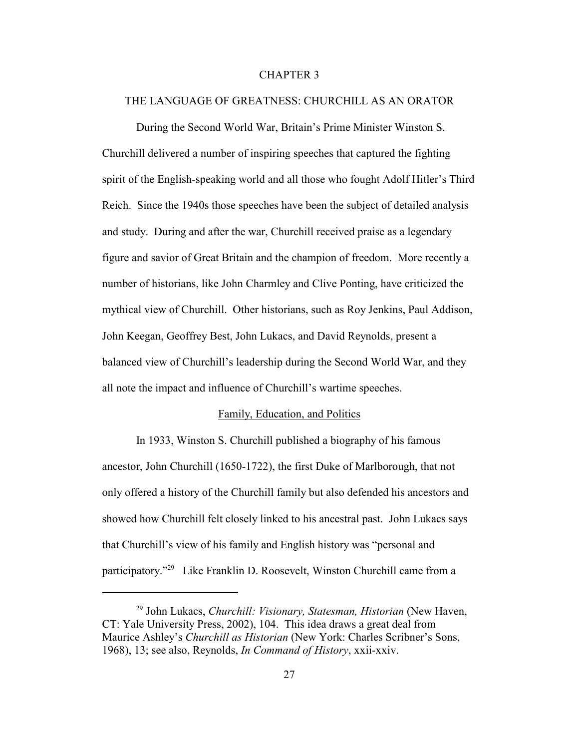# CHAPTER 3

#### THE LANGUAGE OF GREATNESS: CHURCHILL AS AN ORATOR

During the Second World War, Britain's Prime Minister Winston S. Churchill delivered a number of inspiring speeches that captured the fighting spirit of the English-speaking world and all those who fought Adolf Hitler's Third Reich. Since the 1940s those speeches have been the subject of detailed analysis and study. During and after the war, Churchill received praise as a legendary figure and savior of Great Britain and the champion of freedom. More recently a number of historians, like John Charmley and Clive Ponting, have criticized the mythical view of Churchill. Other historians, such as Roy Jenkins, Paul Addison, John Keegan, Geoffrey Best, John Lukacs, and David Reynolds, present a balanced view of Churchill's leadership during the Second World War, and they all note the impact and influence of Churchill's wartime speeches.

#### Family, Education, and Politics

In 1933, Winston S. Churchill published a biography of his famous ancestor, John Churchill (1650-1722), the first Duke of Marlborough, that not only offered a history of the Churchill family but also defended his ancestors and showed how Churchill felt closely linked to his ancestral past. John Lukacs says that Churchill's view of his family and English history was "personal and participatory."29 Like Franklin D. Roosevelt, Winston Churchill came from a

<sup>29</sup> John Lukacs, *Churchill: Visionary, Statesman, Historian* (New Haven, CT: Yale University Press, 2002), 104. This idea draws a great deal from Maurice Ashley's *Churchill as Historian* (New York: Charles Scribner's Sons, 1968), 13; see also, Reynolds, *In Command of History*, xxii-xxiv.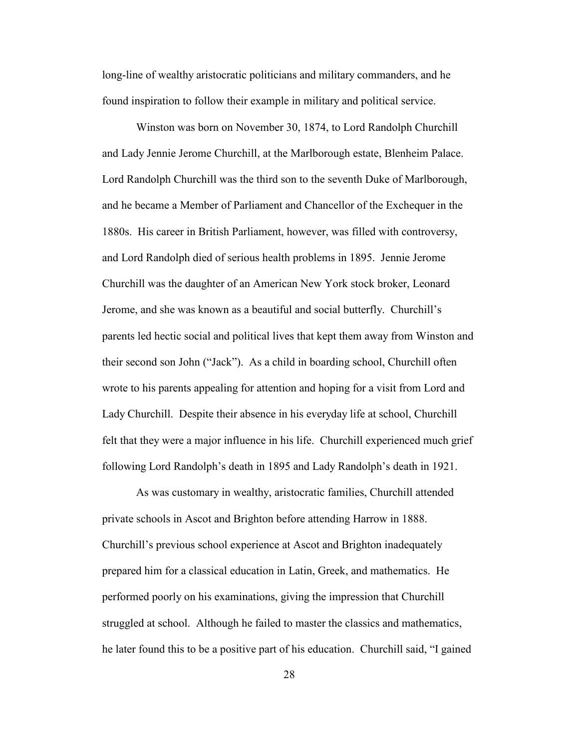long-line of wealthy aristocratic politicians and military commanders, and he found inspiration to follow their example in military and political service.

Winston was born on November 30, 1874, to Lord Randolph Churchill and Lady Jennie Jerome Churchill, at the Marlborough estate, Blenheim Palace. Lord Randolph Churchill was the third son to the seventh Duke of Marlborough, and he became a Member of Parliament and Chancellor of the Exchequer in the 1880s. His career in British Parliament, however, was filled with controversy, and Lord Randolph died of serious health problems in 1895. Jennie Jerome Churchill was the daughter of an American New York stock broker, Leonard Jerome, and she was known as a beautiful and social butterfly. Churchill's parents led hectic social and political lives that kept them away from Winston and their second son John ("Jack"). As a child in boarding school, Churchill often wrote to his parents appealing for attention and hoping for a visit from Lord and Lady Churchill. Despite their absence in his everyday life at school, Churchill felt that they were a major influence in his life. Churchill experienced much grief following Lord Randolph's death in 1895 and Lady Randolph's death in 1921.

As was customary in wealthy, aristocratic families, Churchill attended private schools in Ascot and Brighton before attending Harrow in 1888. Churchill's previous school experience at Ascot and Brighton inadequately prepared him for a classical education in Latin, Greek, and mathematics. He performed poorly on his examinations, giving the impression that Churchill struggled at school. Although he failed to master the classics and mathematics, he later found this to be a positive part of his education. Churchill said, "I gained

28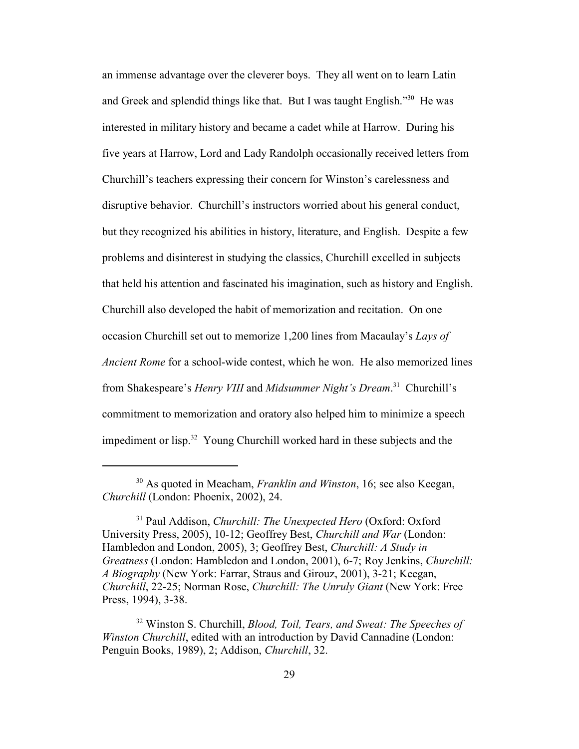an immense advantage over the cleverer boys. They all went on to learn Latin and Greek and splendid things like that. But I was taught English."<sup>30</sup> He was interested in military history and became a cadet while at Harrow. During his five years at Harrow, Lord and Lady Randolph occasionally received letters from Churchill's teachers expressing their concern for Winston's carelessness and disruptive behavior. Churchill's instructors worried about his general conduct, but they recognized his abilities in history, literature, and English. Despite a few problems and disinterest in studying the classics, Churchill excelled in subjects that held his attention and fascinated his imagination, such as history and English. Churchill also developed the habit of memorization and recitation. On one occasion Churchill set out to memorize 1,200 lines from Macaulay's *Lays of Ancient Rome* for a school-wide contest, which he won. He also memorized lines from Shakespeare's *Henry VIII* and *Midsummer Night's Dream*.<sup>31</sup> Churchill's commitment to memorization and oratory also helped him to minimize a speech impediment or lisp.<sup>32</sup> Young Churchill worked hard in these subjects and the

<sup>30</sup> As quoted in Meacham, *Franklin and Winston*, 16; see also Keegan, *Churchill* (London: Phoenix, 2002), 24.

<sup>31</sup> Paul Addison, *Churchill: The Unexpected Hero* (Oxford: Oxford University Press, 2005), 10-12; Geoffrey Best, *Churchill and War* (London: Hambledon and London, 2005), 3; Geoffrey Best, *Churchill: A Study in Greatness* (London: Hambledon and London, 2001), 6-7; Roy Jenkins, *Churchill: A Biography* (New York: Farrar, Straus and Girouz, 2001), 3-21; Keegan, *Churchill*, 22-25; Norman Rose, *Churchill: The Unruly Giant* (New York: Free Press, 1994), 3-38.

<sup>32</sup> Winston S. Churchill, *Blood, Toil, Tears, and Sweat: The Speeches of Winston Churchill*, edited with an introduction by David Cannadine (London: Penguin Books, 1989), 2; Addison, *Churchill*, 32.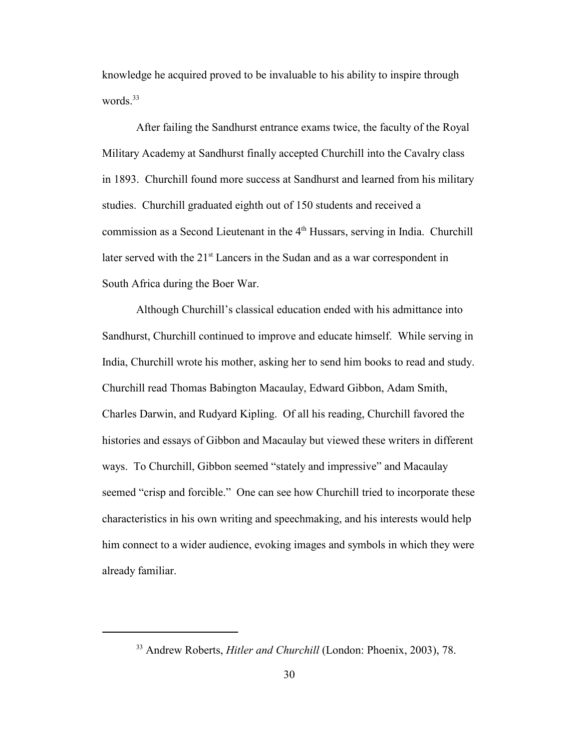knowledge he acquired proved to be invaluable to his ability to inspire through words.<sup>33</sup>

After failing the Sandhurst entrance exams twice, the faculty of the Royal Military Academy at Sandhurst finally accepted Churchill into the Cavalry class in 1893. Churchill found more success at Sandhurst and learned from his military studies. Churchill graduated eighth out of 150 students and received a commission as a Second Lieutenant in the 4<sup>th</sup> Hussars, serving in India. Churchill later served with the 21<sup>st</sup> Lancers in the Sudan and as a war correspondent in South Africa during the Boer War.

Although Churchill's classical education ended with his admittance into Sandhurst, Churchill continued to improve and educate himself. While serving in India, Churchill wrote his mother, asking her to send him books to read and study. Churchill read Thomas Babington Macaulay, Edward Gibbon, Adam Smith, Charles Darwin, and Rudyard Kipling. Of all his reading, Churchill favored the histories and essays of Gibbon and Macaulay but viewed these writers in different ways. To Churchill, Gibbon seemed "stately and impressive" and Macaulay seemed "crisp and forcible." One can see how Churchill tried to incorporate these characteristics in his own writing and speechmaking, and his interests would help him connect to a wider audience, evoking images and symbols in which they were already familiar.

<sup>33</sup> Andrew Roberts, *Hitler and Churchill* (London: Phoenix, 2003), 78.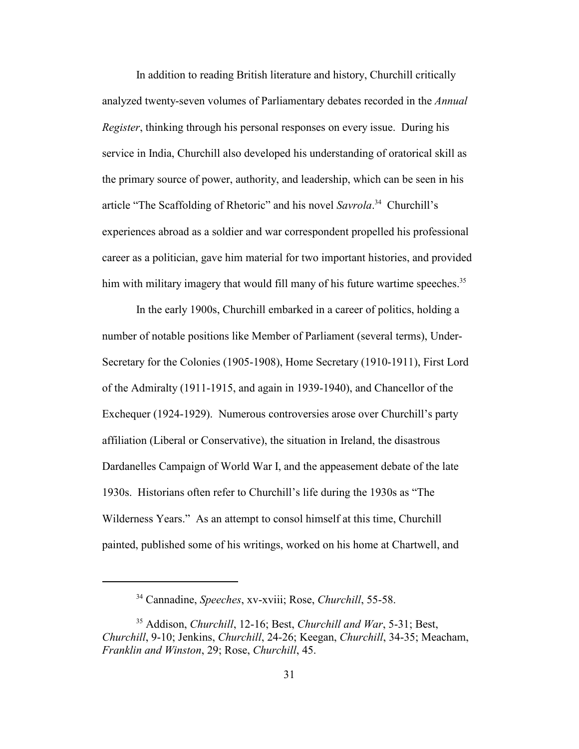In addition to reading British literature and history, Churchill critically analyzed twenty-seven volumes of Parliamentary debates recorded in the *Annual Register*, thinking through his personal responses on every issue. During his service in India, Churchill also developed his understanding of oratorical skill as the primary source of power, authority, and leadership, which can be seen in his article "The Scaffolding of Rhetoric" and his novel *Savrola*. <sup>34</sup> Churchill's experiences abroad as a soldier and war correspondent propelled his professional career as a politician, gave him material for two important histories, and provided him with military imagery that would fill many of his future wartime speeches.<sup>35</sup>

In the early 1900s, Churchill embarked in a career of politics, holding a number of notable positions like Member of Parliament (several terms), Under-Secretary for the Colonies (1905-1908), Home Secretary (1910-1911), First Lord of the Admiralty (1911-1915, and again in 1939-1940), and Chancellor of the Exchequer (1924-1929). Numerous controversies arose over Churchill's party affiliation (Liberal or Conservative), the situation in Ireland, the disastrous Dardanelles Campaign of World War I, and the appeasement debate of the late 1930s. Historians often refer to Churchill's life during the 1930s as "The Wilderness Years." As an attempt to consol himself at this time, Churchill painted, published some of his writings, worked on his home at Chartwell, and

<sup>34</sup> Cannadine, *Speeches*, xv-xviii; Rose, *Churchill*, 55-58.

<sup>35</sup> Addison, *Churchill*, 12-16; Best, *Churchill and War*, 5-31; Best, *Churchill*, 9-10; Jenkins, *Churchill*, 24-26; Keegan, *Churchill*, 34-35; Meacham, *Franklin and Winston*, 29; Rose, *Churchill*, 45.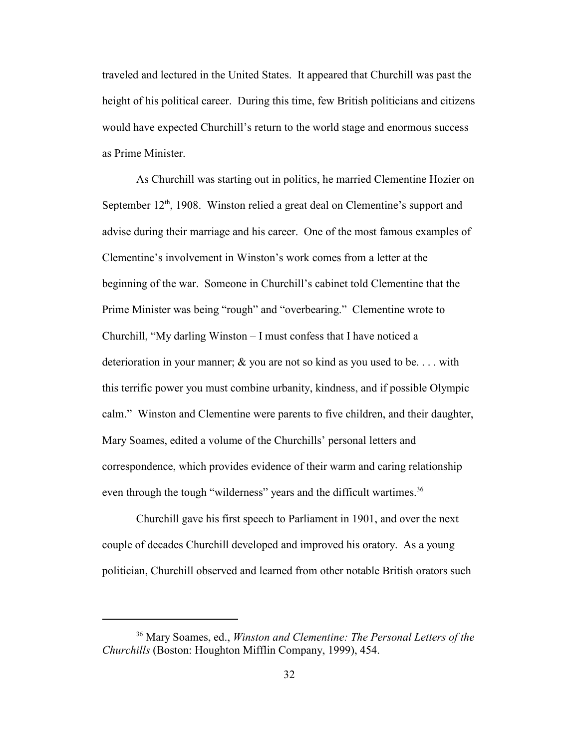traveled and lectured in the United States. It appeared that Churchill was past the height of his political career. During this time, few British politicians and citizens would have expected Churchill's return to the world stage and enormous success as Prime Minister.

As Churchill was starting out in politics, he married Clementine Hozier on September  $12<sup>th</sup>$ , 1908. Winston relied a great deal on Clementine's support and advise during their marriage and his career. One of the most famous examples of Clementine's involvement in Winston's work comes from a letter at the beginning of the war. Someone in Churchill's cabinet told Clementine that the Prime Minister was being "rough" and "overbearing." Clementine wrote to Churchill, "My darling Winston – I must confess that I have noticed a deterioration in your manner; & you are not so kind as you used to be. . . . with this terrific power you must combine urbanity, kindness, and if possible Olympic calm." Winston and Clementine were parents to five children, and their daughter, Mary Soames, edited a volume of the Churchills' personal letters and correspondence, which provides evidence of their warm and caring relationship even through the tough "wilderness" years and the difficult wartimes.<sup>36</sup>

Churchill gave his first speech to Parliament in 1901, and over the next couple of decades Churchill developed and improved his oratory. As a young politician, Churchill observed and learned from other notable British orators such

<sup>36</sup> Mary Soames, ed., *Winston and Clementine: The Personal Letters of the Churchills* (Boston: Houghton Mifflin Company, 1999), 454.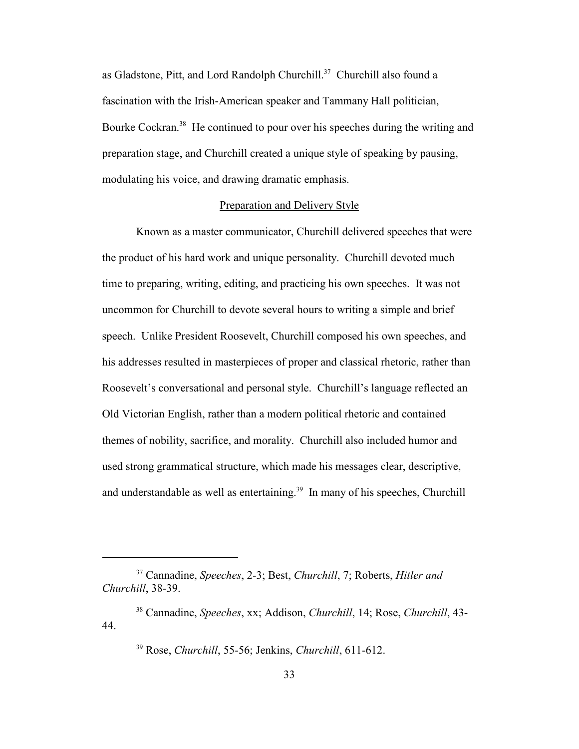as Gladstone, Pitt, and Lord Randolph Churchill.<sup>37</sup> Churchill also found a fascination with the Irish-American speaker and Tammany Hall politician, Bourke Cockran.<sup>38</sup> He continued to pour over his speeches during the writing and preparation stage, and Churchill created a unique style of speaking by pausing, modulating his voice, and drawing dramatic emphasis.

## Preparation and Delivery Style

Known as a master communicator, Churchill delivered speeches that were the product of his hard work and unique personality. Churchill devoted much time to preparing, writing, editing, and practicing his own speeches. It was not uncommon for Churchill to devote several hours to writing a simple and brief speech. Unlike President Roosevelt, Churchill composed his own speeches, and his addresses resulted in masterpieces of proper and classical rhetoric, rather than Roosevelt's conversational and personal style. Churchill's language reflected an Old Victorian English, rather than a modern political rhetoric and contained themes of nobility, sacrifice, and morality. Churchill also included humor and used strong grammatical structure, which made his messages clear, descriptive, and understandable as well as entertaining.<sup>39</sup> In many of his speeches, Churchill

<sup>37</sup> Cannadine, *Speeches*, 2-3; Best, *Churchill*, 7; Roberts, *Hitler and Churchill*, 38-39.

<sup>38</sup> Cannadine, *Speeches*, xx; Addison, *Churchill*, 14; Rose, *Churchill*, 43- 44.

<sup>39</sup> Rose, *Churchill*, 55-56; Jenkins, *Churchill*, 611-612.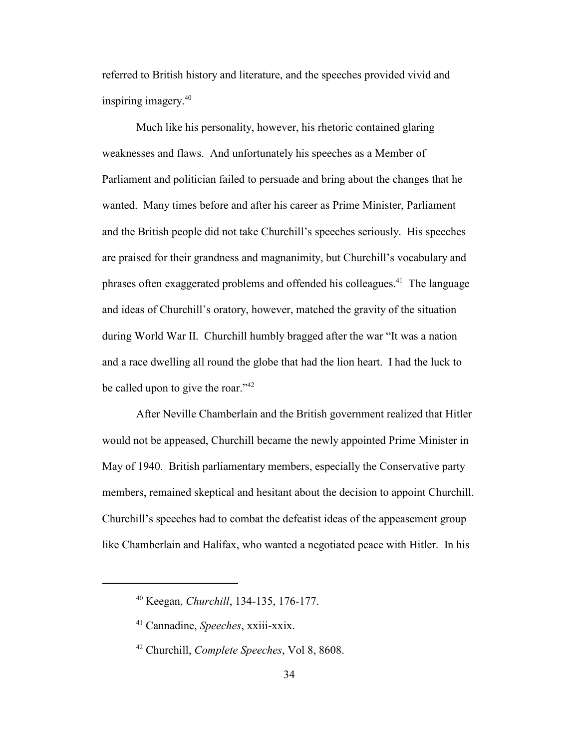referred to British history and literature, and the speeches provided vivid and inspiring imagery.<sup>40</sup>

Much like his personality, however, his rhetoric contained glaring weaknesses and flaws. And unfortunately his speeches as a Member of Parliament and politician failed to persuade and bring about the changes that he wanted. Many times before and after his career as Prime Minister, Parliament and the British people did not take Churchill's speeches seriously. His speeches are praised for their grandness and magnanimity, but Churchill's vocabulary and phrases often exaggerated problems and offended his colleagues.<sup>41</sup> The language and ideas of Churchill's oratory, however, matched the gravity of the situation during World War II. Churchill humbly bragged after the war "It was a nation and a race dwelling all round the globe that had the lion heart. I had the luck to be called upon to give the roar."<sup>42</sup>

After Neville Chamberlain and the British government realized that Hitler would not be appeased, Churchill became the newly appointed Prime Minister in May of 1940. British parliamentary members, especially the Conservative party members, remained skeptical and hesitant about the decision to appoint Churchill. Churchill's speeches had to combat the defeatist ideas of the appeasement group like Chamberlain and Halifax, who wanted a negotiated peace with Hitler. In his

<sup>40</sup> Keegan, *Churchill*, 134-135, 176-177.

<sup>41</sup> Cannadine, *Speeches*, xxiii-xxix.

<sup>42</sup> Churchill, *Complete Speeches*, Vol 8, 8608.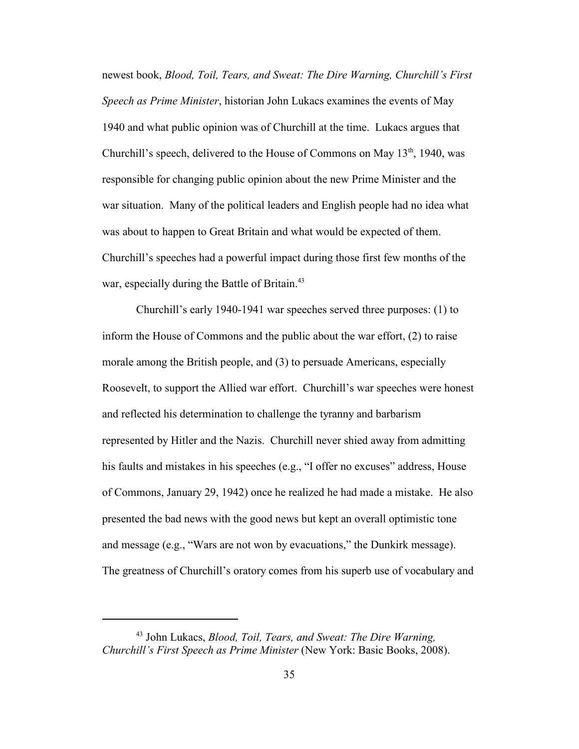newest book, *Blood, Toil, Tears, and Sweat: The Dire Warning, Churchill's First Speech as Prime Minister*, historian John Lukacs examines the events of May 1940 and what public opinion was of Churchill at the time. Lukacs argues that Churchill's speech, delivered to the House of Commons on May  $13<sup>th</sup>$ , 1940, was responsible for changing public opinion about the new Prime Minister and the war situation. Many of the political leaders and English people had no idea what was about to happen to Great Britain and what would be expected of them. Churchill's speeches had a powerful impact during those first few months of the war, especially during the Battle of Britain.<sup>43</sup>

Churchill's early 1940-1941 war speeches served three purposes: (1) to inform the House of Commons and the public about the war effort, (2) to raise morale among the British people, and (3) to persuade Americans, especially Roosevelt, to support the Allied war effort. Churchill's war speeches were honest and reflected his determination to challenge the tyranny and barbarism represented by Hitler and the Nazis. Churchill never shied away from admitting his faults and mistakes in his speeches (e.g., "I offer no excuses" address, House of Commons, January 29, 1942) once he realized he had made a mistake. He also presented the bad news with the good news but kept an overall optimistic tone and message (e.g., "Wars are not won by evacuations," the Dunkirk message). The greatness of Churchill's oratory comes from his superb use of vocabulary and

<sup>43</sup> John Lukacs, *Blood, Toil, Tears, and Sweat: The Dire Warning, Churchill's First Speech as Prime Minister* (New York: Basic Books, 2008).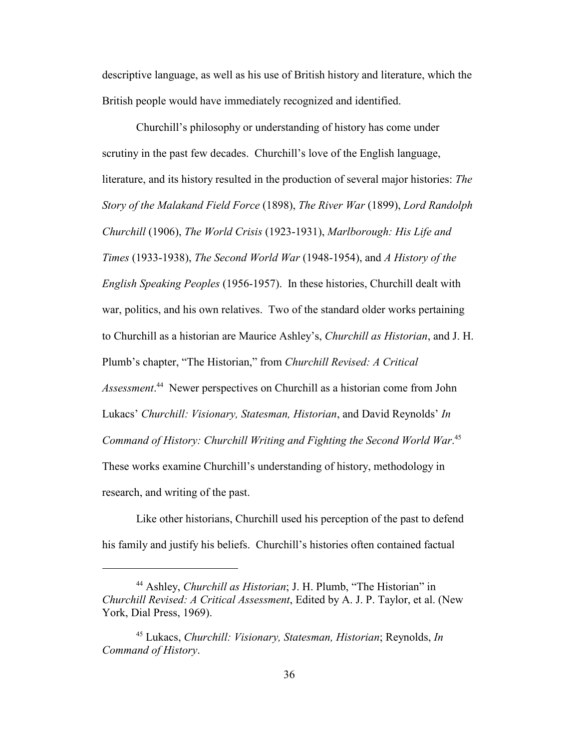descriptive language, as well as his use of British history and literature, which the British people would have immediately recognized and identified.

Churchill's philosophy or understanding of history has come under scrutiny in the past few decades. Churchill's love of the English language, literature, and its history resulted in the production of several major histories: *The Story of the Malakand Field Force* (1898), *The River War* (1899), *Lord Randolph Churchill* (1906), *The World Crisis* (1923-1931), *Marlborough: His Life and Times* (1933-1938), *The Second World War* (1948-1954), and *A History of the English Speaking Peoples* (1956-1957). In these histories, Churchill dealt with war, politics, and his own relatives. Two of the standard older works pertaining to Churchill as a historian are Maurice Ashley's, *Churchill as Historian*, and J. H. Plumb's chapter, "The Historian," from *Churchill Revised: A Critical Assessment*. <sup>44</sup> Newer perspectives on Churchill as a historian come from John Lukacs' *Churchill: Visionary, Statesman, Historian*, and David Reynolds' *In Command of History: Churchill Writing and Fighting the Second World War*. 45 These works examine Churchill's understanding of history, methodology in research, and writing of the past.

Like other historians, Churchill used his perception of the past to defend his family and justify his beliefs. Churchill's histories often contained factual

<sup>44</sup> Ashley, *Churchill as Historian*; J. H. Plumb, "The Historian" in *Churchill Revised: A Critical Assessment*, Edited by A. J. P. Taylor, et al. (New York, Dial Press, 1969).

<sup>45</sup> Lukacs, *Churchill: Visionary, Statesman, Historian*; Reynolds, *In Command of History*.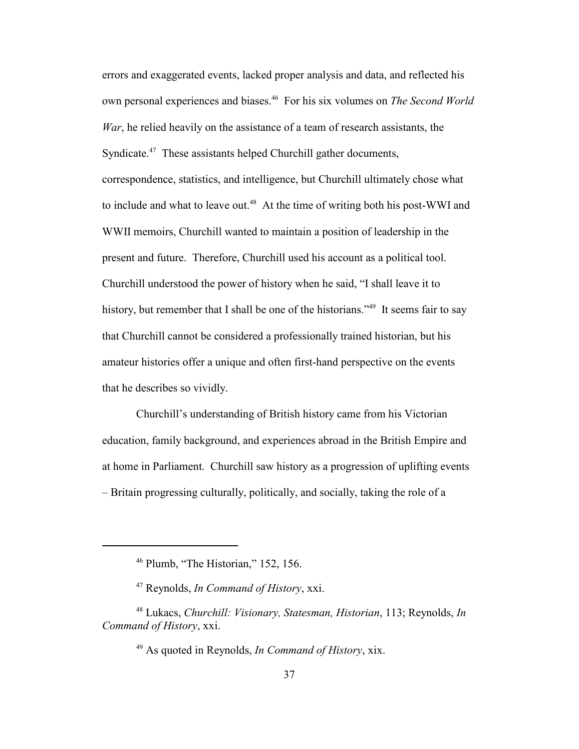errors and exaggerated events, lacked proper analysis and data, and reflected his own personal experiences and biases.<sup>46</sup> For his six volumes on *The Second World War*, he relied heavily on the assistance of a team of research assistants, the Syndicate.<sup>47</sup> These assistants helped Churchill gather documents, correspondence, statistics, and intelligence, but Churchill ultimately chose what to include and what to leave out.<sup>48</sup> At the time of writing both his post-WWI and WWII memoirs, Churchill wanted to maintain a position of leadership in the present and future. Therefore, Churchill used his account as a political tool. Churchill understood the power of history when he said, "I shall leave it to history, but remember that I shall be one of the historians."<sup>49</sup> It seems fair to say that Churchill cannot be considered a professionally trained historian, but his amateur histories offer a unique and often first-hand perspective on the events that he describes so vividly.

Churchill's understanding of British history came from his Victorian education, family background, and experiences abroad in the British Empire and at home in Parliament. Churchill saw history as a progression of uplifting events – Britain progressing culturally, politically, and socially, taking the role of a

 $46$  Plumb, "The Historian," 152, 156.

<sup>47</sup> Reynolds, *In Command of History*, xxi.

<sup>48</sup> Lukacs, *Churchill: Visionary, Statesman, Historian*, 113; Reynolds, *In Command of History*, xxi.

<sup>49</sup> As quoted in Reynolds, *In Command of History*, xix.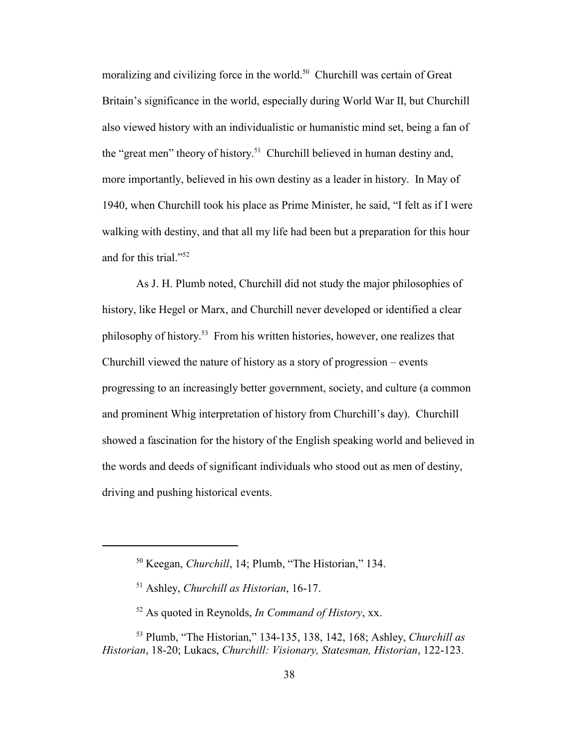moralizing and civilizing force in the world.<sup>50</sup> Churchill was certain of Great Britain's significance in the world, especially during World War II, but Churchill also viewed history with an individualistic or humanistic mind set, being a fan of the "great men" theory of history.<sup>51</sup> Churchill believed in human destiny and, more importantly, believed in his own destiny as a leader in history. In May of 1940, when Churchill took his place as Prime Minister, he said, "I felt as if I were walking with destiny, and that all my life had been but a preparation for this hour and for this trial."<sup>52</sup>

As J. H. Plumb noted, Churchill did not study the major philosophies of history, like Hegel or Marx, and Churchill never developed or identified a clear philosophy of history.<sup>53</sup> From his written histories, however, one realizes that Churchill viewed the nature of history as a story of progression – events progressing to an increasingly better government, society, and culture (a common and prominent Whig interpretation of history from Churchill's day). Churchill showed a fascination for the history of the English speaking world and believed in the words and deeds of significant individuals who stood out as men of destiny, driving and pushing historical events.

<sup>50</sup> Keegan, *Churchill*, 14; Plumb, "The Historian," 134.

<sup>51</sup> Ashley, *Churchill as Historian*, 16-17.

<sup>52</sup> As quoted in Reynolds, *In Command of History*, xx.

<sup>53</sup> Plumb, "The Historian," 134-135, 138, 142, 168; Ashley, *Churchill as Historian*, 18-20; Lukacs, *Churchill: Visionary, Statesman, Historian*, 122-123.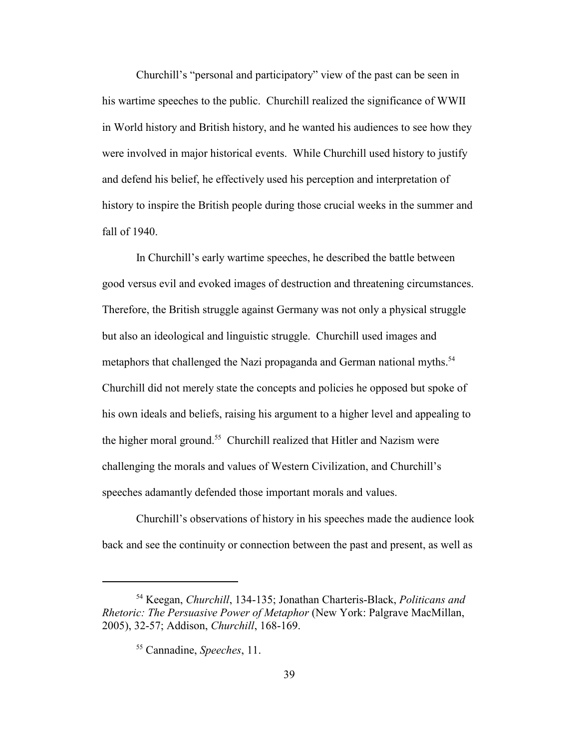Churchill's "personal and participatory" view of the past can be seen in his wartime speeches to the public. Churchill realized the significance of WWII in World history and British history, and he wanted his audiences to see how they were involved in major historical events. While Churchill used history to justify and defend his belief, he effectively used his perception and interpretation of history to inspire the British people during those crucial weeks in the summer and fall of 1940.

In Churchill's early wartime speeches, he described the battle between good versus evil and evoked images of destruction and threatening circumstances. Therefore, the British struggle against Germany was not only a physical struggle but also an ideological and linguistic struggle. Churchill used images and metaphors that challenged the Nazi propaganda and German national myths.<sup>54</sup> Churchill did not merely state the concepts and policies he opposed but spoke of his own ideals and beliefs, raising his argument to a higher level and appealing to the higher moral ground.<sup>55</sup> Churchill realized that Hitler and Nazism were challenging the morals and values of Western Civilization, and Churchill's speeches adamantly defended those important morals and values.

Churchill's observations of history in his speeches made the audience look back and see the continuity or connection between the past and present, as well as

<sup>54</sup> Keegan, *Churchill*, 134-135; Jonathan Charteris-Black, *Politicans and Rhetoric: The Persuasive Power of Metaphor* (New York: Palgrave MacMillan, 2005), 32-57; Addison, *Churchill*, 168-169.

<sup>55</sup> Cannadine, *Speeches*, 11.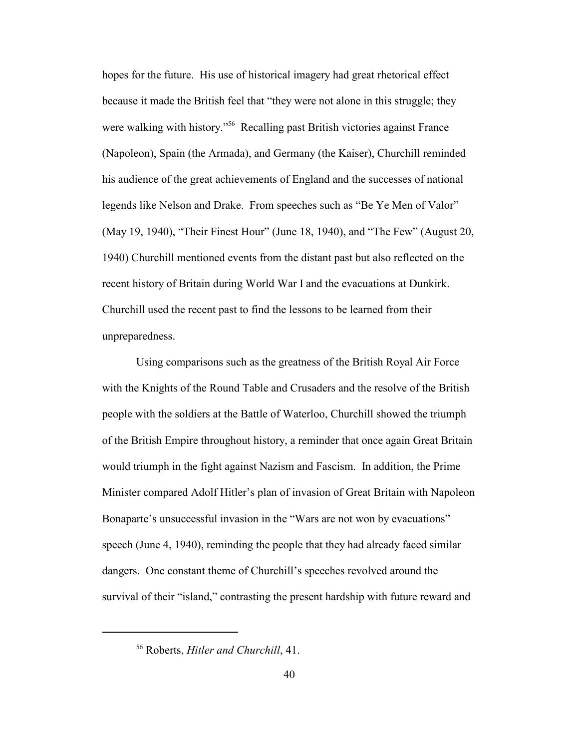hopes for the future. His use of historical imagery had great rhetorical effect because it made the British feel that "they were not alone in this struggle; they were walking with history."<sup>56</sup> Recalling past British victories against France (Napoleon), Spain (the Armada), and Germany (the Kaiser), Churchill reminded his audience of the great achievements of England and the successes of national legends like Nelson and Drake. From speeches such as "Be Ye Men of Valor" (May 19, 1940), "Their Finest Hour" (June 18, 1940), and "The Few" (August 20, 1940) Churchill mentioned events from the distant past but also reflected on the recent history of Britain during World War I and the evacuations at Dunkirk. Churchill used the recent past to find the lessons to be learned from their unpreparedness.

Using comparisons such as the greatness of the British Royal Air Force with the Knights of the Round Table and Crusaders and the resolve of the British people with the soldiers at the Battle of Waterloo, Churchill showed the triumph of the British Empire throughout history, a reminder that once again Great Britain would triumph in the fight against Nazism and Fascism. In addition, the Prime Minister compared Adolf Hitler's plan of invasion of Great Britain with Napoleon Bonaparte's unsuccessful invasion in the "Wars are not won by evacuations" speech (June 4, 1940), reminding the people that they had already faced similar dangers. One constant theme of Churchill's speeches revolved around the survival of their "island," contrasting the present hardship with future reward and

<sup>56</sup> Roberts, *Hitler and Churchill*, 41.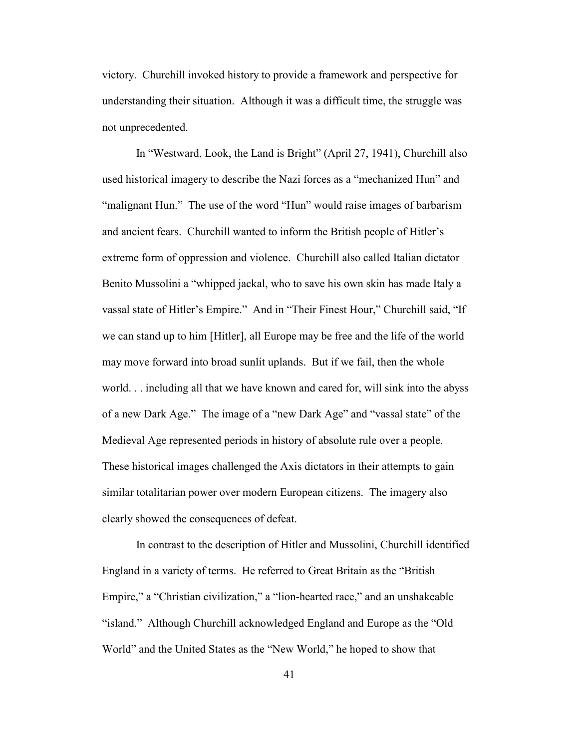victory. Churchill invoked history to provide a framework and perspective for understanding their situation. Although it was a difficult time, the struggle was not unprecedented.

In "Westward, Look, the Land is Bright" (April 27, 1941), Churchill also used historical imagery to describe the Nazi forces as a "mechanized Hun" and "malignant Hun." The use of the word "Hun" would raise images of barbarism and ancient fears. Churchill wanted to inform the British people of Hitler's extreme form of oppression and violence. Churchill also called Italian dictator Benito Mussolini a "whipped jackal, who to save his own skin has made Italy a vassal state of Hitler's Empire." And in "Their Finest Hour," Churchill said, "If we can stand up to him [Hitler], all Europe may be free and the life of the world may move forward into broad sunlit uplands. But if we fail, then the whole world. . . including all that we have known and cared for, will sink into the abyss of a new Dark Age." The image of a "new Dark Age" and "vassal state" of the Medieval Age represented periods in history of absolute rule over a people. These historical images challenged the Axis dictators in their attempts to gain similar totalitarian power over modern European citizens. The imagery also clearly showed the consequences of defeat.

In contrast to the description of Hitler and Mussolini, Churchill identified England in a variety of terms. He referred to Great Britain as the "British Empire," a "Christian civilization," a "lion-hearted race," and an unshakeable "island." Although Churchill acknowledged England and Europe as the "Old World" and the United States as the "New World," he hoped to show that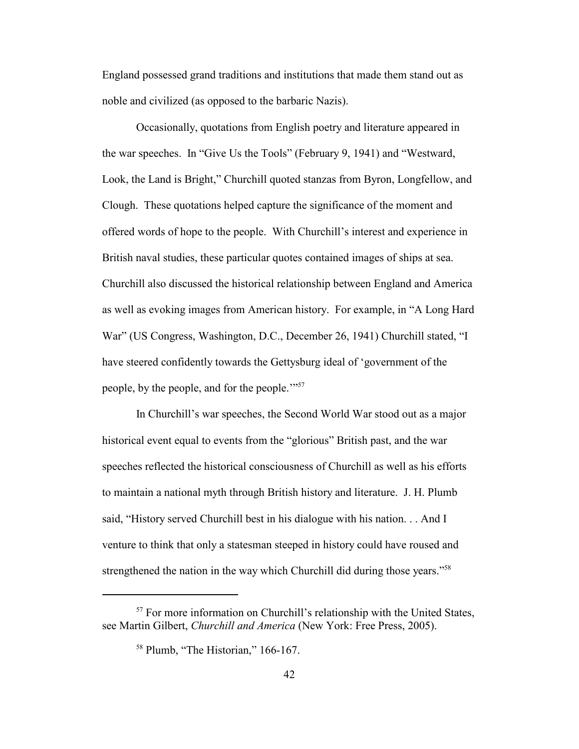England possessed grand traditions and institutions that made them stand out as noble and civilized (as opposed to the barbaric Nazis).

Occasionally, quotations from English poetry and literature appeared in the war speeches. In "Give Us the Tools" (February 9, 1941) and "Westward, Look, the Land is Bright," Churchill quoted stanzas from Byron, Longfellow, and Clough. These quotations helped capture the significance of the moment and offered words of hope to the people. With Churchill's interest and experience in British naval studies, these particular quotes contained images of ships at sea. Churchill also discussed the historical relationship between England and America as well as evoking images from American history. For example, in "A Long Hard War" (US Congress, Washington, D.C., December 26, 1941) Churchill stated, "I have steered confidently towards the Gettysburg ideal of 'government of the people, by the people, and for the people.'"<sup>57</sup>

In Churchill's war speeches, the Second World War stood out as a major historical event equal to events from the "glorious" British past, and the war speeches reflected the historical consciousness of Churchill as well as his efforts to maintain a national myth through British history and literature. J. H. Plumb said, "History served Churchill best in his dialogue with his nation. . . And I venture to think that only a statesman steeped in history could have roused and strengthened the nation in the way which Churchill did during those years."<sup>58</sup>

<sup>&</sup>lt;sup>57</sup> For more information on Churchill's relationship with the United States, see Martin Gilbert, *Churchill and America* (New York: Free Press, 2005).

<sup>&</sup>lt;sup>58</sup> Plumb, "The Historian," 166-167.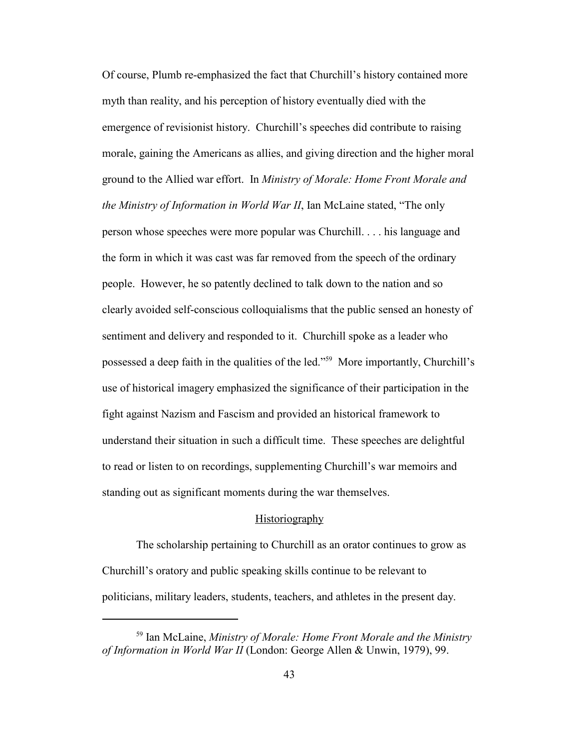Of course, Plumb re-emphasized the fact that Churchill's history contained more myth than reality, and his perception of history eventually died with the emergence of revisionist history. Churchill's speeches did contribute to raising morale, gaining the Americans as allies, and giving direction and the higher moral ground to the Allied war effort. In *Ministry of Morale: Home Front Morale and the Ministry of Information in World War II*, Ian McLaine stated, "The only person whose speeches were more popular was Churchill. . . . his language and the form in which it was cast was far removed from the speech of the ordinary people. However, he so patently declined to talk down to the nation and so clearly avoided self-conscious colloquialisms that the public sensed an honesty of sentiment and delivery and responded to it. Churchill spoke as a leader who possessed a deep faith in the qualities of the led." <sup>59</sup> More importantly, Churchill's use of historical imagery emphasized the significance of their participation in the fight against Nazism and Fascism and provided an historical framework to understand their situation in such a difficult time. These speeches are delightful to read or listen to on recordings, supplementing Churchill's war memoirs and standing out as significant moments during the war themselves.

### Historiography

The scholarship pertaining to Churchill as an orator continues to grow as Churchill's oratory and public speaking skills continue to be relevant to politicians, military leaders, students, teachers, and athletes in the present day.

<sup>59</sup> Ian McLaine, *Ministry of Morale: Home Front Morale and the Ministry of Information in World War II* (London: George Allen & Unwin, 1979), 99.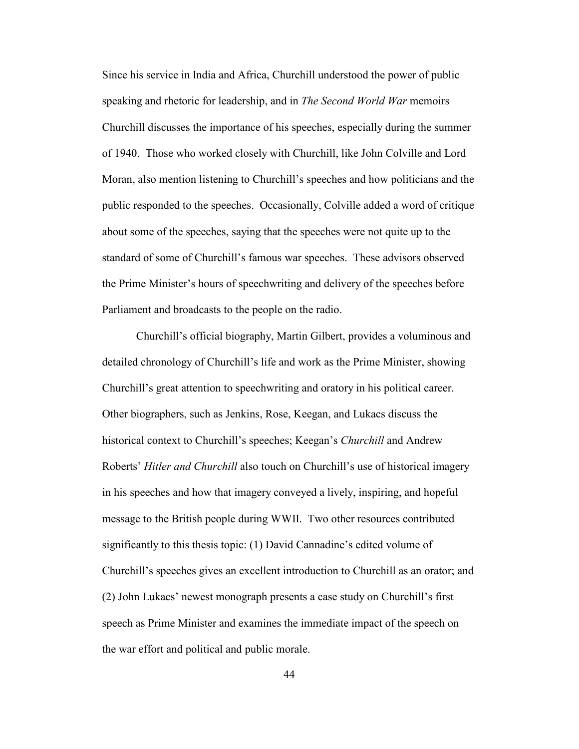Since his service in India and Africa, Churchill understood the power of public speaking and rhetoric for leadership, and in *The Second World War* memoirs Churchill discusses the importance of his speeches, especially during the summer of 1940. Those who worked closely with Churchill, like John Colville and Lord Moran, also mention listening to Churchill's speeches and how politicians and the public responded to the speeches. Occasionally, Colville added a word of critique about some of the speeches, saying that the speeches were not quite up to the standard of some of Churchill's famous war speeches. These advisors observed the Prime Minister's hours of speechwriting and delivery of the speeches before Parliament and broadcasts to the people on the radio.

Churchill's official biography, Martin Gilbert, provides a voluminous and detailed chronology of Churchill's life and work as the Prime Minister, showing Churchill's great attention to speechwriting and oratory in his political career. Other biographers, such as Jenkins, Rose, Keegan, and Lukacs discuss the historical context to Churchill's speeches; Keegan's *Churchill* and Andrew Roberts' *Hitler and Churchill* also touch on Churchill's use of historical imagery in his speeches and how that imagery conveyed a lively, inspiring, and hopeful message to the British people during WWII. Two other resources contributed significantly to this thesis topic: (1) David Cannadine's edited volume of Churchill's speeches gives an excellent introduction to Churchill as an orator; and (2) John Lukacs' newest monograph presents a case study on Churchill's first speech as Prime Minister and examines the immediate impact of the speech on the war effort and political and public morale.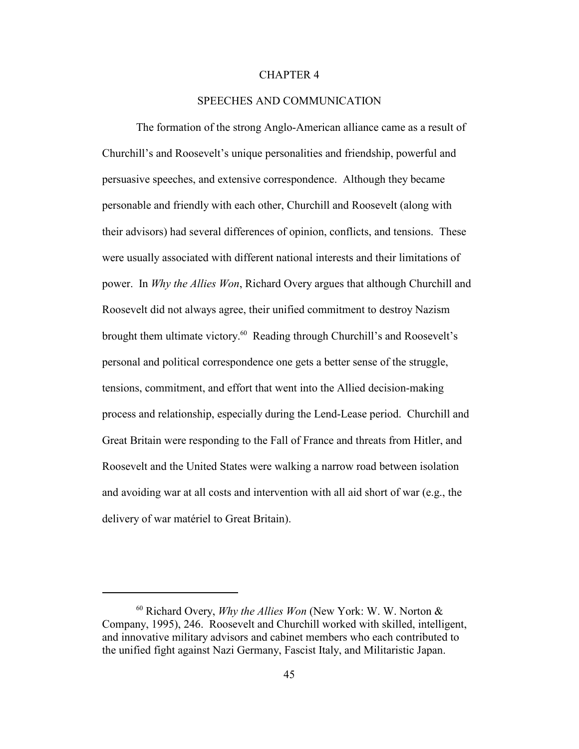### CHAPTER 4

## SPEECHES AND COMMUNICATION

The formation of the strong Anglo-American alliance came as a result of Churchill's and Roosevelt's unique personalities and friendship, powerful and persuasive speeches, and extensive correspondence. Although they became personable and friendly with each other, Churchill and Roosevelt (along with their advisors) had several differences of opinion, conflicts, and tensions. These were usually associated with different national interests and their limitations of power. In *Why the Allies Won*, Richard Overy argues that although Churchill and Roosevelt did not always agree, their unified commitment to destroy Nazism brought them ultimate victory.<sup>60</sup> Reading through Churchill's and Roosevelt's personal and political correspondence one gets a better sense of the struggle, tensions, commitment, and effort that went into the Allied decision-making process and relationship, especially during the Lend-Lease period. Churchill and Great Britain were responding to the Fall of France and threats from Hitler, and Roosevelt and the United States were walking a narrow road between isolation and avoiding war at all costs and intervention with all aid short of war (e.g., the delivery of war matériel to Great Britain).

<sup>60</sup> Richard Overy, *Why the Allies Won* (New York: W. W. Norton & Company, 1995), 246. Roosevelt and Churchill worked with skilled, intelligent, and innovative military advisors and cabinet members who each contributed to the unified fight against Nazi Germany, Fascist Italy, and Militaristic Japan.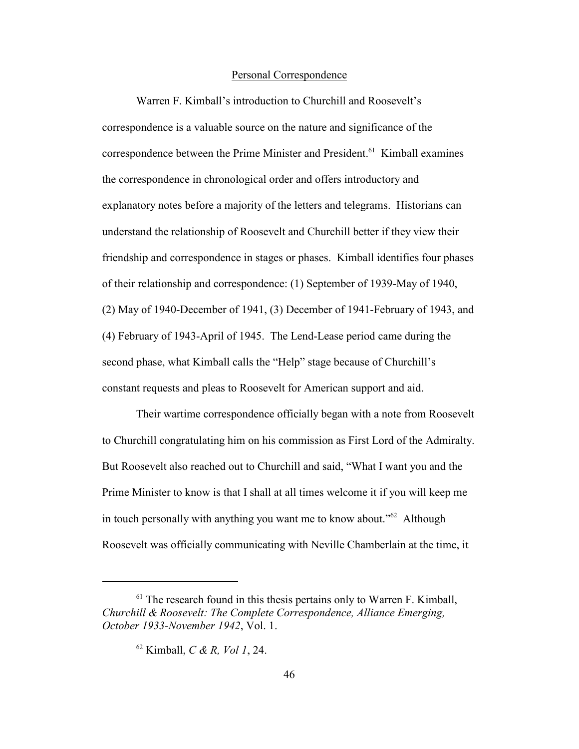## Personal Correspondence

Warren F. Kimball's introduction to Churchill and Roosevelt's correspondence is a valuable source on the nature and significance of the correspondence between the Prime Minister and President.<sup>61</sup> Kimball examines the correspondence in chronological order and offers introductory and explanatory notes before a majority of the letters and telegrams. Historians can understand the relationship of Roosevelt and Churchill better if they view their friendship and correspondence in stages or phases. Kimball identifies four phases of their relationship and correspondence: (1) September of 1939-May of 1940, (2) May of 1940-December of 1941, (3) December of 1941-February of 1943, and (4) February of 1943-April of 1945. The Lend-Lease period came during the second phase, what Kimball calls the "Help" stage because of Churchill's constant requests and pleas to Roosevelt for American support and aid.

Their wartime correspondence officially began with a note from Roosevelt to Churchill congratulating him on his commission as First Lord of the Admiralty. But Roosevelt also reached out to Churchill and said, "What I want you and the Prime Minister to know is that I shall at all times welcome it if you will keep me in touch personally with anything you want me to know about.<sup> $52$ </sup> Although Roosevelt was officially communicating with Neville Chamberlain at the time, it

 $<sup>61</sup>$  The research found in this thesis pertains only to Warren F. Kimball,</sup> *Churchill & Roosevelt: The Complete Correspondence, Alliance Emerging, October 1933-November 1942, Vol. 1.* 

<sup>62</sup> Kimball, *C & R, Vol 1*, 24.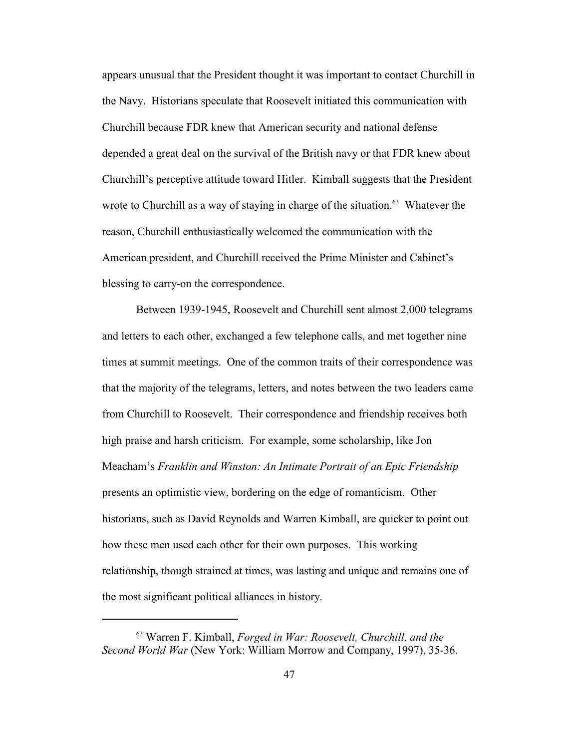appears unusual that the President thought it was important to contact Churchill in the Navy. Historians speculate that Roosevelt initiated this communication with Churchill because FDR knew that American security and national defense depended a great deal on the survival of the British navy or that FDR knew about Churchill's perceptive attitude toward Hitler. Kimball suggests that the President wrote to Churchill as a way of staying in charge of the situation.<sup>63</sup> Whatever the reason, Churchill enthusiastically welcomed the communication with the American president, and Churchill received the Prime Minister and Cabinet's blessing to carry-on the correspondence.

Between 1939-1945, Roosevelt and Churchill sent almost 2,000 telegrams and letters to each other, exchanged a few telephone calls, and met together nine times at summit meetings. One of the common traits of their correspondence was that the majority of the telegrams, letters, and notes between the two leaders came from Churchill to Roosevelt. Their correspondence and friendship receives both high praise and harsh criticism. For example, some scholarship, like Jon Meacham's *Franklin and Winston: An Intimate Portrait of an Epic Friendship* presents an optimistic view, bordering on the edge of romanticism. Other historians, such as David Reynolds and Warren Kimball, are quicker to point out how these men used each other for their own purposes. This working relationship, though strained at times, was lasting and unique and remains one of the most significant political alliances in history.

<sup>63</sup> Warren F. Kimball, *Forged in War: Roosevelt, Churchill, and the Second World War* (New York: William Morrow and Company, 1997), 35-36.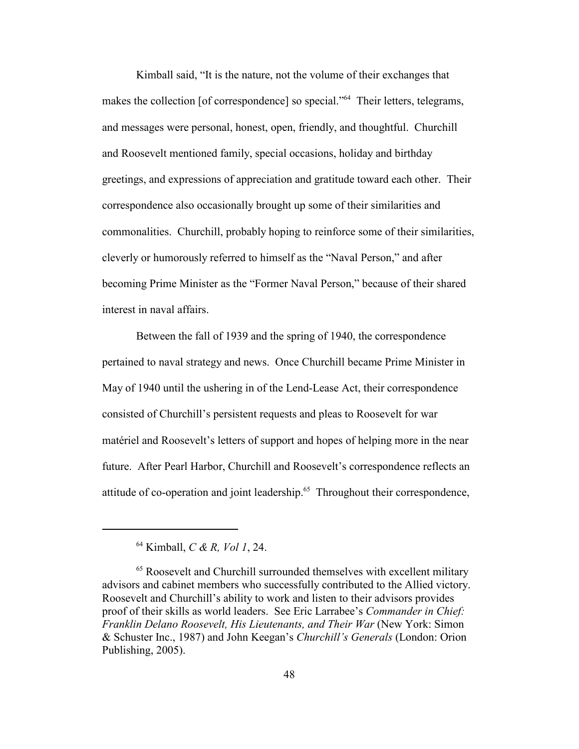Kimball said, "It is the nature, not the volume of their exchanges that makes the collection [of correspondence] so special."<sup>64</sup> Their letters, telegrams, and messages were personal, honest, open, friendly, and thoughtful. Churchill and Roosevelt mentioned family, special occasions, holiday and birthday greetings, and expressions of appreciation and gratitude toward each other. Their correspondence also occasionally brought up some of their similarities and commonalities. Churchill, probably hoping to reinforce some of their similarities, cleverly or humorously referred to himself as the "Naval Person," and after becoming Prime Minister as the "Former Naval Person," because of their shared interest in naval affairs.

Between the fall of 1939 and the spring of 1940, the correspondence pertained to naval strategy and news. Once Churchill became Prime Minister in May of 1940 until the ushering in of the Lend-Lease Act, their correspondence consisted of Churchill's persistent requests and pleas to Roosevelt for war matériel and Roosevelt's letters of support and hopes of helping more in the near future. After Pearl Harbor, Churchill and Roosevelt's correspondence reflects an attitude of co-operation and joint leadership.<sup>65</sup> Throughout their correspondence,

<sup>64</sup> Kimball, *C & R, Vol 1*, 24.

<sup>&</sup>lt;sup>65</sup> Roosevelt and Churchill surrounded themselves with excellent military advisors and cabinet members who successfully contributed to the Allied victory. Roosevelt and Churchill's ability to work and listen to their advisors provides proof of their skills as world leaders. See Eric Larrabee's *Commander in Chief: Franklin Delano Roosevelt, His Lieutenants, and Their War* (New York: Simon & Schuster Inc., 1987) and John Keegan's *Churchill's Generals* (London: Orion Publishing, 2005).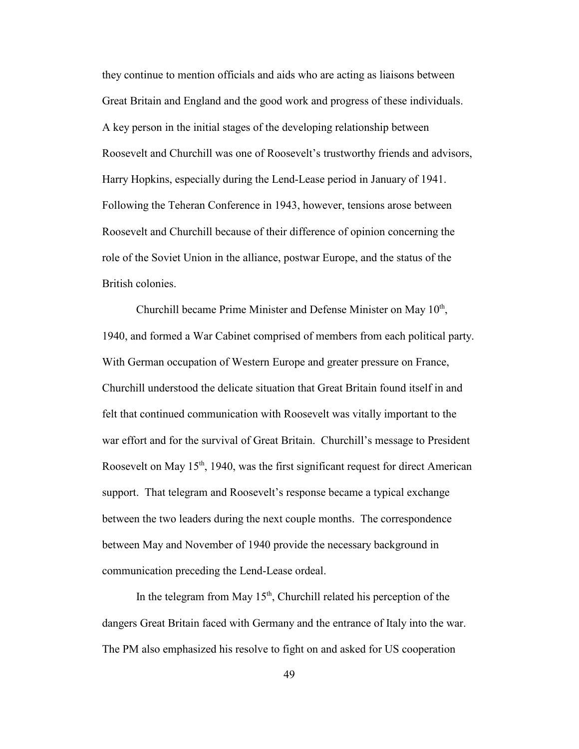they continue to mention officials and aids who are acting as liaisons between Great Britain and England and the good work and progress of these individuals. A key person in the initial stages of the developing relationship between Roosevelt and Churchill was one of Roosevelt's trustworthy friends and advisors, Harry Hopkins, especially during the Lend-Lease period in January of 1941. Following the Teheran Conference in 1943, however, tensions arose between Roosevelt and Churchill because of their difference of opinion concerning the role of the Soviet Union in the alliance, postwar Europe, and the status of the British colonies.

Churchill became Prime Minister and Defense Minister on May  $10<sup>th</sup>$ , 1940, and formed a War Cabinet comprised of members from each political party. With German occupation of Western Europe and greater pressure on France, Churchill understood the delicate situation that Great Britain found itself in and felt that continued communication with Roosevelt was vitally important to the war effort and for the survival of Great Britain. Churchill's message to President Roosevelt on May  $15<sup>th</sup>$ , 1940, was the first significant request for direct American support. That telegram and Roosevelt's response became a typical exchange between the two leaders during the next couple months. The correspondence between May and November of 1940 provide the necessary background in communication preceding the Lend-Lease ordeal.

In the telegram from May  $15<sup>th</sup>$ , Churchill related his perception of the dangers Great Britain faced with Germany and the entrance of Italy into the war. The PM also emphasized his resolve to fight on and asked for US cooperation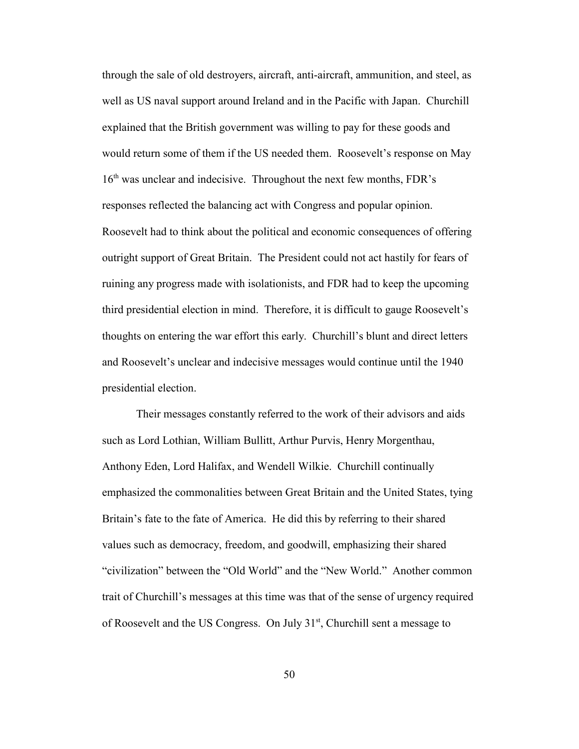through the sale of old destroyers, aircraft, anti-aircraft, ammunition, and steel, as well as US naval support around Ireland and in the Pacific with Japan. Churchill explained that the British government was willing to pay for these goods and would return some of them if the US needed them. Roosevelt's response on May  $16<sup>th</sup>$  was unclear and indecisive. Throughout the next few months, FDR's responses reflected the balancing act with Congress and popular opinion. Roosevelt had to think about the political and economic consequences of offering outright support of Great Britain. The President could not act hastily for fears of ruining any progress made with isolationists, and FDR had to keep the upcoming third presidential election in mind. Therefore, it is difficult to gauge Roosevelt's thoughts on entering the war effort this early. Churchill's blunt and direct letters and Roosevelt's unclear and indecisive messages would continue until the 1940 presidential election.

Their messages constantly referred to the work of their advisors and aids such as Lord Lothian, William Bullitt, Arthur Purvis, Henry Morgenthau, Anthony Eden, Lord Halifax, and Wendell Wilkie. Churchill continually emphasized the commonalities between Great Britain and the United States, tying Britain's fate to the fate of America. He did this by referring to their shared values such as democracy, freedom, and goodwill, emphasizing their shared "civilization" between the "Old World" and the "New World." Another common trait of Churchill's messages at this time was that of the sense of urgency required of Roosevelt and the US Congress. On July  $31<sup>st</sup>$ , Churchill sent a message to

50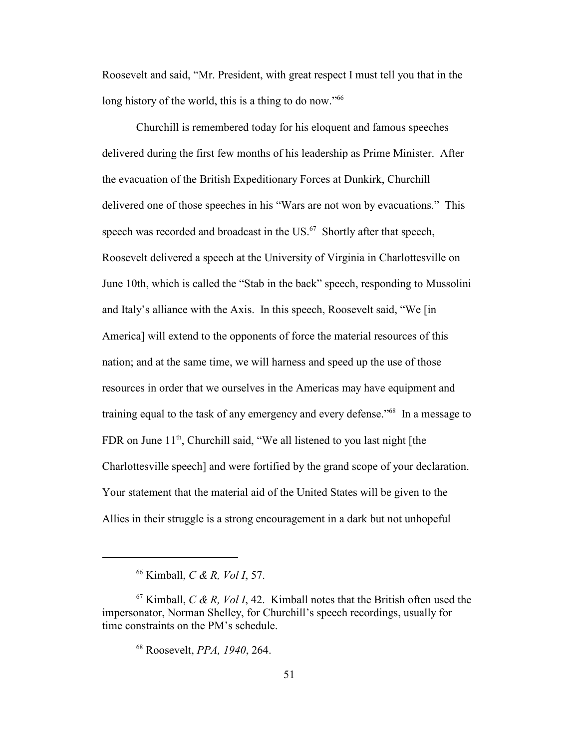Roosevelt and said, "Mr. President, with great respect I must tell you that in the long history of the world, this is a thing to do now."<sup>66</sup>

Churchill is remembered today for his eloquent and famous speeches delivered during the first few months of his leadership as Prime Minister. After the evacuation of the British Expeditionary Forces at Dunkirk, Churchill delivered one of those speeches in his "Wars are not won by evacuations." This speech was recorded and broadcast in the US.<sup>67</sup> Shortly after that speech, Roosevelt delivered a speech at the University of Virginia in Charlottesville on June 10th, which is called the "Stab in the back" speech, responding to Mussolini and Italy's alliance with the Axis. In this speech, Roosevelt said, "We [in America] will extend to the opponents of force the material resources of this nation; and at the same time, we will harness and speed up the use of those resources in order that we ourselves in the Americas may have equipment and training equal to the task of any emergency and every defense."<sup>68</sup> In a message to FDR on June  $11<sup>th</sup>$ , Churchill said, "We all listened to you last night [the Charlottesville speech] and were fortified by the grand scope of your declaration. Your statement that the material aid of the United States will be given to the Allies in their struggle is a strong encouragement in a dark but not unhopeful

<sup>66</sup> Kimball, *C & R, Vol I*, 57.

 $67$  Kimball, *C & R, Vol I*, 42. Kimball notes that the British often used the impersonator, Norman Shelley, for Churchill's speech recordings, usually for time constraints on the PM's schedule.

<sup>68</sup> Roosevelt, *PPA, 1940*, 264.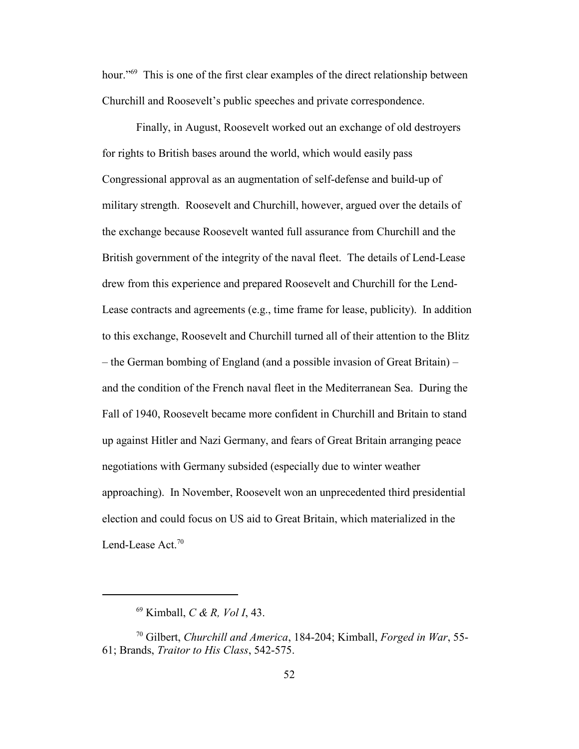hour."<sup>69</sup> This is one of the first clear examples of the direct relationship between Churchill and Roosevelt's public speeches and private correspondence.

Finally, in August, Roosevelt worked out an exchange of old destroyers for rights to British bases around the world, which would easily pass Congressional approval as an augmentation of self-defense and build-up of military strength. Roosevelt and Churchill, however, argued over the details of the exchange because Roosevelt wanted full assurance from Churchill and the British government of the integrity of the naval fleet. The details of Lend-Lease drew from this experience and prepared Roosevelt and Churchill for the Lend-Lease contracts and agreements (e.g., time frame for lease, publicity). In addition to this exchange, Roosevelt and Churchill turned all of their attention to the Blitz – the German bombing of England (and a possible invasion of Great Britain) – and the condition of the French naval fleet in the Mediterranean Sea. During the Fall of 1940, Roosevelt became more confident in Churchill and Britain to stand up against Hitler and Nazi Germany, and fears of Great Britain arranging peace negotiations with Germany subsided (especially due to winter weather approaching). In November, Roosevelt won an unprecedented third presidential election and could focus on US aid to Great Britain, which materialized in the Lend-Lease Act.<sup>70</sup>

<sup>69</sup> Kimball, *C & R, Vol I*, 43.

<sup>70</sup> Gilbert, *Churchill and America*, 184-204; Kimball, *Forged in War*, 55- 61; Brands, *Traitor to His Class*, 542-575.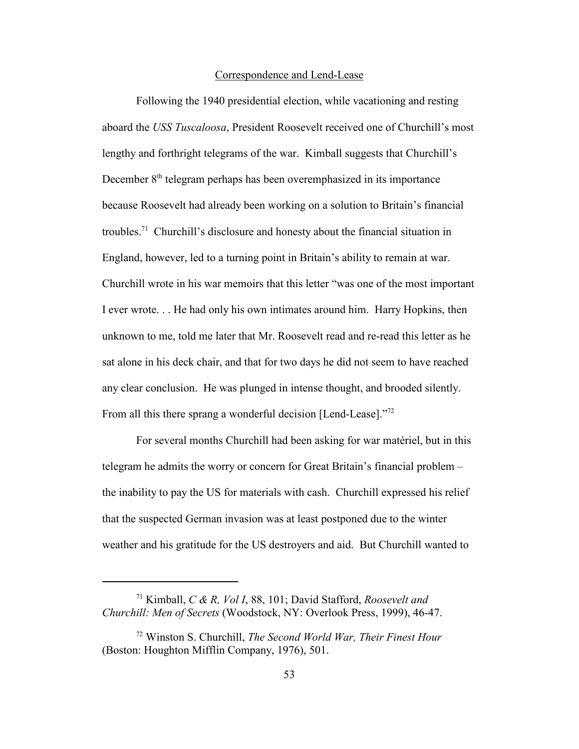## Correspondence and Lend-Lease

Following the 1940 presidential election, while vacationing and resting aboard the *USS Tuscaloosa*, President Roosevelt received one of Churchill's most lengthy and forthright telegrams of the war. Kimball suggests that Churchill's December  $8<sup>th</sup>$  telegram perhaps has been overemphasized in its importance because Roosevelt had already been working on a solution to Britain's financial troubles.<sup>71</sup> Churchill's disclosure and honesty about the financial situation in England, however, led to a turning point in Britain's ability to remain at war. Churchill wrote in his war memoirs that this letter "was one of the most important I ever wrote. . . He had only his own intimates around him. Harry Hopkins, then unknown to me, told me later that Mr. Roosevelt read and re-read this letter as he sat alone in his deck chair, and that for two days he did not seem to have reached any clear conclusion. He was plunged in intense thought, and brooded silently. From all this there sprang a wonderful decision [Lend-Lease]."<sup>72</sup>

For several months Churchill had been asking for war matériel, but in this telegram he admits the worry or concern for Great Britain's financial problem – the inability to pay the US for materials with cash. Churchill expressed his relief that the suspected German invasion was at least postponed due to the winter weather and his gratitude for the US destroyers and aid. But Churchill wanted to

<sup>71</sup> Kimball, *C & R, Vol I*, 88, 101; David Stafford, *Roosevelt and Churchill: Men of Secrets* (Woodstock, NY: Overlook Press, 1999), 46-47.

<sup>72</sup> Winston S. Churchill, *The Second World War, Their Finest Hour* (Boston: Houghton Mifflin Company, 1976), 501.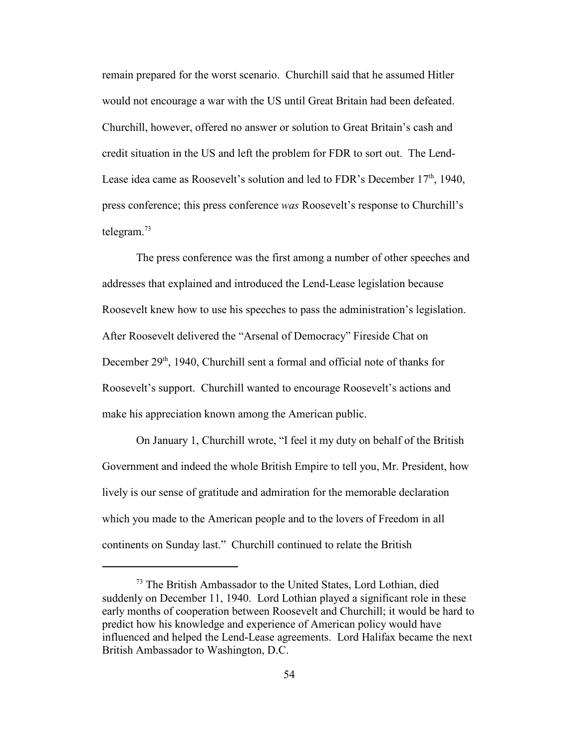remain prepared for the worst scenario. Churchill said that he assumed Hitler would not encourage a war with the US until Great Britain had been defeated. Churchill, however, offered no answer or solution to Great Britain's cash and credit situation in the US and left the problem for FDR to sort out. The Lend-Lease idea came as Roosevelt's solution and led to FDR's December 17<sup>th</sup>, 1940, press conference; this press conference *was* Roosevelt's response to Churchill's telegram.<sup>73</sup>

The press conference was the first among a number of other speeches and addresses that explained and introduced the Lend-Lease legislation because Roosevelt knew how to use his speeches to pass the administration's legislation. After Roosevelt delivered the "Arsenal of Democracy" Fireside Chat on December 29<sup>th</sup>, 1940, Churchill sent a formal and official note of thanks for Roosevelt's support. Churchill wanted to encourage Roosevelt's actions and make his appreciation known among the American public.

On January 1, Churchill wrote, "I feel it my duty on behalf of the British Government and indeed the whole British Empire to tell you, Mr. President, how lively is our sense of gratitude and admiration for the memorable declaration which you made to the American people and to the lovers of Freedom in all continents on Sunday last." Churchill continued to relate the British

<sup>&</sup>lt;sup>73</sup> The British Ambassador to the United States, Lord Lothian, died suddenly on December 11, 1940. Lord Lothian played a significant role in these early months of cooperation between Roosevelt and Churchill; it would be hard to predict how his knowledge and experience of American policy would have influenced and helped the Lend-Lease agreements. Lord Halifax became the next British Ambassador to Washington, D.C.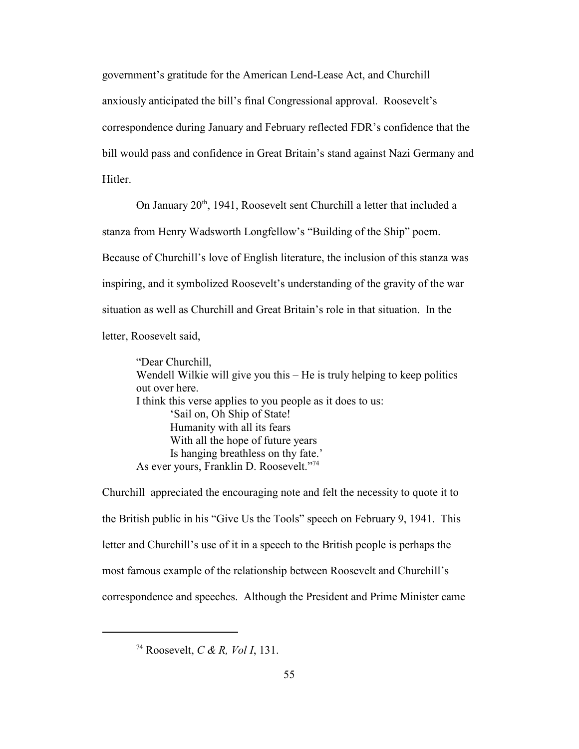government's gratitude for the American Lend-Lease Act, and Churchill anxiously anticipated the bill's final Congressional approval. Roosevelt's correspondence during January and February reflected FDR's confidence that the bill would pass and confidence in Great Britain's stand against Nazi Germany and **Hitler** 

On January 20<sup>th</sup>, 1941, Roosevelt sent Churchill a letter that included a stanza from Henry Wadsworth Longfellow's "Building of the Ship" poem. Because of Churchill's love of English literature, the inclusion of this stanza was inspiring, and it symbolized Roosevelt's understanding of the gravity of the war situation as well as Churchill and Great Britain's role in that situation. In the letter, Roosevelt said,

"Dear Churchill, Wendell Wilkie will give you this – He is truly helping to keep politics out over here. I think this verse applies to you people as it does to us: 'Sail on, Oh Ship of State! Humanity with all its fears With all the hope of future years Is hanging breathless on thy fate.' As ever yours, Franklin D. Roosevelt."<sup>74</sup>

Churchill appreciated the encouraging note and felt the necessity to quote it to the British public in his "Give Us the Tools" speech on February 9, 1941. This letter and Churchill's use of it in a speech to the British people is perhaps the most famous example of the relationship between Roosevelt and Churchill's correspondence and speeches. Although the President and Prime Minister came

<sup>74</sup> Roosevelt, *C & R, Vol I*, 131.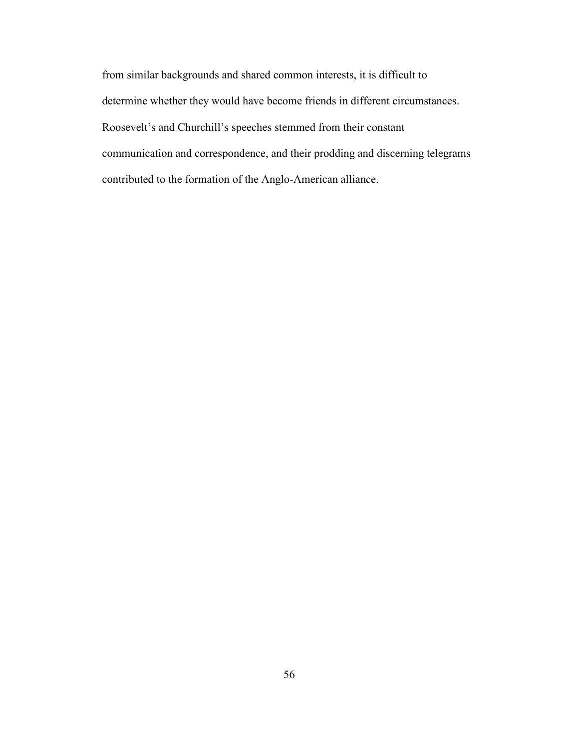from similar backgrounds and shared common interests, it is difficult to determine whether they would have become friends in different circumstances. Roosevelt's and Churchill's speeches stemmed from their constant communication and correspondence, and their prodding and discerning telegrams contributed to the formation of the Anglo-American alliance.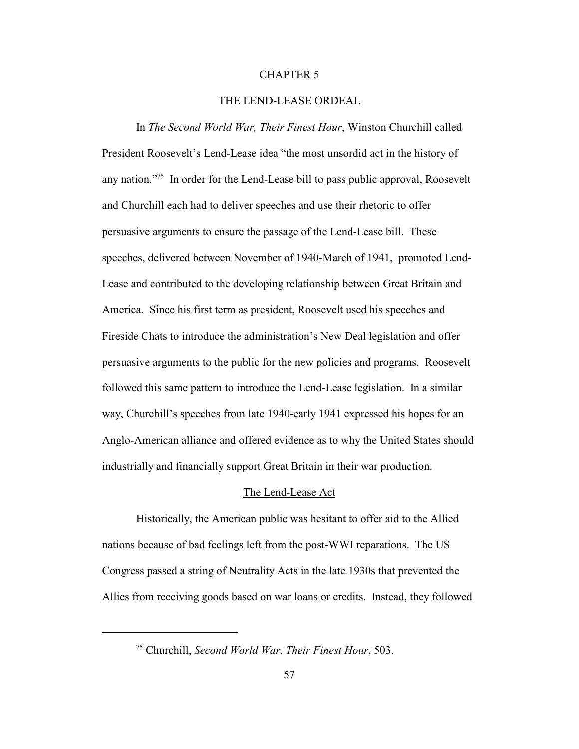### CHAPTER 5

# THE LEND-LEASE ORDEAL

In *The Second World War, Their Finest Hour*, Winston Churchill called President Roosevelt's Lend-Lease idea "the most unsordid act in the history of any nation."<sup>75</sup> In order for the Lend-Lease bill to pass public approval, Roosevelt and Churchill each had to deliver speeches and use their rhetoric to offer persuasive arguments to ensure the passage of the Lend-Lease bill. These speeches, delivered between November of 1940-March of 1941, promoted Lend-Lease and contributed to the developing relationship between Great Britain and America. Since his first term as president, Roosevelt used his speeches and Fireside Chats to introduce the administration's New Deal legislation and offer persuasive arguments to the public for the new policies and programs. Roosevelt followed this same pattern to introduce the Lend-Lease legislation. In a similar way, Churchill's speeches from late 1940-early 1941 expressed his hopes for an Anglo-American alliance and offered evidence as to why the United States should industrially and financially support Great Britain in their war production.

#### The Lend-Lease Act

Historically, the American public was hesitant to offer aid to the Allied nations because of bad feelings left from the post-WWI reparations. The US Congress passed a string of Neutrality Acts in the late 1930s that prevented the Allies from receiving goods based on war loans or credits. Instead, they followed

<sup>75</sup> Churchill, *Second World War, Their Finest Hour*, 503.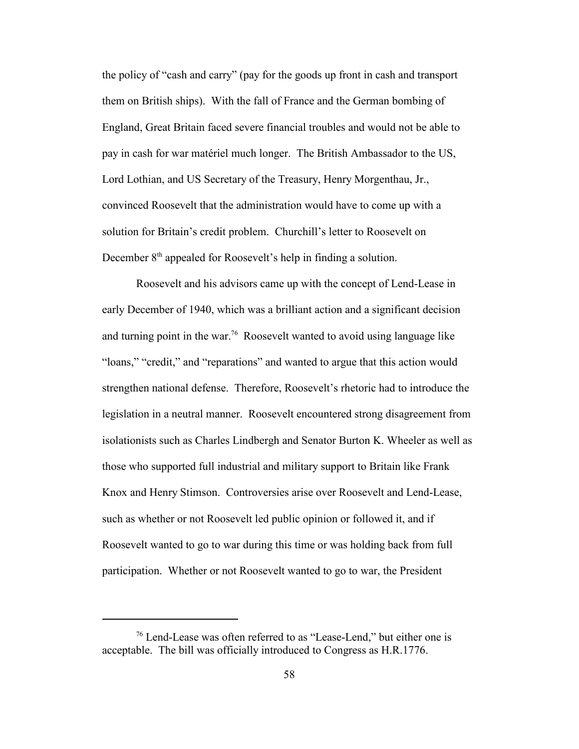the policy of "cash and carry" (pay for the goods up front in cash and transport them on British ships). With the fall of France and the German bombing of England, Great Britain faced severe financial troubles and would not be able to pay in cash for war matériel much longer. The British Ambassador to the US, Lord Lothian, and US Secretary of the Treasury, Henry Morgenthau, Jr., convinced Roosevelt that the administration would have to come up with a solution for Britain's credit problem. Churchill's letter to Roosevelt on December 8<sup>th</sup> appealed for Roosevelt's help in finding a solution.

Roosevelt and his advisors came up with the concept of Lend-Lease in early December of 1940, which was a brilliant action and a significant decision and turning point in the war.<sup>76</sup> Roosevelt wanted to avoid using language like "loans," "credit," and "reparations" and wanted to argue that this action would strengthen national defense. Therefore, Roosevelt's rhetoric had to introduce the legislation in a neutral manner. Roosevelt encountered strong disagreement from isolationists such as Charles Lindbergh and Senator Burton K. Wheeler as well as those who supported full industrial and military support to Britain like Frank Knox and Henry Stimson. Controversies arise over Roosevelt and Lend-Lease, such as whether or not Roosevelt led public opinion or followed it, and if Roosevelt wanted to go to war during this time or was holding back from full participation. Whether or not Roosevelt wanted to go to war, the President

 $76$  Lend-Lease was often referred to as "Lease-Lend," but either one is acceptable. The bill was officially introduced to Congress as H.R.1776.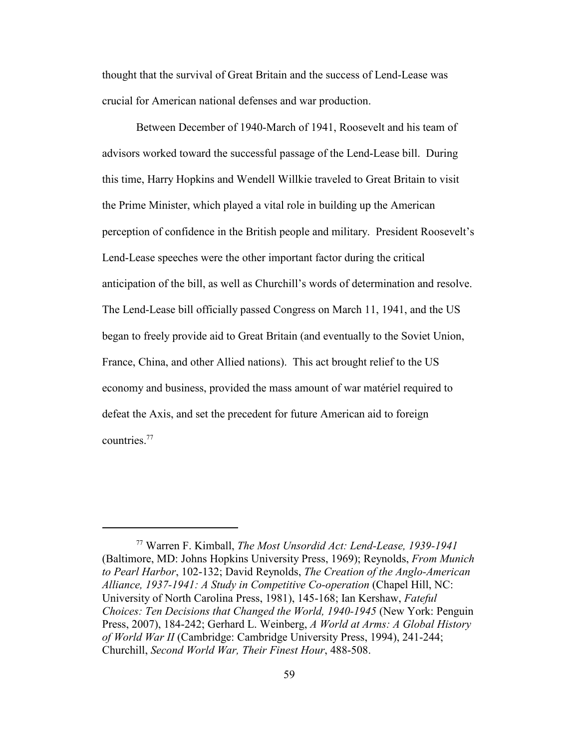thought that the survival of Great Britain and the success of Lend-Lease was crucial for American national defenses and war production.

Between December of 1940-March of 1941, Roosevelt and his team of advisors worked toward the successful passage of the Lend-Lease bill. During this time, Harry Hopkins and Wendell Willkie traveled to Great Britain to visit the Prime Minister, which played a vital role in building up the American perception of confidence in the British people and military. President Roosevelt's Lend-Lease speeches were the other important factor during the critical anticipation of the bill, as well as Churchill's words of determination and resolve. The Lend-Lease bill officially passed Congress on March 11, 1941, and the US began to freely provide aid to Great Britain (and eventually to the Soviet Union, France, China, and other Allied nations). This act brought relief to the US economy and business, provided the mass amount of war matériel required to defeat the Axis, and set the precedent for future American aid to foreign countries.77

<sup>77</sup> Warren F. Kimball, *The Most Unsordid Act: Lend-Lease, 1939-1941* (Baltimore, MD: Johns Hopkins University Press, 1969); Reynolds, *From Munich to Pearl Harbor*, 102-132; David Reynolds, *The Creation of the Anglo-American Alliance, 1937-1941: A Study in Competitive Co-operation* (Chapel Hill, NC: University of North Carolina Press, 1981), 145-168; Ian Kershaw, *Fateful Choices: Ten Decisions that Changed the World, 1940-1945* (New York: Penguin Press, 2007), 184-242; Gerhard L. Weinberg, *A World at Arms: A Global History of World War II* (Cambridge: Cambridge University Press, 1994), 241-244; Churchill, *Second World War, Their Finest Hour*, 488-508.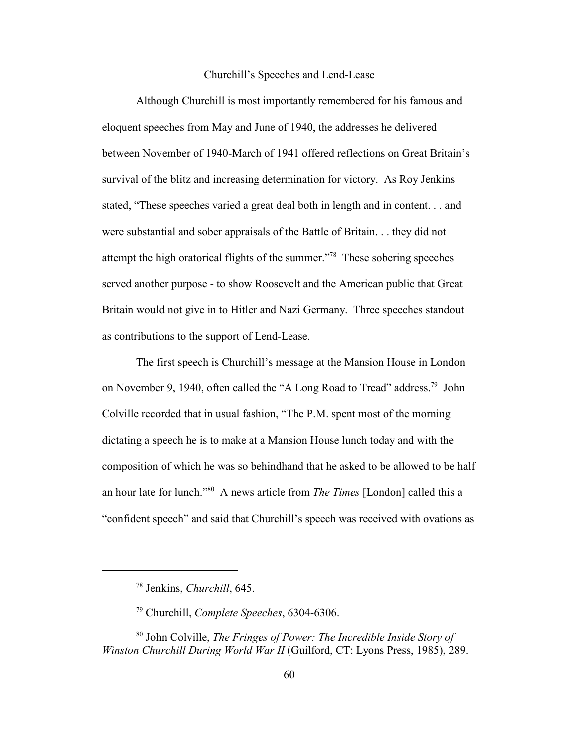## Churchill's Speeches and Lend-Lease

Although Churchill is most importantly remembered for his famous and eloquent speeches from May and June of 1940, the addresses he delivered between November of 1940-March of 1941 offered reflections on Great Britain's survival of the blitz and increasing determination for victory. As Roy Jenkins stated, "These speeches varied a great deal both in length and in content. . . and were substantial and sober appraisals of the Battle of Britain. . . they did not attempt the high oratorical flights of the summer."<sup>78</sup> These sobering speeches served another purpose - to show Roosevelt and the American public that Great Britain would not give in to Hitler and Nazi Germany. Three speeches standout as contributions to the support of Lend-Lease.

The first speech is Churchill's message at the Mansion House in London on November 9, 1940, often called the "A Long Road to Tread" address.<sup>79</sup> John Colville recorded that in usual fashion, "The P.M. spent most of the morning dictating a speech he is to make at a Mansion House lunch today and with the composition of which he was so behindhand that he asked to be allowed to be half an hour late for lunch."<sup>80</sup> A news article from *The Times* [London] called this a "confident speech" and said that Churchill's speech was received with ovations as

<sup>78</sup> Jenkins, *Churchill*, 645.

<sup>79</sup> Churchill, *Complete Speeches*, 6304-6306.

<sup>80</sup> John Colville, *The Fringes of Power: The Incredible Inside Story of Winston Churchill During World War II* (Guilford, CT: Lyons Press, 1985), 289.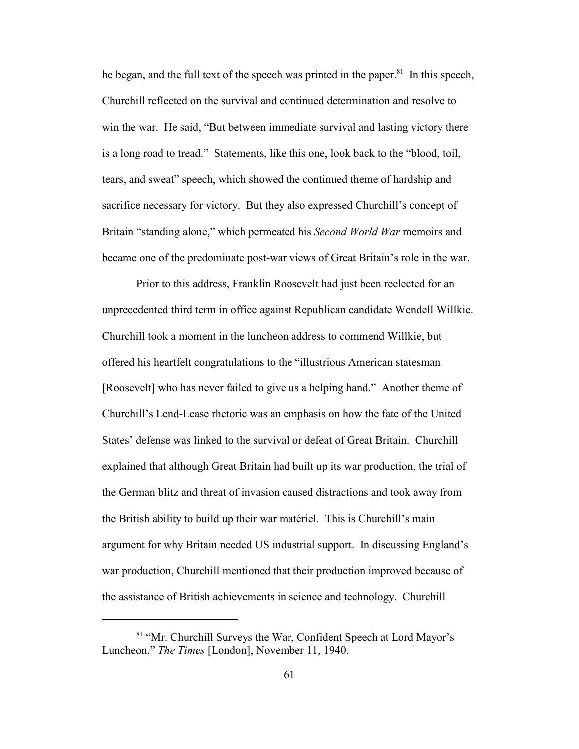he began, and the full text of the speech was printed in the paper.<sup>81</sup> In this speech, Churchill reflected on the survival and continued determination and resolve to win the war. He said, "But between immediate survival and lasting victory there is a long road to tread." Statements, like this one, look back to the "blood, toil, tears, and sweat" speech, which showed the continued theme of hardship and sacrifice necessary for victory. But they also expressed Churchill's concept of Britain "standing alone," which permeated his *Second World War* memoirs and became one of the predominate post-war views of Great Britain's role in the war.

Prior to this address, Franklin Roosevelt had just been reelected for an unprecedented third term in office against Republican candidate Wendell Willkie. Churchill took a moment in the luncheon address to commend Willkie, but offered his heartfelt congratulations to the "illustrious American statesman [Roosevelt] who has never failed to give us a helping hand." Another theme of Churchill's Lend-Lease rhetoric was an emphasis on how the fate of the United States' defense was linked to the survival or defeat of Great Britain. Churchill explained that although Great Britain had built up its war production, the trial of the German blitz and threat of invasion caused distractions and took away from the British ability to build up their war matériel. This is Churchill's main argument for why Britain needed US industrial support. In discussing England's war production, Churchill mentioned that their production improved because of the assistance of British achievements in science and technology. Churchill

<sup>&</sup>lt;sup>81</sup> "Mr. Churchill Surveys the War, Confident Speech at Lord Mayor's Luncheon," *The Times* [London], November 11, 1940.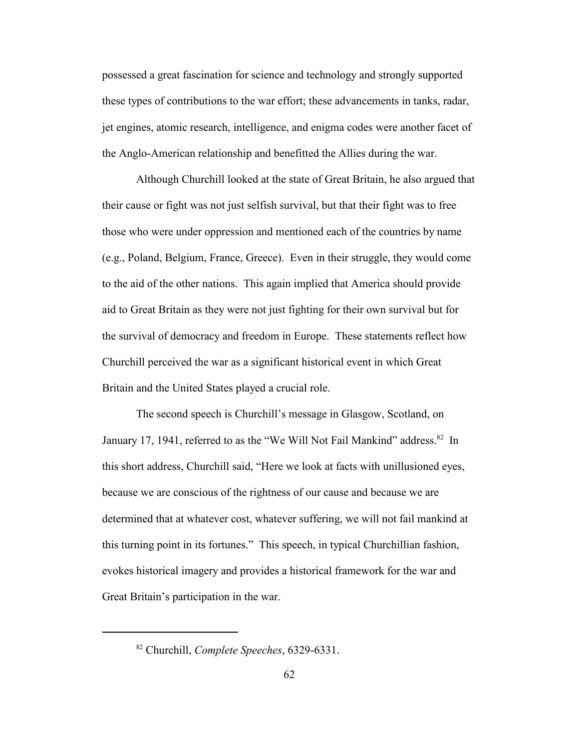possessed a great fascination for science and technology and strongly supported these types of contributions to the war effort; these advancements in tanks, radar, jet engines, atomic research, intelligence, and enigma codes were another facet of the Anglo-American relationship and benefitted the Allies during the war.

Although Churchill looked at the state of Great Britain, he also argued that their cause or fight was not just selfish survival, but that their fight was to free those who were under oppression and mentioned each of the countries by name (e.g., Poland, Belgium, France, Greece). Even in their struggle, they would come to the aid of the other nations. This again implied that America should provide aid to Great Britain as they were not just fighting for their own survival but for the survival of democracy and freedom in Europe. These statements reflect how Churchill perceived the war as a significant historical event in which Great Britain and the United States played a crucial role.

The second speech is Churchill's message in Glasgow, Scotland, on January 17, 1941, referred to as the "We Will Not Fail Mankind" address.<sup>82</sup> In this short address, Churchill said, "Here we look at facts with unillusioned eyes, because we are conscious of the rightness of our cause and because we are determined that at whatever cost, whatever suffering, we will not fail mankind at this turning point in its fortunes." This speech, in typical Churchillian fashion, evokes historical imagery and provides a historical framework for the war and Great Britain's participation in the war.

<sup>82</sup> Churchill, *Complete Speeches*, 6329-6331.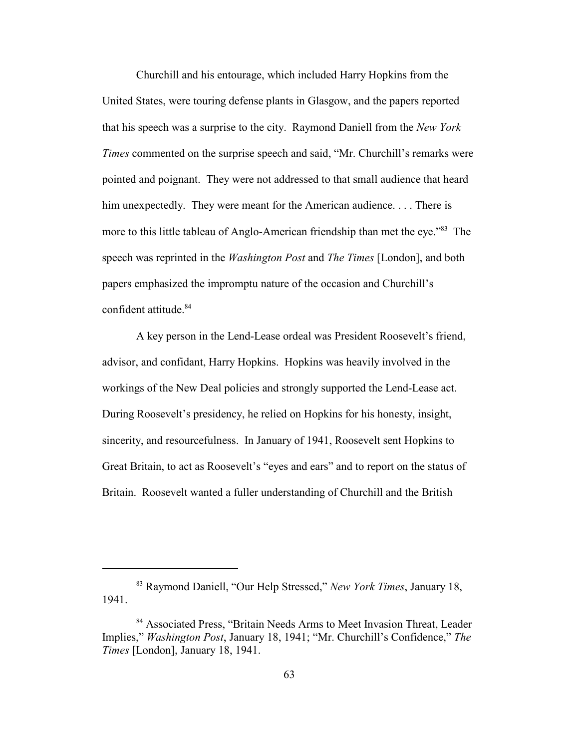Churchill and his entourage, which included Harry Hopkins from the United States, were touring defense plants in Glasgow, and the papers reported that his speech was a surprise to the city. Raymond Daniell from the *New York Times* commented on the surprise speech and said, "Mr. Churchill's remarks were pointed and poignant. They were not addressed to that small audience that heard him unexpectedly. They were meant for the American audience.... There is more to this little tableau of Anglo-American friendship than met the eye."<sup>83</sup> The speech was reprinted in the *Washington Post* and *The Times* [London], and both papers emphasized the impromptu nature of the occasion and Churchill's confident attitude.<sup>84</sup>

A key person in the Lend-Lease ordeal was President Roosevelt's friend, advisor, and confidant, Harry Hopkins. Hopkins was heavily involved in the workings of the New Deal policies and strongly supported the Lend-Lease act. During Roosevelt's presidency, he relied on Hopkins for his honesty, insight, sincerity, and resourcefulness. In January of 1941, Roosevelt sent Hopkins to Great Britain, to act as Roosevelt's "eyes and ears" and to report on the status of Britain. Roosevelt wanted a fuller understanding of Churchill and the British

<sup>&</sup>lt;sup>83</sup> Raymond Daniell, "Our Help Stressed," *New York Times*, January 18, 1941.

<sup>84</sup> Associated Press, "Britain Needs Arms to Meet Invasion Threat, Leader Implies," *Washington Post*, January 18, 1941; "Mr. Churchill's Confidence," *The Times* [London], January 18, 1941.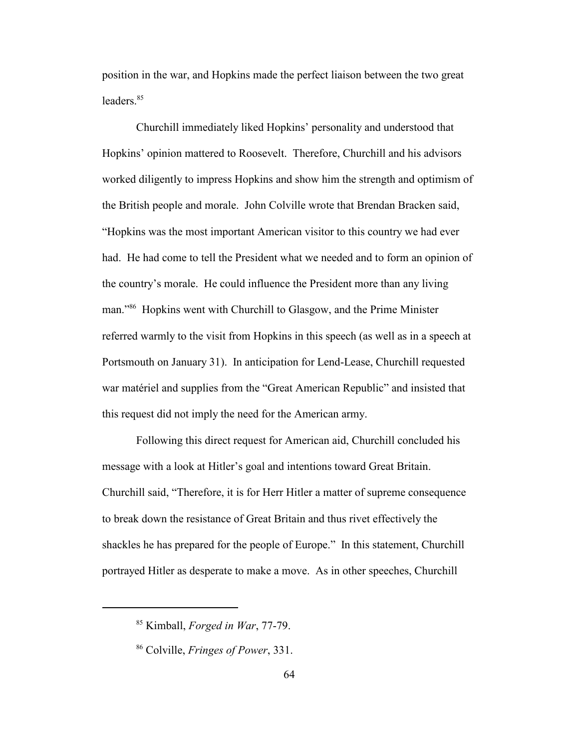position in the war, and Hopkins made the perfect liaison between the two great leaders.<sup>85</sup>

Churchill immediately liked Hopkins' personality and understood that Hopkins' opinion mattered to Roosevelt. Therefore, Churchill and his advisors worked diligently to impress Hopkins and show him the strength and optimism of the British people and morale. John Colville wrote that Brendan Bracken said, "Hopkins was the most important American visitor to this country we had ever had. He had come to tell the President what we needed and to form an opinion of the country's morale. He could influence the President more than any living man."<sup>86</sup> Hopkins went with Churchill to Glasgow, and the Prime Minister referred warmly to the visit from Hopkins in this speech (as well as in a speech at Portsmouth on January 31). In anticipation for Lend-Lease, Churchill requested war matériel and supplies from the "Great American Republic" and insisted that this request did not imply the need for the American army.

Following this direct request for American aid, Churchill concluded his message with a look at Hitler's goal and intentions toward Great Britain. Churchill said, "Therefore, it is for Herr Hitler a matter of supreme consequence to break down the resistance of Great Britain and thus rivet effectively the shackles he has prepared for the people of Europe." In this statement, Churchill portrayed Hitler as desperate to make a move. As in other speeches, Churchill

<sup>85</sup> Kimball, *Forged in War*, 77-79.

<sup>86</sup> Colville, *Fringes of Power*, 331.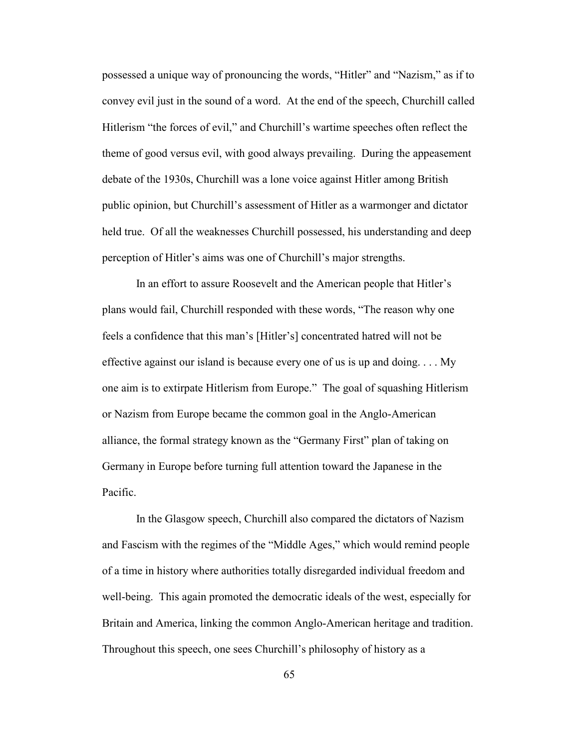possessed a unique way of pronouncing the words, "Hitler" and "Nazism," as if to convey evil just in the sound of a word. At the end of the speech, Churchill called Hitlerism "the forces of evil," and Churchill's wartime speeches often reflect the theme of good versus evil, with good always prevailing. During the appeasement debate of the 1930s, Churchill was a lone voice against Hitler among British public opinion, but Churchill's assessment of Hitler as a warmonger and dictator held true. Of all the weaknesses Churchill possessed, his understanding and deep perception of Hitler's aims was one of Churchill's major strengths.

In an effort to assure Roosevelt and the American people that Hitler's plans would fail, Churchill responded with these words, "The reason why one feels a confidence that this man's [Hitler's] concentrated hatred will not be effective against our island is because every one of us is up and doing. . . . My one aim is to extirpate Hitlerism from Europe." The goal of squashing Hitlerism or Nazism from Europe became the common goal in the Anglo-American alliance, the formal strategy known as the "Germany First" plan of taking on Germany in Europe before turning full attention toward the Japanese in the Pacific.

In the Glasgow speech, Churchill also compared the dictators of Nazism and Fascism with the regimes of the "Middle Ages," which would remind people of a time in history where authorities totally disregarded individual freedom and well-being. This again promoted the democratic ideals of the west, especially for Britain and America, linking the common Anglo-American heritage and tradition. Throughout this speech, one sees Churchill's philosophy of history as a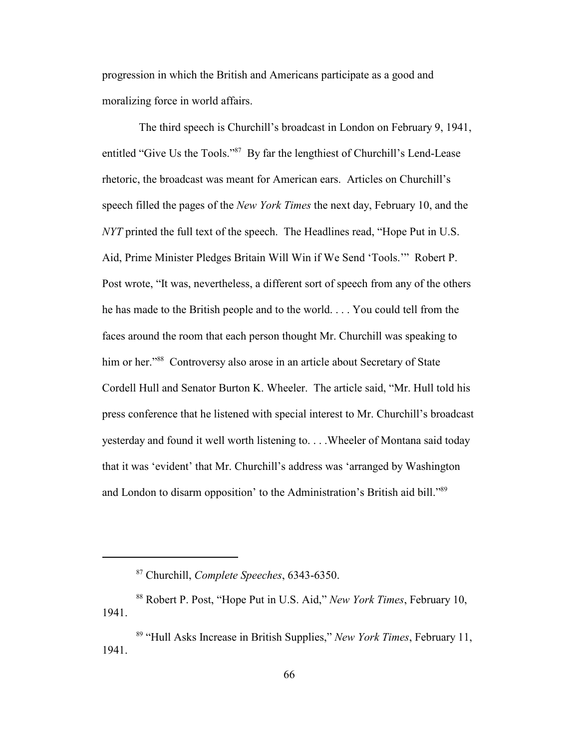progression in which the British and Americans participate as a good and moralizing force in world affairs.

 The third speech is Churchill's broadcast in London on February 9, 1941, entitled "Give Us the Tools."<sup>87</sup> By far the lengthiest of Churchill's Lend-Lease rhetoric, the broadcast was meant for American ears. Articles on Churchill's speech filled the pages of the *New York Times* the next day, February 10, and the *NYT* printed the full text of the speech. The Headlines read, "Hope Put in U.S. Aid, Prime Minister Pledges Britain Will Win if We Send 'Tools.'" Robert P. Post wrote, "It was, nevertheless, a different sort of speech from any of the others he has made to the British people and to the world. . . . You could tell from the faces around the room that each person thought Mr. Churchill was speaking to him or her."<sup>88</sup> Controversy also arose in an article about Secretary of State Cordell Hull and Senator Burton K. Wheeler. The article said, "Mr. Hull told his press conference that he listened with special interest to Mr. Churchill's broadcast yesterday and found it well worth listening to. . . .Wheeler of Montana said today that it was 'evident' that Mr. Churchill's address was 'arranged by Washington and London to disarm opposition' to the Administration's British aid bill."<sup>89</sup>

<sup>87</sup> Churchill, *Complete Speeches*, 6343-6350.

<sup>&</sup>lt;sup>88</sup> Robert P. Post, "Hope Put in U.S. Aid," *New York Times*, February 10, 1941.

<sup>&</sup>lt;sup>89</sup> "Hull Asks Increase in British Supplies," *New York Times*, February 11, 1941.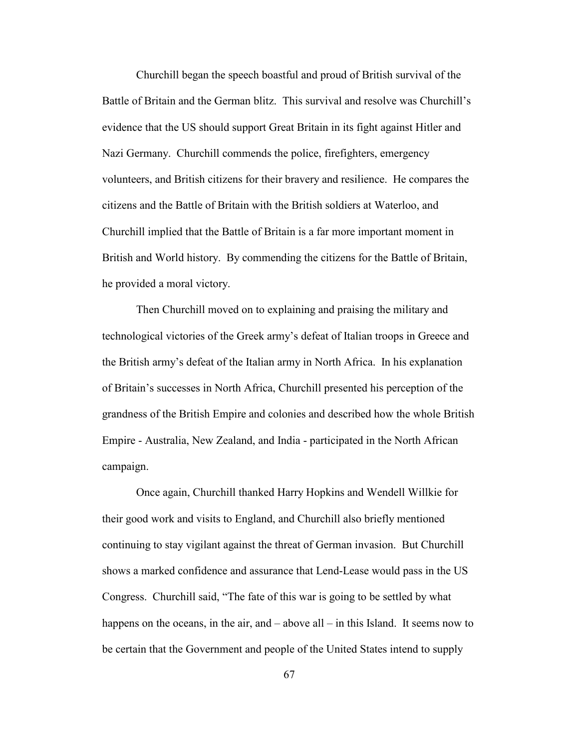Churchill began the speech boastful and proud of British survival of the Battle of Britain and the German blitz. This survival and resolve was Churchill's evidence that the US should support Great Britain in its fight against Hitler and Nazi Germany. Churchill commends the police, firefighters, emergency volunteers, and British citizens for their bravery and resilience. He compares the citizens and the Battle of Britain with the British soldiers at Waterloo, and Churchill implied that the Battle of Britain is a far more important moment in British and World history. By commending the citizens for the Battle of Britain, he provided a moral victory.

Then Churchill moved on to explaining and praising the military and technological victories of the Greek army's defeat of Italian troops in Greece and the British army's defeat of the Italian army in North Africa. In his explanation of Britain's successes in North Africa, Churchill presented his perception of the grandness of the British Empire and colonies and described how the whole British Empire - Australia, New Zealand, and India - participated in the North African campaign.

Once again, Churchill thanked Harry Hopkins and Wendell Willkie for their good work and visits to England, and Churchill also briefly mentioned continuing to stay vigilant against the threat of German invasion. But Churchill shows a marked confidence and assurance that Lend-Lease would pass in the US Congress. Churchill said, "The fate of this war is going to be settled by what happens on the oceans, in the air, and – above all – in this Island. It seems now to be certain that the Government and people of the United States intend to supply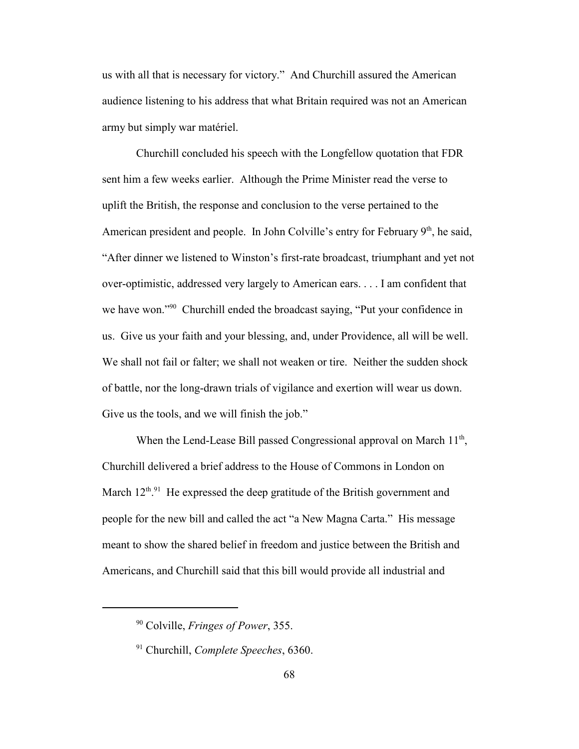us with all that is necessary for victory." And Churchill assured the American audience listening to his address that what Britain required was not an American army but simply war matériel.

Churchill concluded his speech with the Longfellow quotation that FDR sent him a few weeks earlier. Although the Prime Minister read the verse to uplift the British, the response and conclusion to the verse pertained to the American president and people. In John Colville's entry for February  $9<sup>th</sup>$ , he said, "After dinner we listened to Winston's first-rate broadcast, triumphant and yet not over-optimistic, addressed very largely to American ears. . . . I am confident that we have won."<sup>90</sup> Churchill ended the broadcast saying, "Put your confidence in us. Give us your faith and your blessing, and, under Providence, all will be well. We shall not fail or falter; we shall not weaken or tire. Neither the sudden shock of battle, nor the long-drawn trials of vigilance and exertion will wear us down. Give us the tools, and we will finish the job."

When the Lend-Lease Bill passed Congressional approval on March 11<sup>th</sup>, Churchill delivered a brief address to the House of Commons in London on March  $12^{th.91}$  He expressed the deep gratitude of the British government and people for the new bill and called the act "a New Magna Carta." His message meant to show the shared belief in freedom and justice between the British and Americans, and Churchill said that this bill would provide all industrial and

<sup>90</sup> Colville, *Fringes of Power*, 355.

<sup>91</sup> Churchill, *Complete Speeches*, 6360.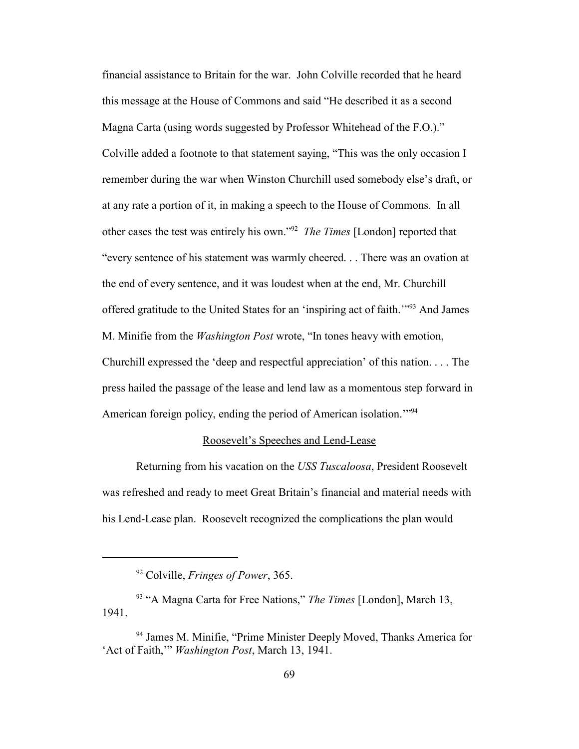financial assistance to Britain for the war. John Colville recorded that he heard this message at the House of Commons and said "He described it as a second Magna Carta (using words suggested by Professor Whitehead of the F.O.)." Colville added a footnote to that statement saying, "This was the only occasion I remember during the war when Winston Churchill used somebody else's draft, or at any rate a portion of it, in making a speech to the House of Commons. In all other cases the test was entirely his own."<sup>92</sup> *The Times* [London] reported that "every sentence of his statement was warmly cheered. . . There was an ovation at the end of every sentence, and it was loudest when at the end, Mr. Churchill offered gratitude to the United States for an 'inspiring act of faith.'"<sup>93</sup> And James M. Minifie from the *Washington Post* wrote, "In tones heavy with emotion, Churchill expressed the 'deep and respectful appreciation' of this nation. . . . The press hailed the passage of the lease and lend law as a momentous step forward in American foreign policy, ending the period of American isolation.<sup>"94</sup>

## Roosevelt's Speeches and Lend-Lease

Returning from his vacation on the *USS Tuscaloosa*, President Roosevelt was refreshed and ready to meet Great Britain's financial and material needs with his Lend-Lease plan. Roosevelt recognized the complications the plan would

<sup>92</sup> Colville, *Fringes of Power*, 365.

<sup>93</sup> "A Magna Carta for Free Nations," *The Times* [London], March 13, 1941.

<sup>&</sup>lt;sup>94</sup> James M. Minifie, "Prime Minister Deeply Moved, Thanks America for 'Act of Faith,'" *Washington Post*, March 13, 1941.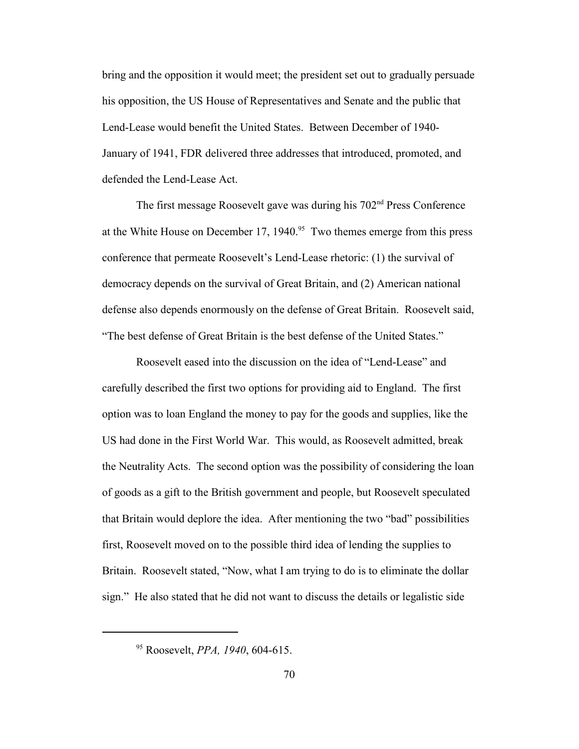bring and the opposition it would meet; the president set out to gradually persuade his opposition, the US House of Representatives and Senate and the public that Lend-Lease would benefit the United States. Between December of 1940- January of 1941, FDR delivered three addresses that introduced, promoted, and defended the Lend-Lease Act.

The first message Roosevelt gave was during his 702nd Press Conference at the White House on December 17, 1940.<sup>95</sup> Two themes emerge from this press conference that permeate Roosevelt's Lend-Lease rhetoric: (1) the survival of democracy depends on the survival of Great Britain, and (2) American national defense also depends enormously on the defense of Great Britain. Roosevelt said, "The best defense of Great Britain is the best defense of the United States."

Roosevelt eased into the discussion on the idea of "Lend-Lease" and carefully described the first two options for providing aid to England. The first option was to loan England the money to pay for the goods and supplies, like the US had done in the First World War. This would, as Roosevelt admitted, break the Neutrality Acts. The second option was the possibility of considering the loan of goods as a gift to the British government and people, but Roosevelt speculated that Britain would deplore the idea. After mentioning the two "bad" possibilities first, Roosevelt moved on to the possible third idea of lending the supplies to Britain. Roosevelt stated, "Now, what I am trying to do is to eliminate the dollar sign." He also stated that he did not want to discuss the details or legalistic side

<sup>95</sup> Roosevelt, *PPA, 1940*, 604-615.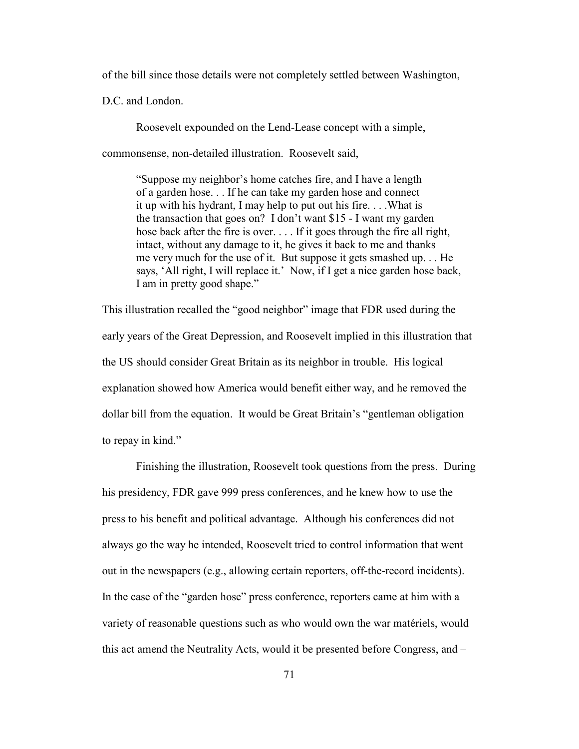of the bill since those details were not completely settled between Washington,

D.C. and London.

Roosevelt expounded on the Lend-Lease concept with a simple,

commonsense, non-detailed illustration. Roosevelt said,

"Suppose my neighbor's home catches fire, and I have a length of a garden hose. . . If he can take my garden hose and connect it up with his hydrant, I may help to put out his fire. . . .What is the transaction that goes on? I don't want \$15 - I want my garden hose back after the fire is over. . . . If it goes through the fire all right, intact, without any damage to it, he gives it back to me and thanks me very much for the use of it. But suppose it gets smashed up. . . He says, 'All right, I will replace it.' Now, if I get a nice garden hose back, I am in pretty good shape."

This illustration recalled the "good neighbor" image that FDR used during the early years of the Great Depression, and Roosevelt implied in this illustration that the US should consider Great Britain as its neighbor in trouble. His logical explanation showed how America would benefit either way, and he removed the dollar bill from the equation. It would be Great Britain's "gentleman obligation to repay in kind."

Finishing the illustration, Roosevelt took questions from the press. During his presidency, FDR gave 999 press conferences, and he knew how to use the press to his benefit and political advantage. Although his conferences did not always go the way he intended, Roosevelt tried to control information that went out in the newspapers (e.g., allowing certain reporters, off-the-record incidents). In the case of the "garden hose" press conference, reporters came at him with a variety of reasonable questions such as who would own the war matériels, would this act amend the Neutrality Acts, would it be presented before Congress, and –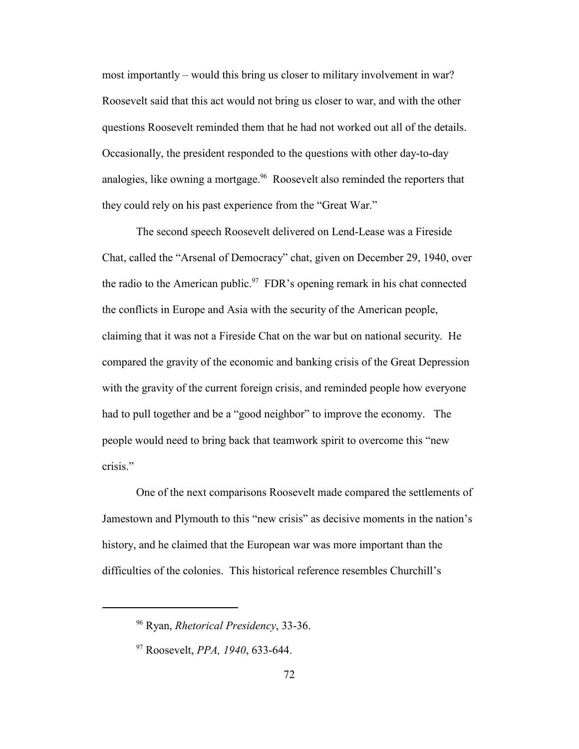most importantly – would this bring us closer to military involvement in war? Roosevelt said that this act would not bring us closer to war, and with the other questions Roosevelt reminded them that he had not worked out all of the details. Occasionally, the president responded to the questions with other day-to-day analogies, like owning a mortgage.<sup>96</sup> Roosevelt also reminded the reporters that they could rely on his past experience from the "Great War."

The second speech Roosevelt delivered on Lend-Lease was a Fireside Chat, called the "Arsenal of Democracy" chat, given on December 29, 1940, over the radio to the American public.<sup>97</sup> FDR's opening remark in his chat connected the conflicts in Europe and Asia with the security of the American people, claiming that it was not a Fireside Chat on the war but on national security. He compared the gravity of the economic and banking crisis of the Great Depression with the gravity of the current foreign crisis, and reminded people how everyone had to pull together and be a "good neighbor" to improve the economy. The people would need to bring back that teamwork spirit to overcome this "new crisis."

One of the next comparisons Roosevelt made compared the settlements of Jamestown and Plymouth to this "new crisis" as decisive moments in the nation's history, and he claimed that the European war was more important than the difficulties of the colonies. This historical reference resembles Churchill's

<sup>96</sup> Ryan, *Rhetorical Presidency*, 33-36.

<sup>97</sup> Roosevelt, *PPA, 1940*, 633-644.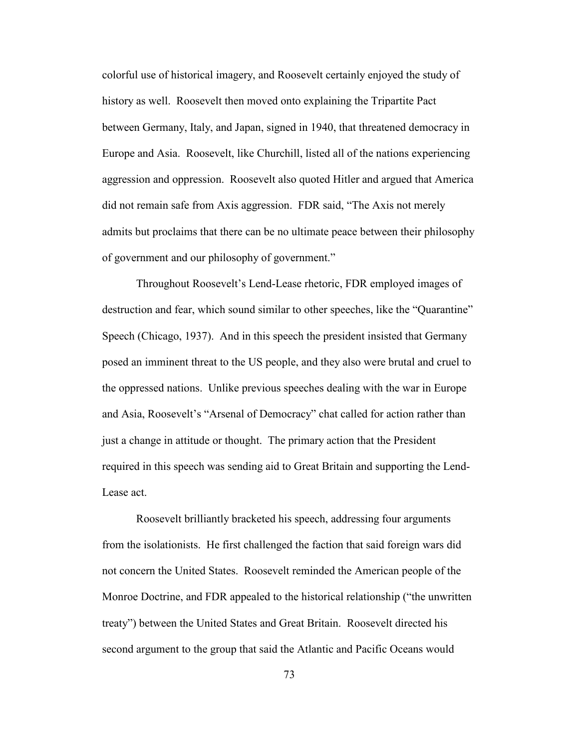colorful use of historical imagery, and Roosevelt certainly enjoyed the study of history as well. Roosevelt then moved onto explaining the Tripartite Pact between Germany, Italy, and Japan, signed in 1940, that threatened democracy in Europe and Asia. Roosevelt, like Churchill, listed all of the nations experiencing aggression and oppression. Roosevelt also quoted Hitler and argued that America did not remain safe from Axis aggression. FDR said, "The Axis not merely admits but proclaims that there can be no ultimate peace between their philosophy of government and our philosophy of government."

Throughout Roosevelt's Lend-Lease rhetoric, FDR employed images of destruction and fear, which sound similar to other speeches, like the "Quarantine" Speech (Chicago, 1937). And in this speech the president insisted that Germany posed an imminent threat to the US people, and they also were brutal and cruel to the oppressed nations. Unlike previous speeches dealing with the war in Europe and Asia, Roosevelt's "Arsenal of Democracy" chat called for action rather than just a change in attitude or thought. The primary action that the President required in this speech was sending aid to Great Britain and supporting the Lend-Lease act.

Roosevelt brilliantly bracketed his speech, addressing four arguments from the isolationists. He first challenged the faction that said foreign wars did not concern the United States. Roosevelt reminded the American people of the Monroe Doctrine, and FDR appealed to the historical relationship ("the unwritten treaty") between the United States and Great Britain. Roosevelt directed his second argument to the group that said the Atlantic and Pacific Oceans would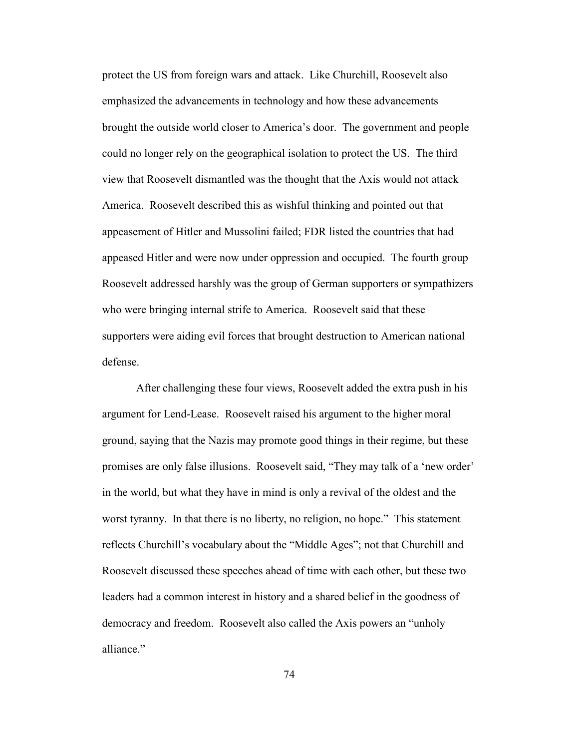protect the US from foreign wars and attack. Like Churchill, Roosevelt also emphasized the advancements in technology and how these advancements brought the outside world closer to America's door. The government and people could no longer rely on the geographical isolation to protect the US. The third view that Roosevelt dismantled was the thought that the Axis would not attack America. Roosevelt described this as wishful thinking and pointed out that appeasement of Hitler and Mussolini failed; FDR listed the countries that had appeased Hitler and were now under oppression and occupied. The fourth group Roosevelt addressed harshly was the group of German supporters or sympathizers who were bringing internal strife to America. Roosevelt said that these supporters were aiding evil forces that brought destruction to American national defense.

After challenging these four views, Roosevelt added the extra push in his argument for Lend-Lease. Roosevelt raised his argument to the higher moral ground, saying that the Nazis may promote good things in their regime, but these promises are only false illusions. Roosevelt said, "They may talk of a 'new order' in the world, but what they have in mind is only a revival of the oldest and the worst tyranny. In that there is no liberty, no religion, no hope." This statement reflects Churchill's vocabulary about the "Middle Ages"; not that Churchill and Roosevelt discussed these speeches ahead of time with each other, but these two leaders had a common interest in history and a shared belief in the goodness of democracy and freedom. Roosevelt also called the Axis powers an "unholy alliance."

74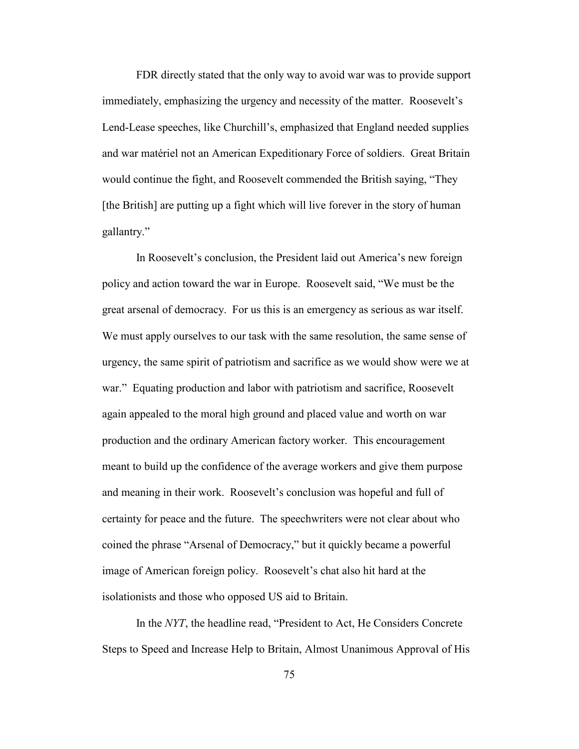FDR directly stated that the only way to avoid war was to provide support immediately, emphasizing the urgency and necessity of the matter. Roosevelt's Lend-Lease speeches, like Churchill's, emphasized that England needed supplies and war matériel not an American Expeditionary Force of soldiers. Great Britain would continue the fight, and Roosevelt commended the British saying, "They [the British] are putting up a fight which will live forever in the story of human gallantry."

In Roosevelt's conclusion, the President laid out America's new foreign policy and action toward the war in Europe. Roosevelt said, "We must be the great arsenal of democracy. For us this is an emergency as serious as war itself. We must apply ourselves to our task with the same resolution, the same sense of urgency, the same spirit of patriotism and sacrifice as we would show were we at war." Equating production and labor with patriotism and sacrifice, Roosevelt again appealed to the moral high ground and placed value and worth on war production and the ordinary American factory worker. This encouragement meant to build up the confidence of the average workers and give them purpose and meaning in their work. Roosevelt's conclusion was hopeful and full of certainty for peace and the future. The speechwriters were not clear about who coined the phrase "Arsenal of Democracy," but it quickly became a powerful image of American foreign policy. Roosevelt's chat also hit hard at the isolationists and those who opposed US aid to Britain.

In the *NYT*, the headline read, "President to Act, He Considers Concrete" Steps to Speed and Increase Help to Britain, Almost Unanimous Approval of His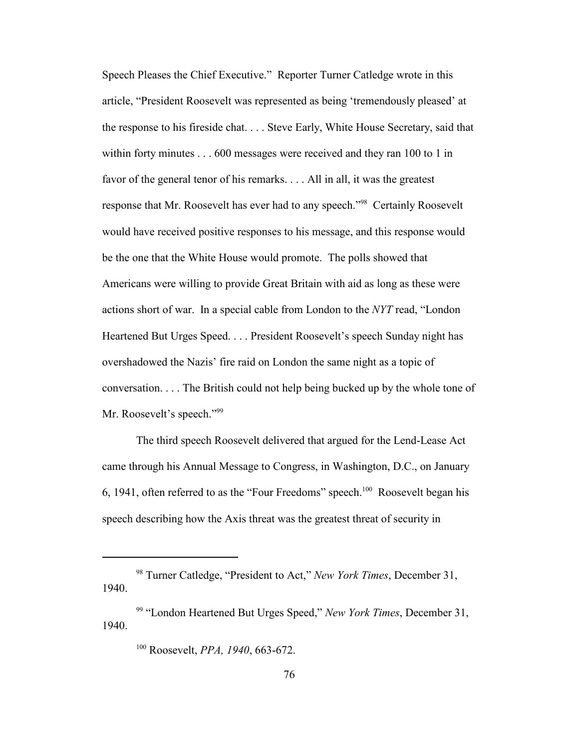Speech Pleases the Chief Executive." Reporter Turner Catledge wrote in this article, "President Roosevelt was represented as being 'tremendously pleased' at the response to his fireside chat. . . . Steve Early, White House Secretary, said that within forty minutes . . . 600 messages were received and they ran 100 to 1 in favor of the general tenor of his remarks. . . . All in all, it was the greatest response that Mr. Roosevelt has ever had to any speech."<sup>98</sup> Certainly Roosevelt would have received positive responses to his message, and this response would be the one that the White House would promote. The polls showed that Americans were willing to provide Great Britain with aid as long as these were actions short of war. In a special cable from London to the *NYT* read, "London" Heartened But Urges Speed. . . . President Roosevelt's speech Sunday night has overshadowed the Nazis' fire raid on London the same night as a topic of conversation. . . . The British could not help being bucked up by the whole tone of Mr. Roosevelt's speech."<sup>99</sup>

The third speech Roosevelt delivered that argued for the Lend-Lease Act came through his Annual Message to Congress, in Washington, D.C., on January 6, 1941, often referred to as the "Four Freedoms" speech.<sup>100</sup> Roosevelt began his speech describing how the Axis threat was the greatest threat of security in

<sup>&</sup>lt;sup>98</sup> Turner Catledge, "President to Act," *New York Times*, December 31, 1940.

<sup>&</sup>lt;sup>99</sup> "London Heartened But Urges Speed," *New York Times*, December 31, 1940.

<sup>100</sup> Roosevelt, *PPA, 1940*, 663-672.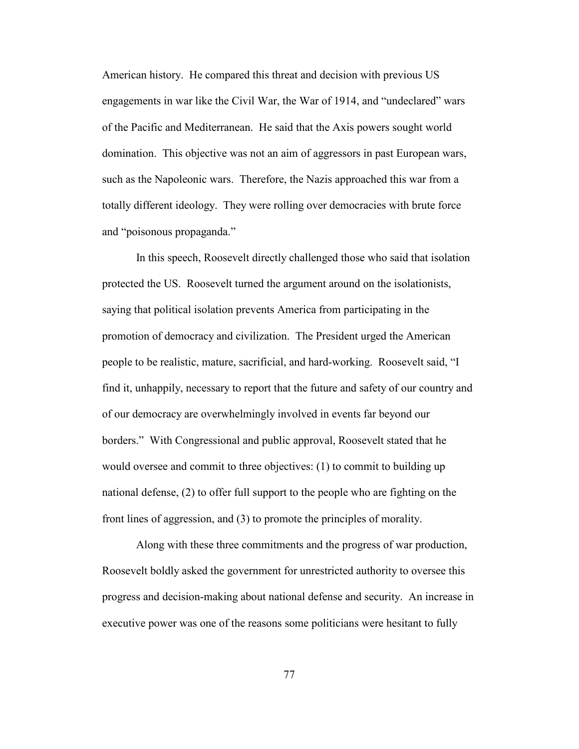American history. He compared this threat and decision with previous US engagements in war like the Civil War, the War of 1914, and "undeclared" wars of the Pacific and Mediterranean. He said that the Axis powers sought world domination. This objective was not an aim of aggressors in past European wars, such as the Napoleonic wars. Therefore, the Nazis approached this war from a totally different ideology. They were rolling over democracies with brute force and "poisonous propaganda."

In this speech, Roosevelt directly challenged those who said that isolation protected the US. Roosevelt turned the argument around on the isolationists, saying that political isolation prevents America from participating in the promotion of democracy and civilization. The President urged the American people to be realistic, mature, sacrificial, and hard-working. Roosevelt said, "I find it, unhappily, necessary to report that the future and safety of our country and of our democracy are overwhelmingly involved in events far beyond our borders." With Congressional and public approval, Roosevelt stated that he would oversee and commit to three objectives: (1) to commit to building up national defense, (2) to offer full support to the people who are fighting on the front lines of aggression, and (3) to promote the principles of morality.

Along with these three commitments and the progress of war production, Roosevelt boldly asked the government for unrestricted authority to oversee this progress and decision-making about national defense and security. An increase in executive power was one of the reasons some politicians were hesitant to fully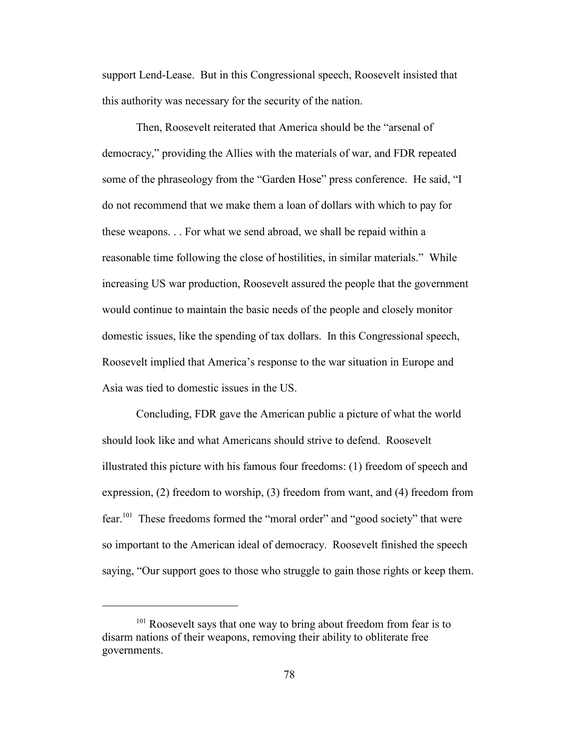support Lend-Lease. But in this Congressional speech, Roosevelt insisted that this authority was necessary for the security of the nation.

Then, Roosevelt reiterated that America should be the "arsenal of democracy," providing the Allies with the materials of war, and FDR repeated some of the phraseology from the "Garden Hose" press conference. He said, "I do not recommend that we make them a loan of dollars with which to pay for these weapons. . . For what we send abroad, we shall be repaid within a reasonable time following the close of hostilities, in similar materials." While increasing US war production, Roosevelt assured the people that the government would continue to maintain the basic needs of the people and closely monitor domestic issues, like the spending of tax dollars. In this Congressional speech, Roosevelt implied that America's response to the war situation in Europe and Asia was tied to domestic issues in the US.

Concluding, FDR gave the American public a picture of what the world should look like and what Americans should strive to defend. Roosevelt illustrated this picture with his famous four freedoms: (1) freedom of speech and expression, (2) freedom to worship, (3) freedom from want, and (4) freedom from fear.<sup>101</sup> These freedoms formed the "moral order" and "good society" that were so important to the American ideal of democracy. Roosevelt finished the speech saying, "Our support goes to those who struggle to gain those rights or keep them.

<sup>&</sup>lt;sup>101</sup> Roosevelt says that one way to bring about freedom from fear is to disarm nations of their weapons, removing their ability to obliterate free governments.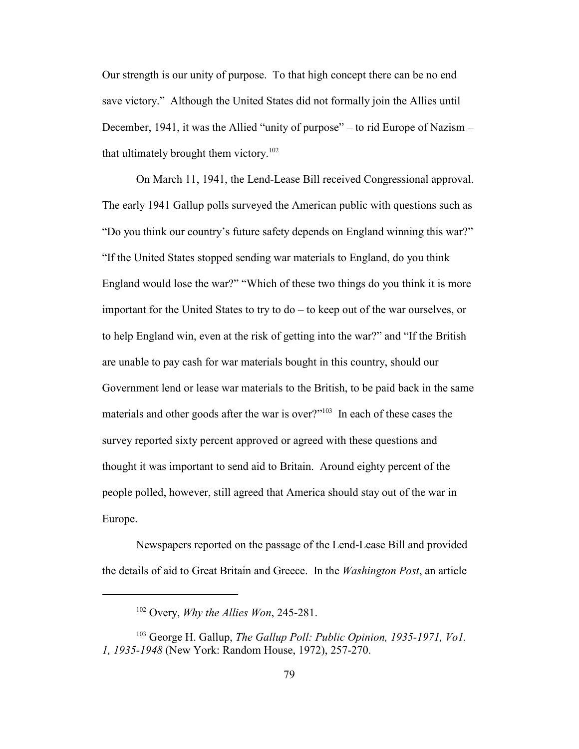Our strength is our unity of purpose. To that high concept there can be no end save victory." Although the United States did not formally join the Allies until December, 1941, it was the Allied "unity of purpose" – to rid Europe of Nazism – that ultimately brought them victory.<sup>102</sup>

On March 11, 1941, the Lend-Lease Bill received Congressional approval. The early 1941 Gallup polls surveyed the American public with questions such as "Do you think our country's future safety depends on England winning this war?" "If the United States stopped sending war materials to England, do you think England would lose the war?" "Which of these two things do you think it is more important for the United States to try to do – to keep out of the war ourselves, or to help England win, even at the risk of getting into the war?" and "If the British are unable to pay cash for war materials bought in this country, should our Government lend or lease war materials to the British, to be paid back in the same materials and other goods after the war is over?"<sup>103</sup> In each of these cases the survey reported sixty percent approved or agreed with these questions and thought it was important to send aid to Britain. Around eighty percent of the people polled, however, still agreed that America should stay out of the war in Europe.

Newspapers reported on the passage of the Lend-Lease Bill and provided the details of aid to Great Britain and Greece. In the *Washington Post*, an article

<sup>102</sup> Overy, *Why the Allies Won*, 245-281.

<sup>103</sup> George H. Gallup, *The Gallup Poll: Public Opinion, 1935-1971, Vo1. 1, 1935-1948* (New York: Random House, 1972), 257-270.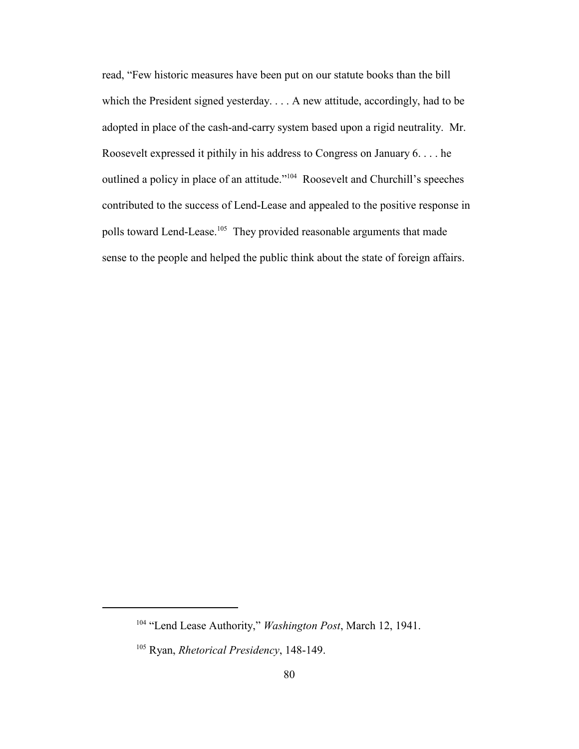read, "Few historic measures have been put on our statute books than the bill which the President signed yesterday. . . . A new attitude, accordingly, had to be adopted in place of the cash-and-carry system based upon a rigid neutrality. Mr. Roosevelt expressed it pithily in his address to Congress on January 6. . . . he outlined a policy in place of an attitude."<sup>104</sup> Roosevelt and Churchill's speeches contributed to the success of Lend-Lease and appealed to the positive response in polls toward Lend-Lease.<sup>105</sup> They provided reasonable arguments that made sense to the people and helped the public think about the state of foreign affairs.

<sup>104</sup> "Lend Lease Authority," *Washington Post*, March 12, 1941.

<sup>105</sup> Ryan, *Rhetorical Presidency*, 148-149.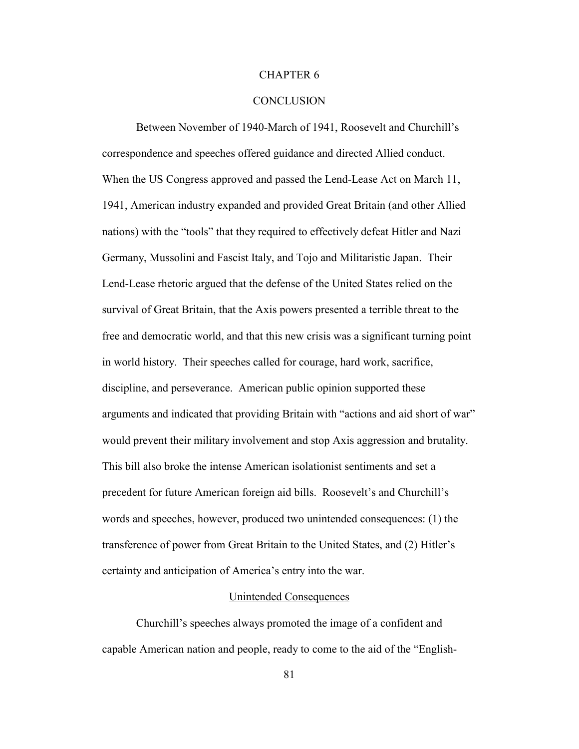## CHAPTER 6

## **CONCLUSION**

Between November of 1940-March of 1941, Roosevelt and Churchill's correspondence and speeches offered guidance and directed Allied conduct. When the US Congress approved and passed the Lend-Lease Act on March 11, 1941, American industry expanded and provided Great Britain (and other Allied nations) with the "tools" that they required to effectively defeat Hitler and Nazi Germany, Mussolini and Fascist Italy, and Tojo and Militaristic Japan. Their Lend-Lease rhetoric argued that the defense of the United States relied on the survival of Great Britain, that the Axis powers presented a terrible threat to the free and democratic world, and that this new crisis was a significant turning point in world history. Their speeches called for courage, hard work, sacrifice, discipline, and perseverance. American public opinion supported these arguments and indicated that providing Britain with "actions and aid short of war" would prevent their military involvement and stop Axis aggression and brutality. This bill also broke the intense American isolationist sentiments and set a precedent for future American foreign aid bills. Roosevelt's and Churchill's words and speeches, however, produced two unintended consequences: (1) the transference of power from Great Britain to the United States, and (2) Hitler's certainty and anticipation of America's entry into the war.

#### Unintended Consequences

Churchill's speeches always promoted the image of a confident and capable American nation and people, ready to come to the aid of the "English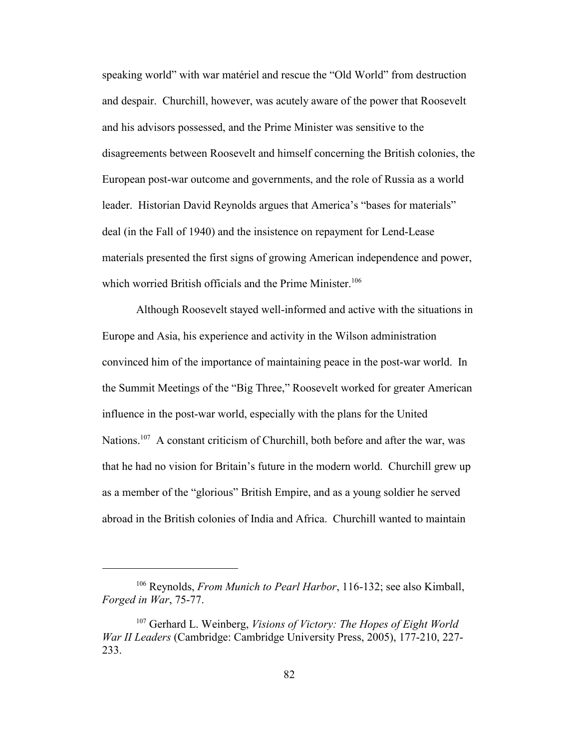speaking world" with war matériel and rescue the "Old World" from destruction and despair. Churchill, however, was acutely aware of the power that Roosevelt and his advisors possessed, and the Prime Minister was sensitive to the disagreements between Roosevelt and himself concerning the British colonies, the European post-war outcome and governments, and the role of Russia as a world leader. Historian David Reynolds argues that America's "bases for materials" deal (in the Fall of 1940) and the insistence on repayment for Lend-Lease materials presented the first signs of growing American independence and power, which worried British officials and the Prime Minister.<sup>106</sup>

Although Roosevelt stayed well-informed and active with the situations in Europe and Asia, his experience and activity in the Wilson administration convinced him of the importance of maintaining peace in the post-war world. In the Summit Meetings of the "Big Three," Roosevelt worked for greater American influence in the post-war world, especially with the plans for the United Nations.<sup>107</sup> A constant criticism of Churchill, both before and after the war, was that he had no vision for Britain's future in the modern world. Churchill grew up as a member of the "glorious" British Empire, and as a young soldier he served abroad in the British colonies of India and Africa. Churchill wanted to maintain

<sup>106</sup> Reynolds, *From Munich to Pearl Harbor*, 116-132; see also Kimball, *Forged in War*, 75-77.

<sup>107</sup> Gerhard L. Weinberg, *Visions of Victory: The Hopes of Eight World War II Leaders* (Cambridge: Cambridge University Press, 2005), 177-210, 227- 233.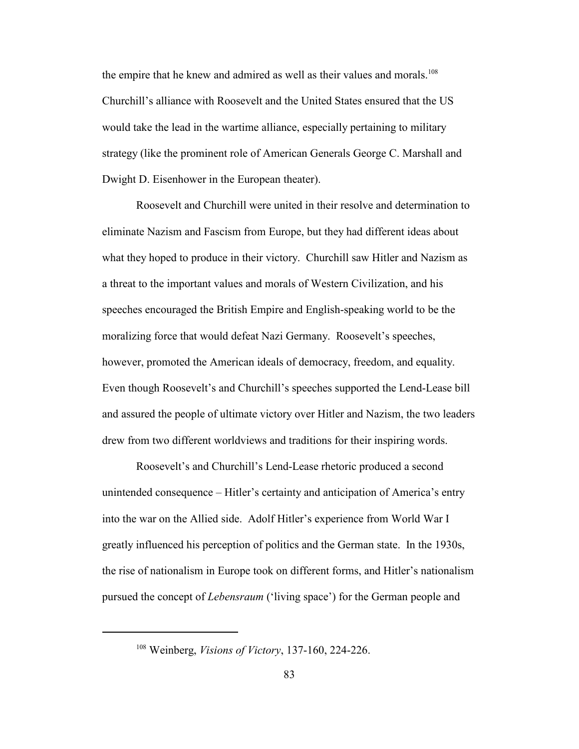the empire that he knew and admired as well as their values and morals.<sup>108</sup> Churchill's alliance with Roosevelt and the United States ensured that the US would take the lead in the wartime alliance, especially pertaining to military strategy (like the prominent role of American Generals George C. Marshall and Dwight D. Eisenhower in the European theater).

Roosevelt and Churchill were united in their resolve and determination to eliminate Nazism and Fascism from Europe, but they had different ideas about what they hoped to produce in their victory. Churchill saw Hitler and Nazism as a threat to the important values and morals of Western Civilization, and his speeches encouraged the British Empire and English-speaking world to be the moralizing force that would defeat Nazi Germany. Roosevelt's speeches, however, promoted the American ideals of democracy, freedom, and equality. Even though Roosevelt's and Churchill's speeches supported the Lend-Lease bill and assured the people of ultimate victory over Hitler and Nazism, the two leaders drew from two different worldviews and traditions for their inspiring words.

Roosevelt's and Churchill's Lend-Lease rhetoric produced a second unintended consequence – Hitler's certainty and anticipation of America's entry into the war on the Allied side. Adolf Hitler's experience from World War I greatly influenced his perception of politics and the German state. In the 1930s, the rise of nationalism in Europe took on different forms, and Hitler's nationalism pursued the concept of *Lebensraum* ('living space') for the German people and

<sup>108</sup> Weinberg, *Visions of Victory*, 137-160, 224-226.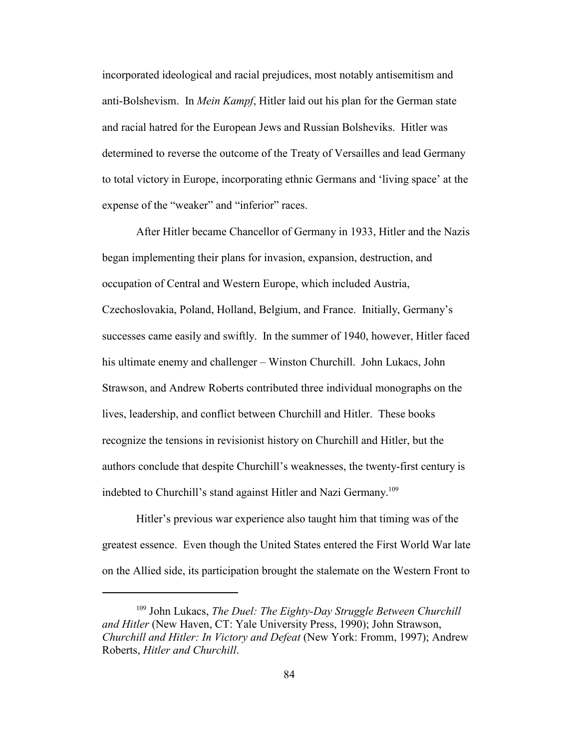incorporated ideological and racial prejudices, most notably antisemitism and anti-Bolshevism. In *Mein Kampf*, Hitler laid out his plan for the German state and racial hatred for the European Jews and Russian Bolsheviks. Hitler was determined to reverse the outcome of the Treaty of Versailles and lead Germany to total victory in Europe, incorporating ethnic Germans and 'living space' at the expense of the "weaker" and "inferior" races.

After Hitler became Chancellor of Germany in 1933, Hitler and the Nazis began implementing their plans for invasion, expansion, destruction, and occupation of Central and Western Europe, which included Austria, Czechoslovakia, Poland, Holland, Belgium, and France. Initially, Germany's successes came easily and swiftly. In the summer of 1940, however, Hitler faced his ultimate enemy and challenger – Winston Churchill. John Lukacs, John Strawson, and Andrew Roberts contributed three individual monographs on the lives, leadership, and conflict between Churchill and Hitler. These books recognize the tensions in revisionist history on Churchill and Hitler, but the authors conclude that despite Churchill's weaknesses, the twenty-first century is indebted to Churchill's stand against Hitler and Nazi Germany.<sup>109</sup>

Hitler's previous war experience also taught him that timing was of the greatest essence. Even though the United States entered the First World War late on the Allied side, its participation brought the stalemate on the Western Front to

<sup>109</sup> John Lukacs, *The Duel: The Eighty-Day Struggle Between Churchill and Hitler* (New Haven, CT: Yale University Press, 1990); John Strawson, *Churchill and Hitler: In Victory and Defeat* (New York: Fromm, 1997); Andrew Roberts, *Hitler and Churchill*.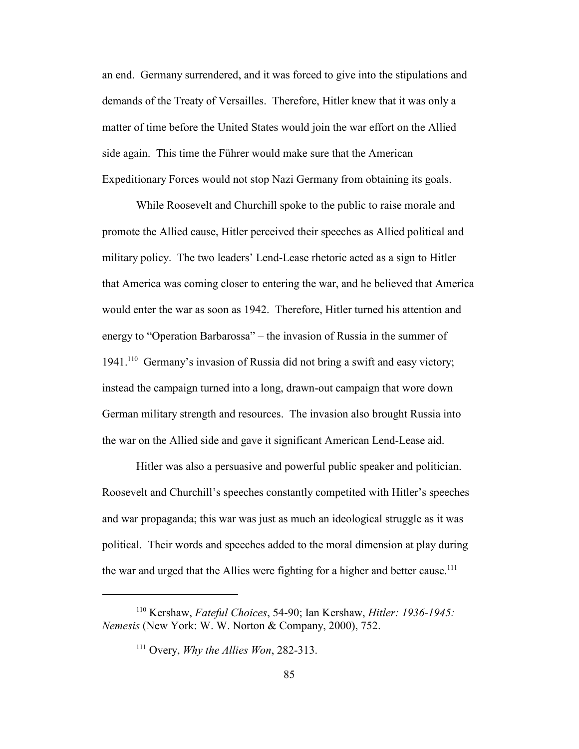an end. Germany surrendered, and it was forced to give into the stipulations and demands of the Treaty of Versailles. Therefore, Hitler knew that it was only a matter of time before the United States would join the war effort on the Allied side again. This time the Führer would make sure that the American Expeditionary Forces would not stop Nazi Germany from obtaining its goals.

While Roosevelt and Churchill spoke to the public to raise morale and promote the Allied cause, Hitler perceived their speeches as Allied political and military policy. The two leaders' Lend-Lease rhetoric acted as a sign to Hitler that America was coming closer to entering the war, and he believed that America would enter the war as soon as 1942. Therefore, Hitler turned his attention and energy to "Operation Barbarossa" – the invasion of Russia in the summer of 1941.<sup>110</sup> Germany's invasion of Russia did not bring a swift and easy victory; instead the campaign turned into a long, drawn-out campaign that wore down German military strength and resources. The invasion also brought Russia into the war on the Allied side and gave it significant American Lend-Lease aid.

Hitler was also a persuasive and powerful public speaker and politician. Roosevelt and Churchill's speeches constantly competited with Hitler's speeches and war propaganda; this war was just as much an ideological struggle as it was political. Their words and speeches added to the moral dimension at play during the war and urged that the Allies were fighting for a higher and better cause.<sup>111</sup>

<sup>110</sup> Kershaw, *Fateful Choices*, 54-90; Ian Kershaw, *Hitler: 1936-1945: Nemesis* (New York: W. W. Norton & Company, 2000), 752.

<sup>111</sup> Overy, *Why the Allies Won*, 282-313.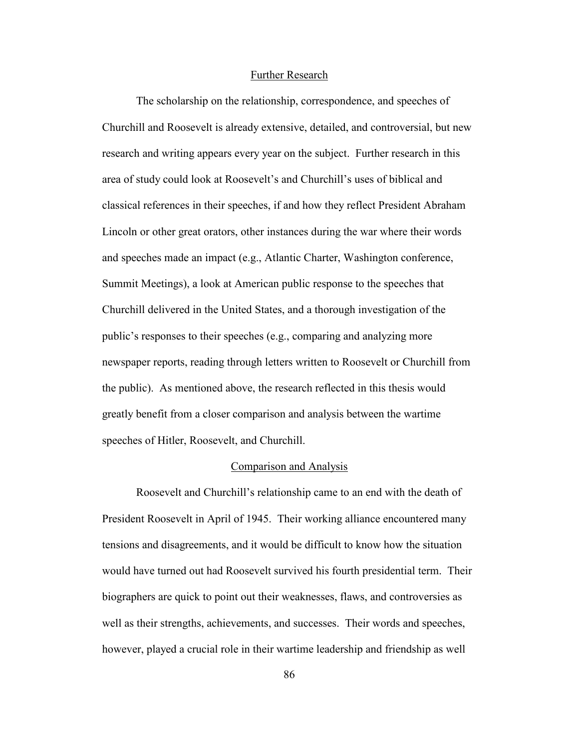#### Further Research

The scholarship on the relationship, correspondence, and speeches of Churchill and Roosevelt is already extensive, detailed, and controversial, but new research and writing appears every year on the subject. Further research in this area of study could look at Roosevelt's and Churchill's uses of biblical and classical references in their speeches, if and how they reflect President Abraham Lincoln or other great orators, other instances during the war where their words and speeches made an impact (e.g., Atlantic Charter, Washington conference, Summit Meetings), a look at American public response to the speeches that Churchill delivered in the United States, and a thorough investigation of the public's responses to their speeches (e.g., comparing and analyzing more newspaper reports, reading through letters written to Roosevelt or Churchill from the public). As mentioned above, the research reflected in this thesis would greatly benefit from a closer comparison and analysis between the wartime speeches of Hitler, Roosevelt, and Churchill.

#### Comparison and Analysis

Roosevelt and Churchill's relationship came to an end with the death of President Roosevelt in April of 1945. Their working alliance encountered many tensions and disagreements, and it would be difficult to know how the situation would have turned out had Roosevelt survived his fourth presidential term. Their biographers are quick to point out their weaknesses, flaws, and controversies as well as their strengths, achievements, and successes. Their words and speeches, however, played a crucial role in their wartime leadership and friendship as well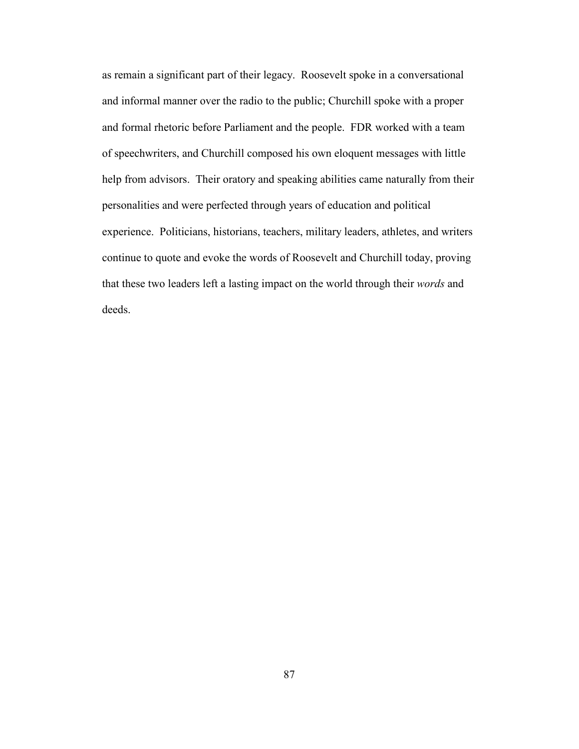as remain a significant part of their legacy. Roosevelt spoke in a conversational and informal manner over the radio to the public; Churchill spoke with a proper and formal rhetoric before Parliament and the people. FDR worked with a team of speechwriters, and Churchill composed his own eloquent messages with little help from advisors. Their oratory and speaking abilities came naturally from their personalities and were perfected through years of education and political experience. Politicians, historians, teachers, military leaders, athletes, and writers continue to quote and evoke the words of Roosevelt and Churchill today, proving that these two leaders left a lasting impact on the world through their *words* and deeds.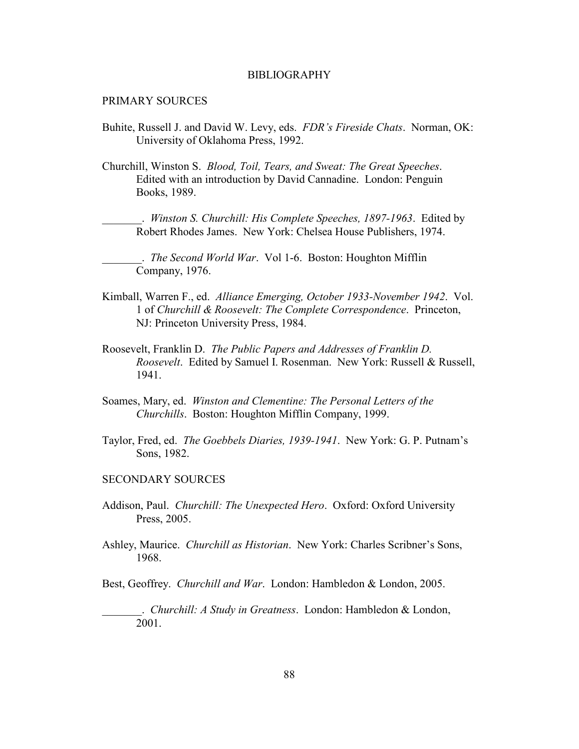#### BIBLIOGRAPHY

## PRIMARY SOURCES

- Buhite, Russell J. and David W. Levy, eds. *FDR's Fireside Chats*. Norman, OK: University of Oklahoma Press, 1992.
- Churchill, Winston S. *Blood, Toil, Tears, and Sweat: The Great Speeches*. Edited with an introduction by David Cannadine. London: Penguin Books, 1989.

\_\_\_\_\_\_\_. *Winston S. Churchill: His Complete Speeches, 1897-1963*. Edited by Robert Rhodes James. New York: Chelsea House Publishers, 1974.

\_\_\_\_\_\_\_. *The Second World War*. Vol 1-6. Boston: Houghton Mifflin Company, 1976.

- Kimball, Warren F., ed. *Alliance Emerging, October 1933-November 1942*. Vol. 1 of *Churchill & Roosevelt: The Complete Correspondence*. Princeton, NJ: Princeton University Press, 1984.
- Roosevelt, Franklin D. *The Public Papers and Addresses of Franklin D. Roosevelt*. Edited by Samuel I. Rosenman. New York: Russell & Russell, 1941.
- Soames, Mary, ed. *Winston and Clementine: The Personal Letters of the Churchills*. Boston: Houghton Mifflin Company, 1999.
- Taylor, Fred, ed. *The Goebbels Diaries, 1939-1941*. New York: G. P. Putnam's Sons, 1982.

### SECONDARY SOURCES

- Addison, Paul. *Churchill: The Unexpected Hero*. Oxford: Oxford University Press, 2005.
- Ashley, Maurice. *Churchill as Historian*. New York: Charles Scribner's Sons, 1968.

Best, Geoffrey. *Churchill and War*. London: Hambledon & London, 2005.

\_\_\_\_\_\_\_. *Churchill: A Study in Greatness*. London: Hambledon & London, 2001.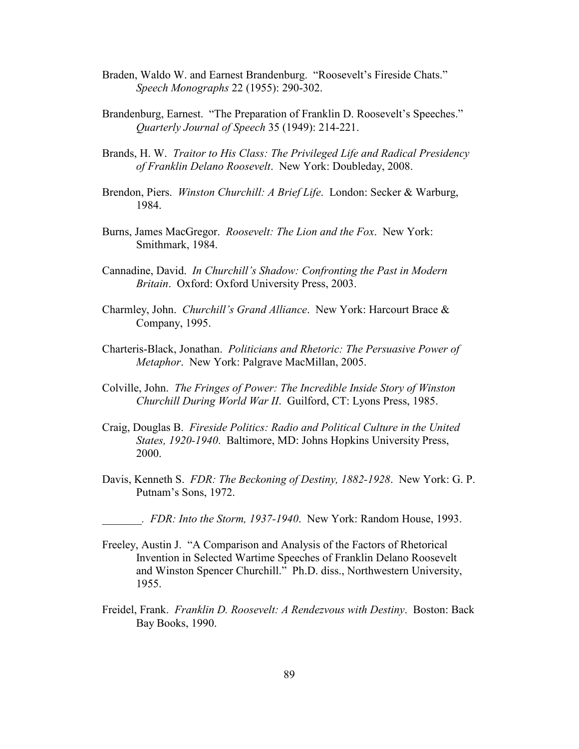- Braden, Waldo W. and Earnest Brandenburg. "Roosevelt's Fireside Chats." *Speech Monographs* 22 (1955): 290-302.
- Brandenburg, Earnest. "The Preparation of Franklin D. Roosevelt's Speeches." *Quarterly Journal of Speech* 35 (1949): 214-221.
- Brands, H. W. *Traitor to His Class: The Privileged Life and Radical Presidency of Franklin Delano Roosevelt*. New York: Doubleday, 2008.
- Brendon, Piers. *Winston Churchill: A Brief Life*. London: Secker & Warburg, 1984.
- Burns, James MacGregor. *Roosevelt: The Lion and the Fox*. New York: Smithmark, 1984.
- Cannadine, David. *In Churchill's Shadow: Confronting the Past in Modern Britain*. Oxford: Oxford University Press, 2003.
- Charmley, John. *Churchill's Grand Alliance*. New York: Harcourt Brace & Company, 1995.
- Charteris-Black, Jonathan. *Politicians and Rhetoric: The Persuasive Power of Metaphor*. New York: Palgrave MacMillan, 2005.
- Colville, John. *The Fringes of Power: The Incredible Inside Story of Winston Churchill During World War II*. Guilford, CT: Lyons Press, 1985.
- Craig, Douglas B. *Fireside Politics: Radio and Political Culture in the United States, 1920-1940*. Baltimore, MD: Johns Hopkins University Press, 2000.
- Davis, Kenneth S. *FDR: The Beckoning of Destiny, 1882-1928*. New York: G. P. Putnam's Sons, 1972.

*\_\_\_\_\_\_\_. FDR: Into the Storm, 1937-1940*. New York: Random House, 1993.

- Freeley, Austin J. "A Comparison and Analysis of the Factors of Rhetorical Invention in Selected Wartime Speeches of Franklin Delano Roosevelt and Winston Spencer Churchill." Ph.D. diss., Northwestern University, 1955.
- Freidel, Frank. *Franklin D. Roosevelt: A Rendezvous with Destiny*. Boston: Back Bay Books, 1990.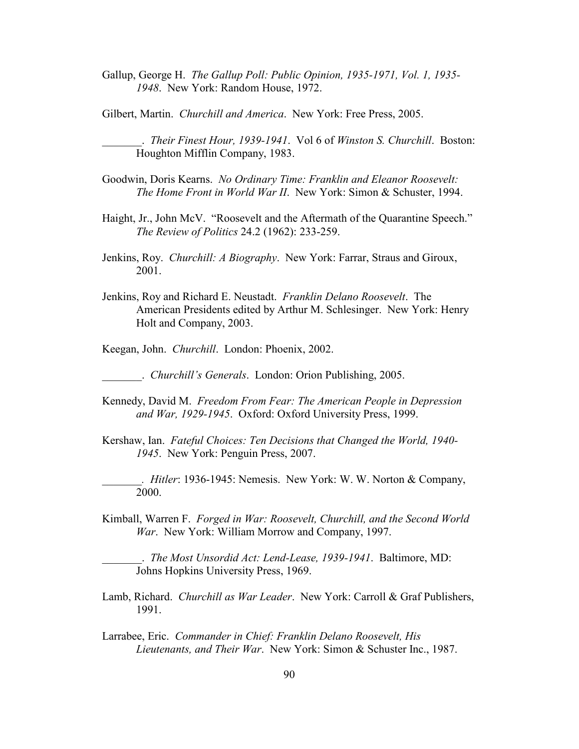Gallup, George H. *The Gallup Poll: Public Opinion, 1935-1971, Vol. 1, 1935- 1948*. New York: Random House, 1972.

Gilbert, Martin. *Churchill and America*. New York: Free Press, 2005.

\_\_\_\_\_\_\_. *Their Finest Hour, 1939-1941*. Vol 6 of *Winston S. Churchill*. Boston: Houghton Mifflin Company, 1983.

- Goodwin, Doris Kearns. *#o Ordinary Time: Franklin and Eleanor Roosevelt: The Home Front in World War II*. New York: Simon & Schuster, 1994.
- Haight, Jr., John McV. "Roosevelt and the Aftermath of the Quarantine Speech." *The Review of Politics* 24.2 (1962): 233-259.
- Jenkins, Roy. *Churchill: A Biography*. New York: Farrar, Straus and Giroux, 2001.
- Jenkins, Roy and Richard E. Neustadt. *Franklin Delano Roosevelt*. The American Presidents edited by Arthur M. Schlesinger. New York: Henry Holt and Company, 2003.
- Keegan, John. *Churchill*. London: Phoenix, 2002.

\_\_\_\_\_\_\_. *Churchill's Generals*. London: Orion Publishing, 2005.

- Kennedy, David M. *Freedom From Fear: The American People in Depression and War, 1929-1945*. Oxford: Oxford University Press, 1999.
- Kershaw, Ian. *Fateful Choices: Ten Decisions that Changed the World, 1940- 1945*. New York: Penguin Press, 2007.
- *\_\_\_\_\_\_\_. Hitler*: 1936-1945: Nemesis. New York: W. W. Norton & Company, 2000.
- Kimball, Warren F. *Forged in War: Roosevelt, Churchill, and the Second World War*. New York: William Morrow and Company, 1997.

\_\_\_\_\_\_\_. *The Most Unsordid Act: Lend-Lease, 1939-1941*. Baltimore, MD: Johns Hopkins University Press, 1969.

- Lamb, Richard. *Churchill as War Leader*. New York: Carroll & Graf Publishers, 1991.
- Larrabee, Eric. *Commander in Chief: Franklin Delano Roosevelt, His Lieutenants, and Their War*. New York: Simon & Schuster Inc., 1987.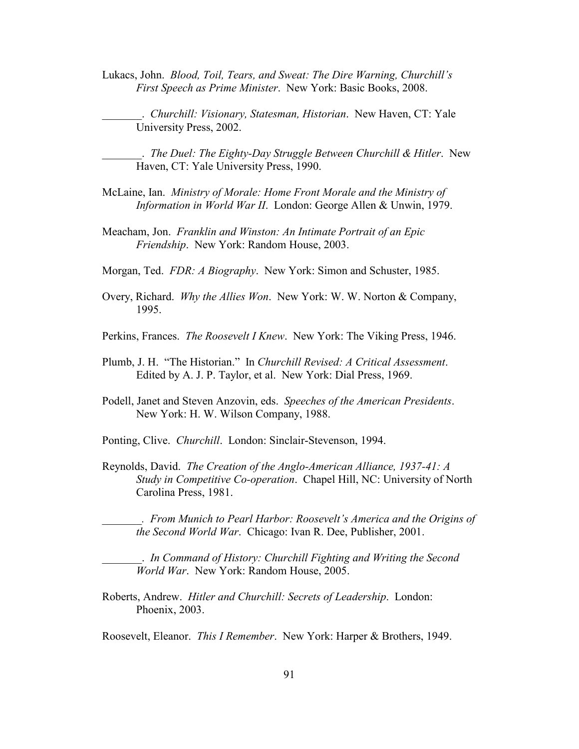Lukacs, John. *Blood, Toil, Tears, and Sweat: The Dire Warning, Churchill's First Speech as Prime Minister*. New York: Basic Books, 2008.

\_\_\_\_\_\_\_. *Churchill: Visionary, Statesman, Historian*. New Haven, CT: Yale University Press, 2002.

\_\_\_\_\_\_\_. *The Duel: The Eighty-Day Struggle Between Churchill & Hitler*. New Haven, CT: Yale University Press, 1990.

- McLaine, Ian. *Ministry of Morale: Home Front Morale and the Ministry of Information in World War II*. London: George Allen & Unwin, 1979.
- Meacham, Jon. *Franklin and Winston: An Intimate Portrait of an Epic Friendship*. New York: Random House, 2003.
- Morgan, Ted. *FDR: A Biography*. New York: Simon and Schuster, 1985.
- Overy, Richard. *Why the Allies Won*. New York: W. W. Norton & Company, 1995.
- Perkins, Frances. *The Roosevelt I Knew*. New York: The Viking Press, 1946.
- Plumb, J. H. "The Historian." In *Churchill Revised: A Critical Assessment*. Edited by A. J. P. Taylor, et al. New York: Dial Press, 1969.
- Podell, Janet and Steven Anzovin, eds. *Speeches of the American Presidents*. New York: H. W. Wilson Company, 1988.
- Ponting, Clive. *Churchill*. London: Sinclair-Stevenson, 1994.
- Reynolds, David. *The Creation of the Anglo-American Alliance, 1937-41: A Study in Competitive Co-operation*. Chapel Hill, NC: University of North Carolina Press, 1981.

*\_\_\_\_\_\_\_. From Munich to Pearl Harbor: Roosevelt's America and the Origins of the Second World War*. Chicago: Ivan R. Dee, Publisher, 2001.

\_\_\_\_\_\_\_. *In Command of History: Churchill Fighting and Writing the Second World War*. New York: Random House, 2005.

Roberts, Andrew. *Hitler and Churchill: Secrets of Leadership*. London: Phoenix, 2003.

Roosevelt, Eleanor. *This I Remember*. New York: Harper & Brothers, 1949.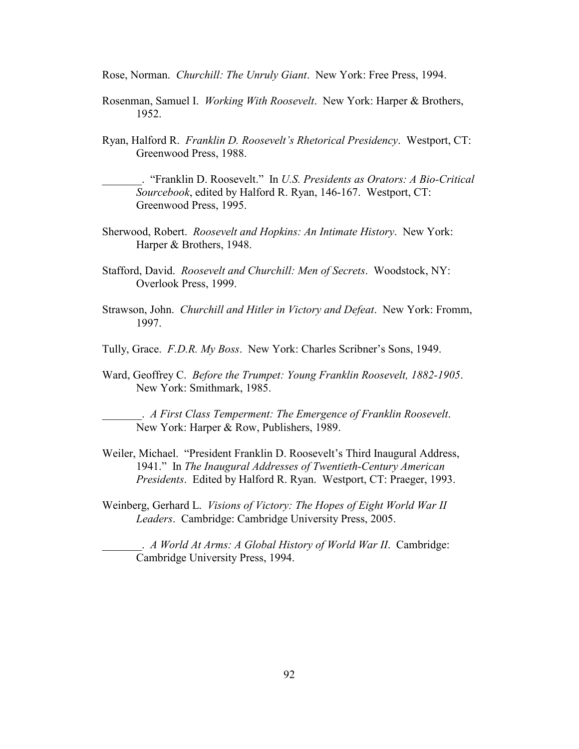Rose, Norman. *Churchill: The Unruly Giant*. New York: Free Press, 1994.

- Rosenman, Samuel I. *Working With Roosevelt*. New York: Harper & Brothers, 1952.
- Ryan, Halford R. *Franklin D. Roosevelt's Rhetorical Presidency*. Westport, CT: Greenwood Press, 1988.

\_\_\_\_\_\_\_. "Franklin D. Roosevelt." In *U.S. Presidents as Orators: A Bio-Critical Sourcebook*, edited by Halford R. Ryan, 146-167. Westport, CT: Greenwood Press, 1995.

- Sherwood, Robert. *Roosevelt and Hopkins: An Intimate History*. New York: Harper & Brothers, 1948.
- Stafford, David. *Roosevelt and Churchill: Men of Secrets*. Woodstock, NY: Overlook Press, 1999.
- Strawson, John. *Churchill and Hitler in Victory and Defeat*. New York: Fromm, 1997.
- Tully, Grace. *F.D.R. My Boss*. New York: Charles Scribner's Sons, 1949.
- Ward, Geoffrey C. *Before the Trumpet: Young Franklin Roosevelt, 1882-1905*. New York: Smithmark, 1985.

\_\_\_\_\_\_\_. *A First Class Temperment: The Emergence of Franklin Roosevelt*. New York: Harper & Row, Publishers, 1989.

- Weiler, Michael. "President Franklin D. Roosevelt's Third Inaugural Address, 1941." In *The Inaugural Addresses of Twentieth-Century American Presidents*. Edited by Halford R. Ryan. Westport, CT: Praeger, 1993.
- Weinberg, Gerhard L. *Visions of Victory: The Hopes of Eight World War II Leaders*. Cambridge: Cambridge University Press, 2005.

\_\_\_\_\_\_\_. *A World At Arms: A Global History of World War II*. Cambridge: Cambridge University Press, 1994.